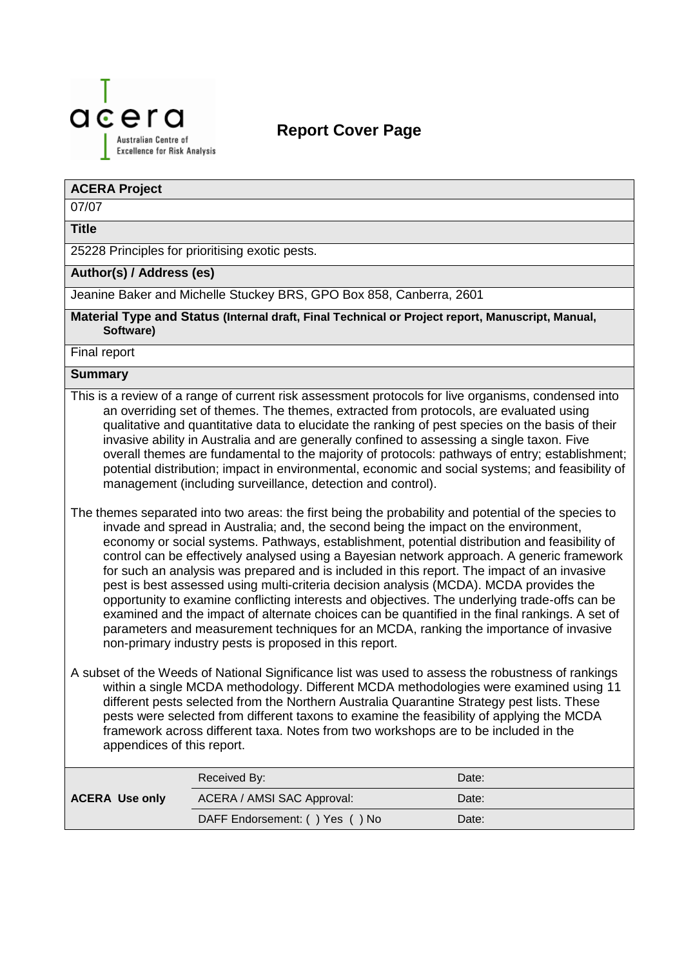

## **Report Cover Page**

#### **ACERA Project**

07/07

#### **Title**

25228 Principles for prioritising exotic pests.

#### **Author(s) / Address (es)**

Jeanine Baker and Michelle Stuckey BRS, GPO Box 858, Canberra, 2601

#### **Material Type and Status (Internal draft, Final Technical or Project report, Manuscript, Manual, Software)**

Final report

#### **Summary**

- This is a review of a range of current risk assessment protocols for live organisms, condensed into an overriding set of themes. The themes, extracted from protocols, are evaluated using qualitative and quantitative data to elucidate the ranking of pest species on the basis of their invasive ability in Australia and are generally confined to assessing a single taxon. Five overall themes are fundamental to the majority of protocols: pathways of entry; establishment; potential distribution; impact in environmental, economic and social systems; and feasibility of management (including surveillance, detection and control).
- The themes separated into two areas: the first being the probability and potential of the species to invade and spread in Australia; and, the second being the impact on the environment, economy or social systems. Pathways, establishment, potential distribution and feasibility of control can be effectively analysed using a Bayesian network approach. A generic framework for such an analysis was prepared and is included in this report. The impact of an invasive pest is best assessed using multi-criteria decision analysis (MCDA). MCDA provides the opportunity to examine conflicting interests and objectives. The underlying trade-offs can be examined and the impact of alternate choices can be quantified in the final rankings. A set of parameters and measurement techniques for an MCDA, ranking the importance of invasive non-primary industry pests is proposed in this report.
- A subset of the Weeds of National Significance list was used to assess the robustness of rankings within a single MCDA methodology. Different MCDA methodologies were examined using 11 different pests selected from the Northern Australia Quarantine Strategy pest lists. These pests were selected from different taxons to examine the feasibility of applying the MCDA framework across different taxa. Notes from two workshops are to be included in the appendices of this report.

| <b>ACERA Use only</b> | Received By:                   | Date: |
|-----------------------|--------------------------------|-------|
|                       | ACERA / AMSI SAC Approval:     | Date: |
|                       | DAFF Endorsement: () Yes () No | Date: |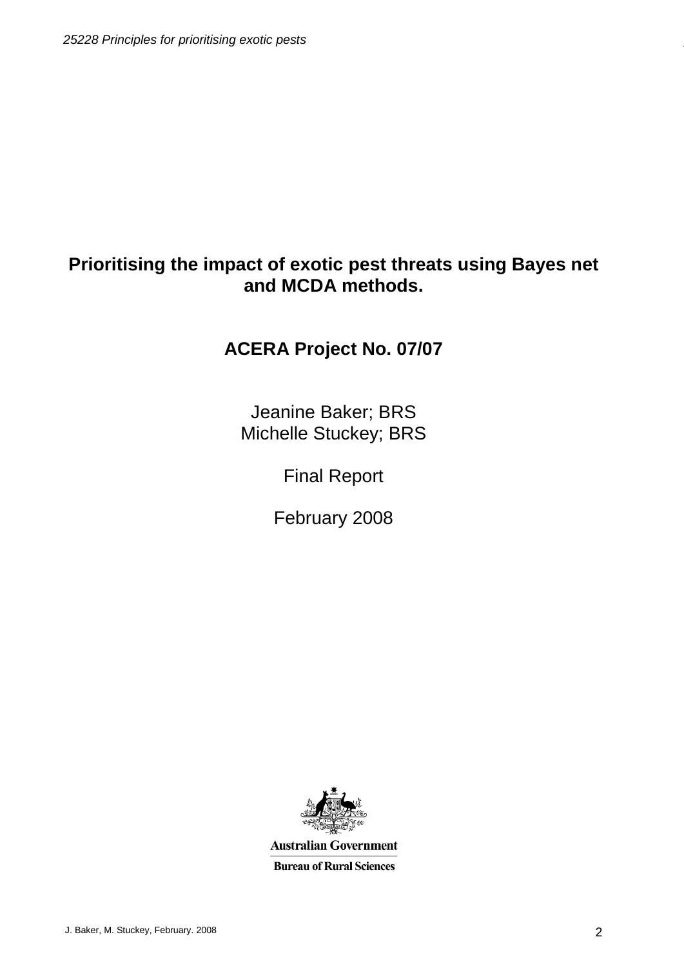# **Prioritising the impact of exotic pest threats using Bayes net and MCDA methods.**

## **ACERA Project No. 07/07**

Jeanine Baker; BRS Michelle Stuckey; BRS

Final Report

February 2008



**Australian Government** 

**Bureau of Rural Sciences**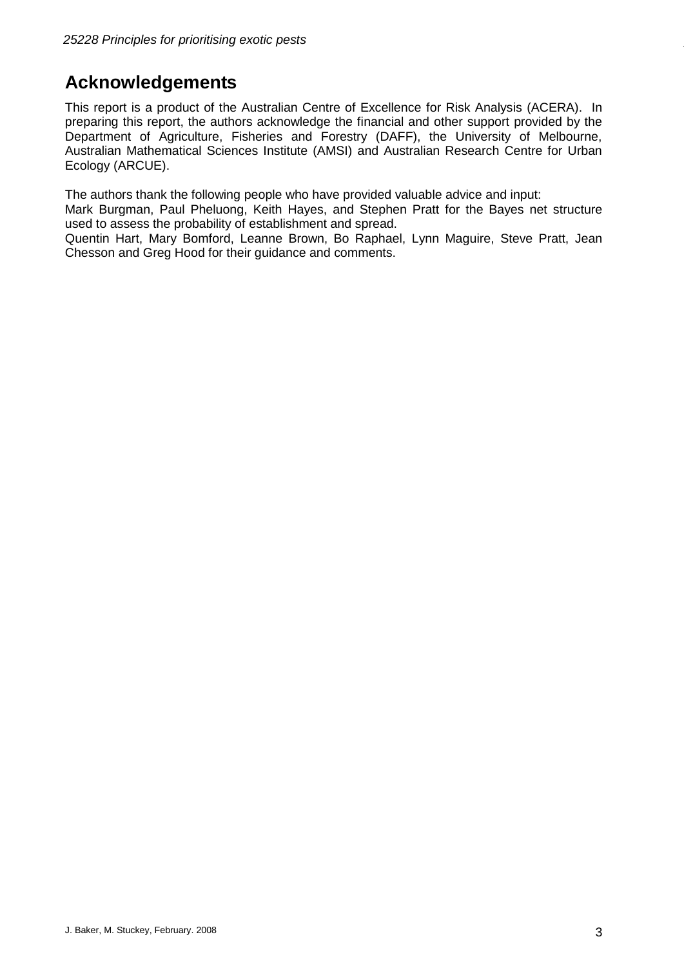## <span id="page-2-0"></span>**Acknowledgements**

This report is a product of the Australian Centre of Excellence for Risk Analysis (ACERA). In preparing this report, the authors acknowledge the financial and other support provided by the Department of Agriculture, Fisheries and Forestry (DAFF), the University of Melbourne, Australian Mathematical Sciences Institute (AMSI) and Australian Research Centre for Urban Ecology (ARCUE).

The authors thank the following people who have provided valuable advice and input:

Mark Burgman, Paul Pheluong, Keith Hayes, and Stephen Pratt for the Bayes net structure used to assess the probability of establishment and spread.

Quentin Hart, Mary Bomford, Leanne Brown, Bo Raphael, Lynn Maguire, Steve Pratt, Jean Chesson and Greg Hood for their guidance and comments.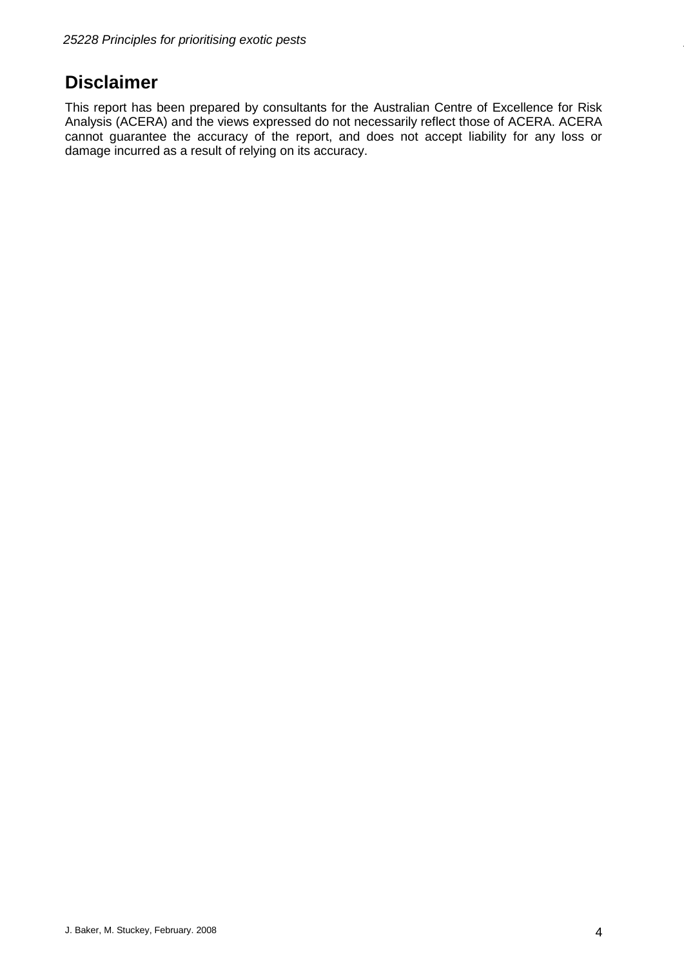# <span id="page-3-0"></span>**Disclaimer**

This report has been prepared by consultants for the Australian Centre of Excellence for Risk Analysis (ACERA) and the views expressed do not necessarily reflect those of ACERA. ACERA cannot guarantee the accuracy of the report, and does not accept liability for any loss or damage incurred as a result of relying on its accuracy.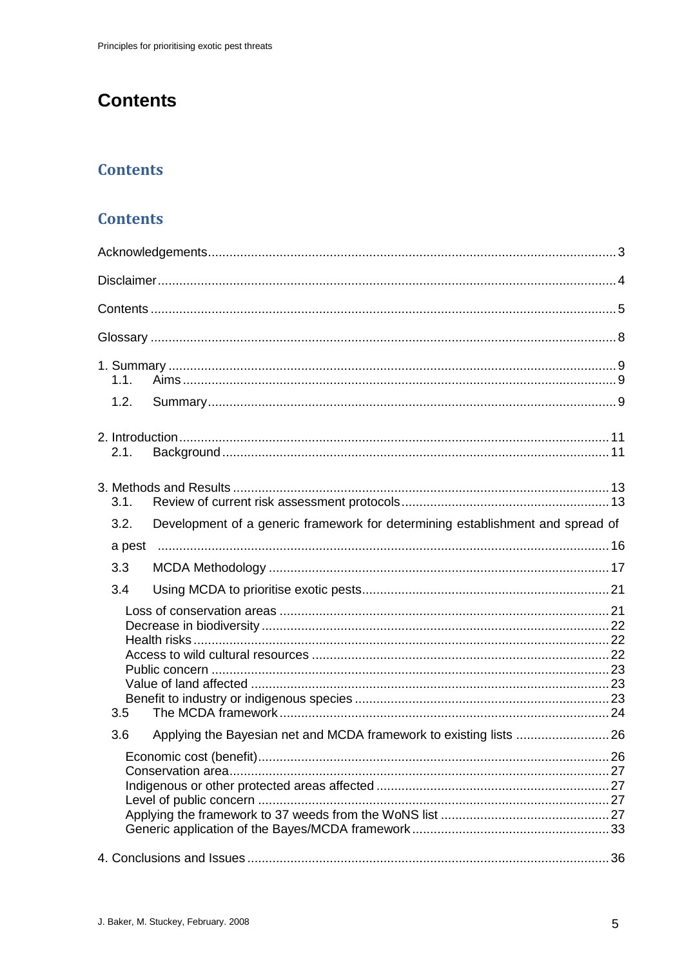# <span id="page-4-0"></span>**Contents**

## **Contents**

### **Contents**

| 1.1. |                                                                                |     |
|------|--------------------------------------------------------------------------------|-----|
| 1.2. |                                                                                |     |
| 2.1. |                                                                                |     |
| 3.1. |                                                                                |     |
| 3.2. | Development of a generic framework for determining establishment and spread of |     |
|      |                                                                                |     |
| 3.3  |                                                                                |     |
| 3.4  |                                                                                |     |
| 3.5  |                                                                                |     |
| 3.6  | Applying the Bayesian net and MCDA framework to existing lists  26             |     |
|      |                                                                                |     |
|      |                                                                                | .36 |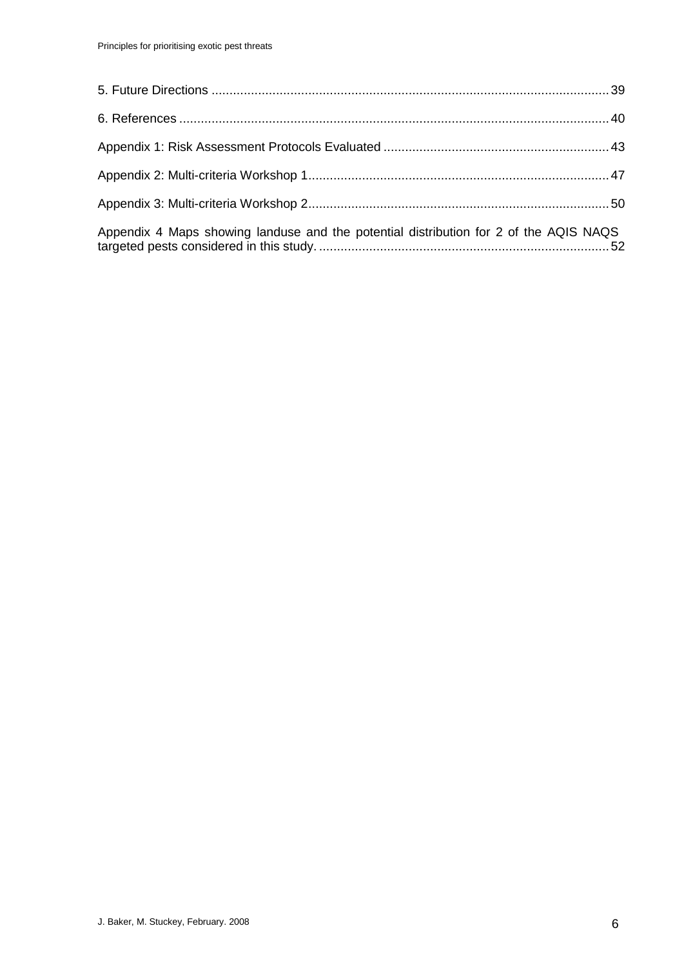| Appendix 4 Maps showing landuse and the potential distribution for 2 of the AQIS NAQS |  |
|---------------------------------------------------------------------------------------|--|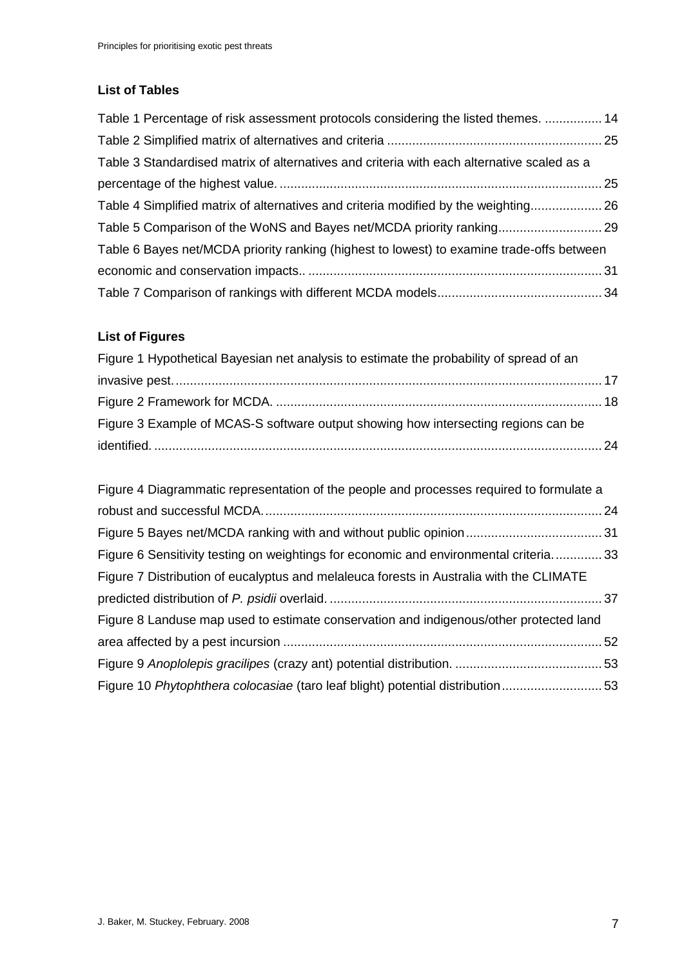#### **List of Tables**

| Table 1 Percentage of risk assessment protocols considering the listed themes.  14         |  |
|--------------------------------------------------------------------------------------------|--|
|                                                                                            |  |
| Table 3 Standardised matrix of alternatives and criteria with each alternative scaled as a |  |
|                                                                                            |  |
| Table 4 Simplified matrix of alternatives and criteria modified by the weighting 26        |  |
|                                                                                            |  |
| Table 6 Bayes net/MCDA priority ranking (highest to lowest) to examine trade-offs between  |  |
|                                                                                            |  |
|                                                                                            |  |

### **List of Figures**

| Figure 1 Hypothetical Bayesian net analysis to estimate the probability of spread of an |  |
|-----------------------------------------------------------------------------------------|--|
|                                                                                         |  |
|                                                                                         |  |
| Figure 3 Example of MCAS-S software output showing how intersecting regions can be      |  |
|                                                                                         |  |

| Figure 4 Diagrammatic representation of the people and processes required to formulate a |  |
|------------------------------------------------------------------------------------------|--|
|                                                                                          |  |
|                                                                                          |  |
| Figure 6 Sensitivity testing on weightings for economic and environmental criteria33     |  |
| Figure 7 Distribution of eucalyptus and melaleuca forests in Australia with the CLIMATE  |  |
|                                                                                          |  |
| Figure 8 Landuse map used to estimate conservation and indigenous/other protected land   |  |
|                                                                                          |  |
|                                                                                          |  |
| Figure 10 Phytophthera colocasiae (taro leaf blight) potential distribution53            |  |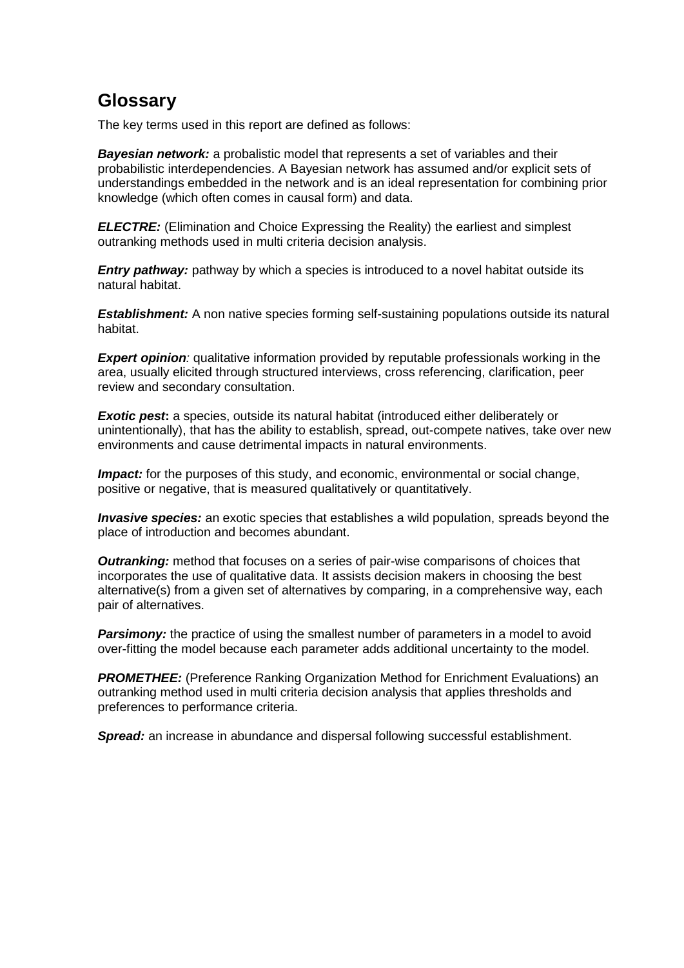## <span id="page-7-0"></span>**Glossary**

The key terms used in this report are defined as follows:

*Bayesian network:* a probalistic model that represents a set of variables and their probabilistic interdependencies. A Bayesian network has assumed and/or explicit sets of understandings embedded in the network and is an ideal representation for combining prior knowledge (which often comes in causal form) and data.

*ELECTRE:* (Elimination and Choice Expressing the Reality) the earliest and simplest outranking methods used in multi criteria decision analysis.

*Entry pathway:* pathway by which a species is introduced to a novel habitat outside its natural habitat.

**Establishment:** A non native species forming self-sustaining populations outside its natural habitat.

**Expert opinion**: qualitative information provided by reputable professionals working in the area, usually elicited through structured interviews, cross referencing, clarification, peer review and secondary consultation.

**Exotic pest:** a species, outside its natural habitat (introduced either deliberately or unintentionally), that has the ability to establish, spread, out-compete natives, take over new environments and cause detrimental impacts in natural environments.

*Impact:* for the purposes of this study, and economic, environmental or social change, positive or negative, that is measured qualitatively or quantitatively.

*Invasive species:* an exotic species that establishes a wild population, spreads beyond the place of introduction and becomes abundant.

*Outranking:* method that focuses on a series of pair-wise comparisons of choices that incorporates the use of qualitative data. It assists decision makers in choosing the best alternative(s) from a given set of alternatives by comparing, in a comprehensive way, each pair of alternatives.

**Parsimony:** the practice of using the smallest number of parameters in a model to avoid over-fitting the model because each parameter adds additional uncertainty to the model.

**PROMETHEE:** (Preference Ranking Organization Method for Enrichment Evaluations) an outranking method used in multi criteria decision analysis that applies thresholds and preferences to performance criteria.

*Spread:* an increase in abundance and dispersal following successful establishment.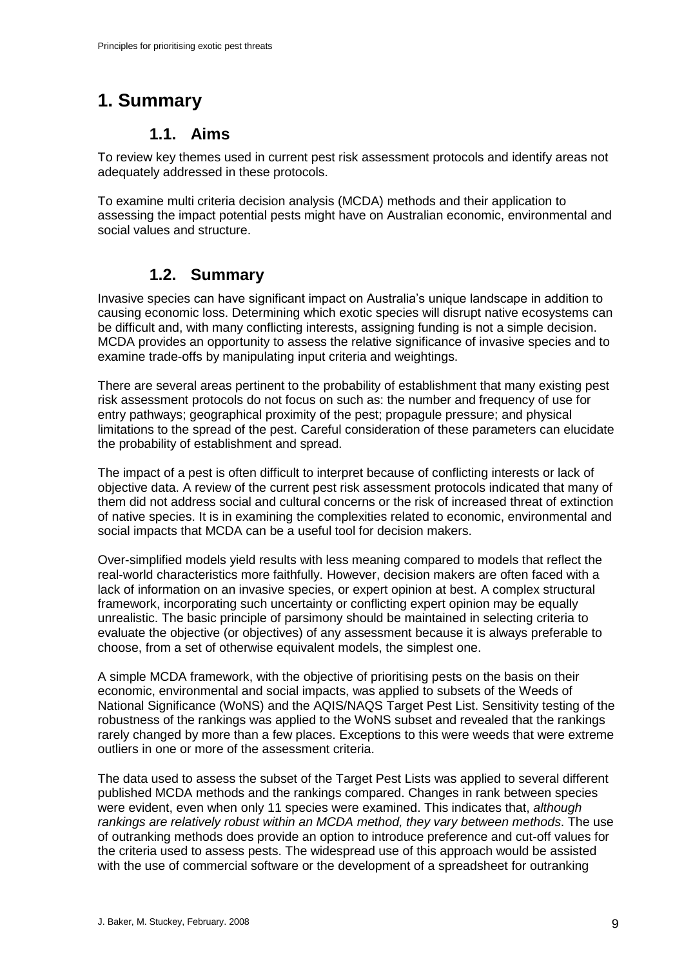# <span id="page-8-1"></span><span id="page-8-0"></span>**1. Summary**

### **1.1. Aims**

To review key themes used in current pest risk assessment protocols and identify areas not adequately addressed in these protocols.

To examine multi criteria decision analysis (MCDA) methods and their application to assessing the impact potential pests might have on Australian economic, environmental and social values and structure.

## **1.2. Summary**

<span id="page-8-2"></span>Invasive species can have significant impact on Australia's unique landscape in addition to causing economic loss. Determining which exotic species will disrupt native ecosystems can be difficult and, with many conflicting interests, assigning funding is not a simple decision. MCDA provides an opportunity to assess the relative significance of invasive species and to examine trade-offs by manipulating input criteria and weightings.

There are several areas pertinent to the probability of establishment that many existing pest risk assessment protocols do not focus on such as: the number and frequency of use for entry pathways; geographical proximity of the pest; propagule pressure; and physical limitations to the spread of the pest. Careful consideration of these parameters can elucidate the probability of establishment and spread.

The impact of a pest is often difficult to interpret because of conflicting interests or lack of objective data. A review of the current pest risk assessment protocols indicated that many of them did not address social and cultural concerns or the risk of increased threat of extinction of native species. It is in examining the complexities related to economic, environmental and social impacts that MCDA can be a useful tool for decision makers.

Over-simplified models yield results with less meaning compared to models that reflect the real-world characteristics more faithfully. However, decision makers are often faced with a lack of information on an invasive species, or expert opinion at best. A complex structural framework, incorporating such uncertainty or conflicting expert opinion may be equally unrealistic. The basic principle of parsimony should be maintained in selecting criteria to evaluate the objective (or objectives) of any assessment because it is always preferable to choose, from a set of otherwise equivalent models, the simplest one.

A simple MCDA framework, with the objective of prioritising pests on the basis on their economic, environmental and social impacts, was applied to subsets of the Weeds of National Significance (WoNS) and the AQIS/NAQS Target Pest List. Sensitivity testing of the robustness of the rankings was applied to the WoNS subset and revealed that the rankings rarely changed by more than a few places. Exceptions to this were weeds that were extreme outliers in one or more of the assessment criteria.

The data used to assess the subset of the Target Pest Lists was applied to several different published MCDA methods and the rankings compared. Changes in rank between species were evident, even when only 11 species were examined. This indicates that, *although rankings are relatively robust within an MCDA method, they vary between methods*. The use of outranking methods does provide an option to introduce preference and cut-off values for the criteria used to assess pests. The widespread use of this approach would be assisted with the use of commercial software or the development of a spreadsheet for outranking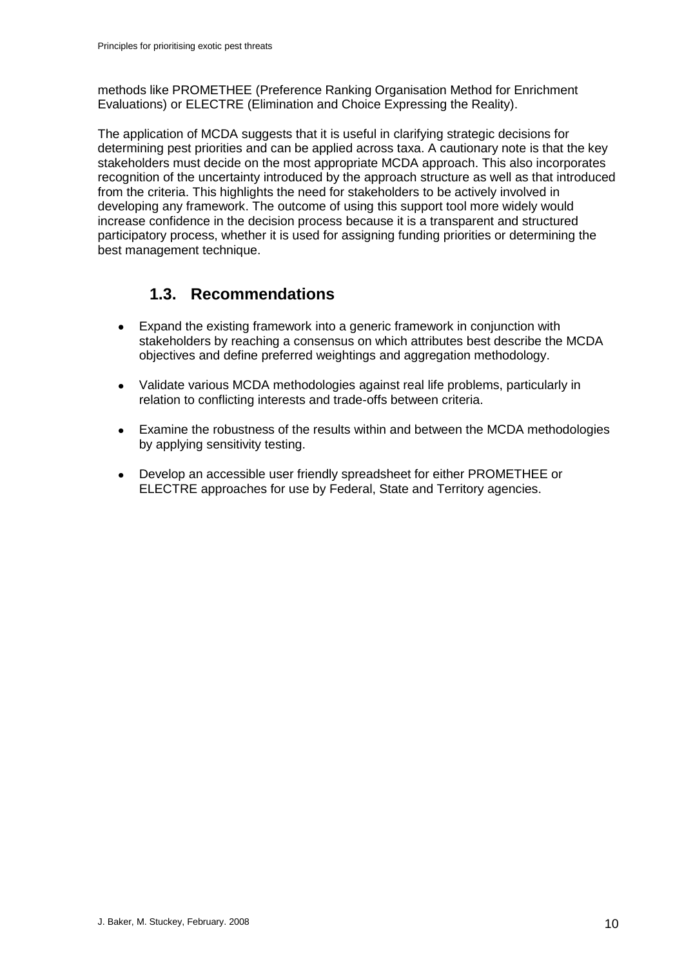methods like PROMETHEE (Preference Ranking Organisation Method for Enrichment Evaluations) or ELECTRE (Elimination and Choice Expressing the Reality).

The application of MCDA suggests that it is useful in clarifying strategic decisions for determining pest priorities and can be applied across taxa. A cautionary note is that the key stakeholders must decide on the most appropriate MCDA approach. This also incorporates recognition of the uncertainty introduced by the approach structure as well as that introduced from the criteria. This highlights the need for stakeholders to be actively involved in developing any framework. The outcome of using this support tool more widely would increase confidence in the decision process because it is a transparent and structured participatory process, whether it is used for assigning funding priorities or determining the best management technique.

## **1.3. Recommendations**

- Expand the existing framework into a generic framework in conjunction with stakeholders by reaching a consensus on which attributes best describe the MCDA objectives and define preferred weightings and aggregation methodology.
- Validate various MCDA methodologies against real life problems, particularly in relation to conflicting interests and trade-offs between criteria.
- Examine the robustness of the results within and between the MCDA methodologies by applying sensitivity testing.
- Develop an accessible user friendly spreadsheet for either PROMETHEE or ELECTRE approaches for use by Federal, State and Territory agencies.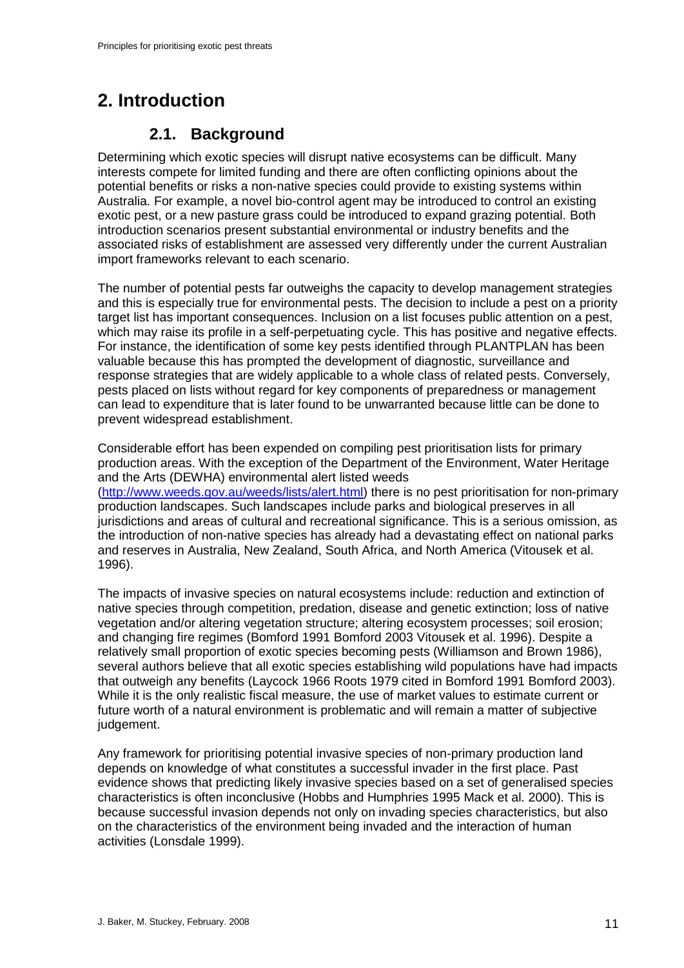# <span id="page-10-1"></span><span id="page-10-0"></span>**2. Introduction**

### **2.1. Background**

Determining which exotic species will disrupt native ecosystems can be difficult. Many interests compete for limited funding and there are often conflicting opinions about the potential benefits or risks a non-native species could provide to existing systems within Australia. For example, a novel bio-control agent may be introduced to control an existing exotic pest, or a new pasture grass could be introduced to expand grazing potential. Both introduction scenarios present substantial environmental or industry benefits and the associated risks of establishment are assessed very differently under the current Australian import frameworks relevant to each scenario.

The number of potential pests far outweighs the capacity to develop management strategies and this is especially true for environmental pests. The decision to include a pest on a priority target list has important consequences. Inclusion on a list focuses public attention on a pest, which may raise its profile in a self-perpetuating cycle. This has positive and negative effects. For instance, the identification of some key pests identified through PLANTPLAN has been valuable because this has prompted the development of diagnostic, surveillance and response strategies that are widely applicable to a whole class of related pests. Conversely, pests placed on lists without regard for key components of preparedness or management can lead to expenditure that is later found to be unwarranted because little can be done to prevent widespread establishment.

Considerable effort has been expended on compiling pest prioritisation lists for primary production areas. With the exception of the Department of the Environment, Water Heritage and the Arts (DEWHA) environmental alert listed weeds [\(http://www.weeds.gov.au/weeds/lists/alert.html\)](http://www.weeds.gov.au/weeds/lists/alert.html) there is no pest prioritisation for non-primary production landscapes. Such landscapes include parks and biological preserves in all jurisdictions and areas of cultural and recreational significance. This is a serious omission, as the introduction of non-native species has already had a devastating effect on national parks and reserves in Australia, New Zealand, South Africa, and North America (Vitousek et al. 1996).

The impacts of invasive species on natural ecosystems include: reduction and extinction of native species through competition, predation, disease and genetic extinction; loss of native vegetation and/or altering vegetation structure; altering ecosystem processes; soil erosion; and changing fire regimes (Bomford 1991 Bomford 2003 Vitousek et al. 1996). Despite a relatively small proportion of exotic species becoming pests (Williamson and Brown 1986), several authors believe that all exotic species establishing wild populations have had impacts that outweigh any benefits (Laycock 1966 Roots 1979 cited in Bomford 1991 Bomford 2003). While it is the only realistic fiscal measure, the use of market values to estimate current or future worth of a natural environment is problematic and will remain a matter of subjective judgement.

Any framework for prioritising potential invasive species of non-primary production land depends on knowledge of what constitutes a successful invader in the first place. Past evidence shows that predicting likely invasive species based on a set of generalised species characteristics is often inconclusive (Hobbs and Humphries 1995 Mack et al. 2000). This is because successful invasion depends not only on invading species characteristics, but also on the characteristics of the environment being invaded and the interaction of human activities (Lonsdale 1999).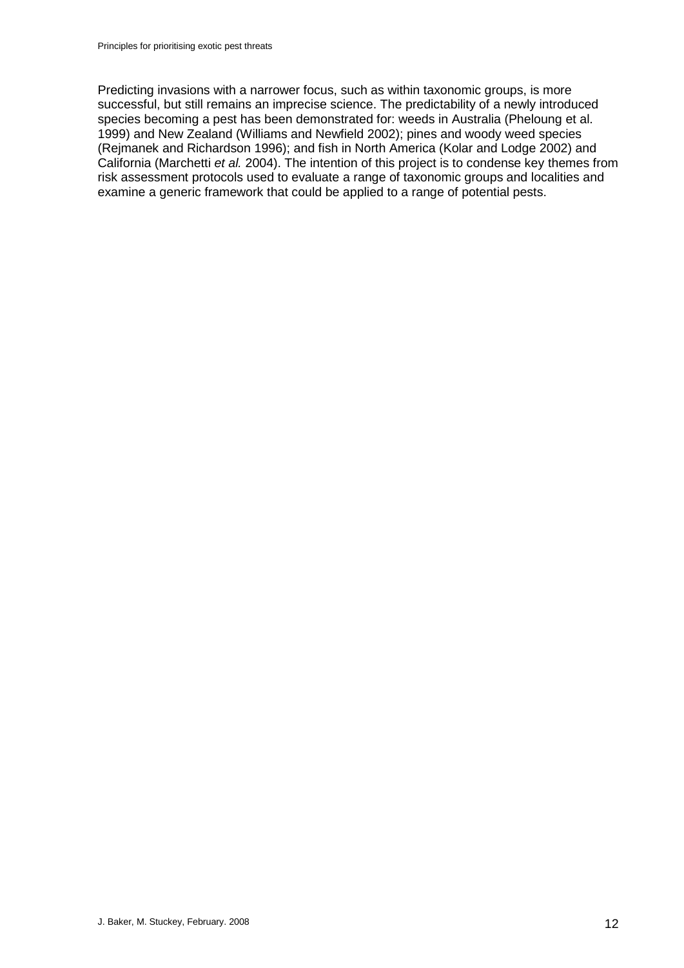Predicting invasions with a narrower focus, such as within taxonomic groups, is more successful, but still remains an imprecise science. The predictability of a newly introduced species becoming a pest has been demonstrated for: weeds in Australia (Pheloung et al. 1999) and New Zealand (Williams and Newfield 2002); pines and woody weed species (Rejmanek and Richardson 1996); and fish in North America (Kolar and Lodge 2002) and California (Marchetti *et al.* 2004). The intention of this project is to condense key themes from risk assessment protocols used to evaluate a range of taxonomic groups and localities and examine a generic framework that could be applied to a range of potential pests.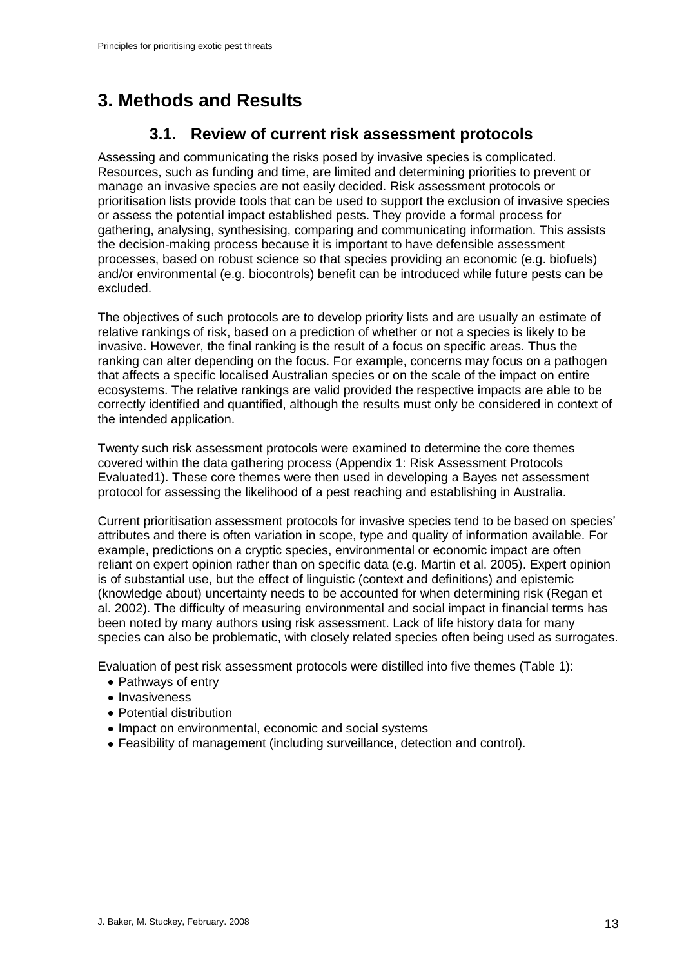# <span id="page-12-1"></span><span id="page-12-0"></span>**3. Methods and Results**

## **3.1. Review of current risk assessment protocols**

Assessing and communicating the risks posed by invasive species is complicated. Resources, such as funding and time, are limited and determining priorities to prevent or manage an invasive species are not easily decided. Risk assessment protocols or prioritisation lists provide tools that can be used to support the exclusion of invasive species or assess the potential impact established pests. They provide a formal process for gathering, analysing, synthesising, comparing and communicating information. This assists the decision-making process because it is important to have defensible assessment processes, based on robust science so that species providing an economic (e.g. biofuels) and/or environmental (e.g. biocontrols) benefit can be introduced while future pests can be excluded.

The objectives of such protocols are to develop priority lists and are usually an estimate of relative rankings of risk, based on a prediction of whether or not a species is likely to be invasive. However, the final ranking is the result of a focus on specific areas. Thus the ranking can alter depending on the focus. For example, concerns may focus on a pathogen that affects a specific localised Australian species or on the scale of the impact on entire ecosystems. The relative rankings are valid provided the respective impacts are able to be correctly identified and quantified, although the results must only be considered in context of the intended application.

Twenty such risk assessment protocols were examined to determine the core themes covered within the data gathering process (Appendix [1: Risk Assessment](#page-42-0) Protocols [Evaluated1](#page-42-0)). These core themes were then used in developing a Bayes net assessment protocol for assessing the likelihood of a pest reaching and establishing in Australia.

Current prioritisation assessment protocols for invasive species tend to be based on species' attributes and there is often variation in scope, type and quality of information available. For example, predictions on a cryptic species, environmental or economic impact are often reliant on expert opinion rather than on specific data (e.g. Martin et al. 2005). Expert opinion is of substantial use, but the effect of linguistic (context and definitions) and epistemic (knowledge about) uncertainty needs to be accounted for when determining risk (Regan et al. 2002). The difficulty of measuring environmental and social impact in financial terms has been noted by many authors using risk assessment. Lack of life history data for many species can also be problematic, with closely related species often being used as surrogates.

Evaluation of pest risk assessment protocols were distilled into five themes [\(Table 1\)](#page-13-0):

- Pathways of entry
- Invasiveness
- Potential distribution
- Impact on environmental, economic and social systems
- Feasibility of management (including surveillance, detection and control).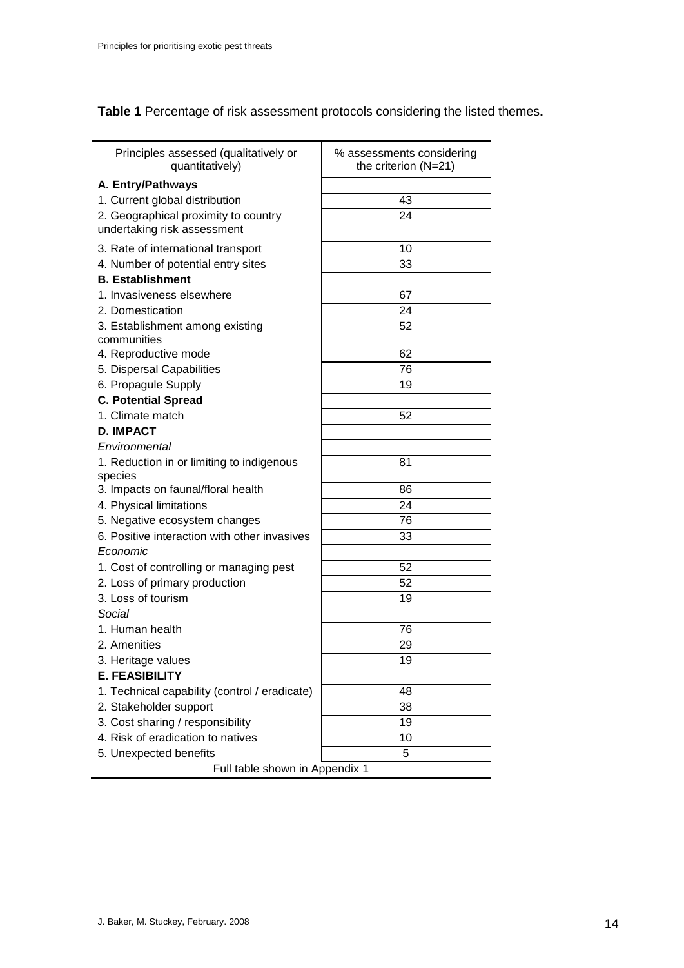<span id="page-13-0"></span>**Table 1** Percentage of risk assessment protocols considering the listed themes**.**

| Principles assessed (qualitatively or<br>quantitatively) | % assessments considering<br>the criterion (N=21) |
|----------------------------------------------------------|---------------------------------------------------|
| A. Entry/Pathways                                        |                                                   |
| 1. Current global distribution                           | 43                                                |
| 2. Geographical proximity to country                     | 24                                                |
| undertaking risk assessment                              |                                                   |
| 3. Rate of international transport                       | 10                                                |
| 4. Number of potential entry sites                       | 33                                                |
| <b>B. Establishment</b>                                  |                                                   |
| 1. Invasiveness elsewhere                                | 67                                                |
| 2. Domestication                                         | 24                                                |
| 3. Establishment among existing                          | 52                                                |
| communities                                              |                                                   |
| 4. Reproductive mode                                     | 62                                                |
| 5. Dispersal Capabilities                                | 76                                                |
| 6. Propagule Supply                                      | 19                                                |
| <b>C. Potential Spread</b>                               |                                                   |
| 1. Climate match                                         | 52                                                |
| <b>D. IMPACT</b>                                         |                                                   |
| Environmental                                            |                                                   |
| 1. Reduction in or limiting to indigenous<br>species     | 81                                                |
| 3. Impacts on faunal/floral health                       | 86                                                |
| 4. Physical limitations                                  | 24                                                |
| 5. Negative ecosystem changes                            | 76                                                |
| 6. Positive interaction with other invasives             | 33                                                |
| Economic                                                 |                                                   |
| 1. Cost of controlling or managing pest                  | 52                                                |
| 2. Loss of primary production                            | 52                                                |
| 3. Loss of tourism                                       | 19                                                |
| Social                                                   |                                                   |
| 1. Human health                                          | 76                                                |
| 2. Amenities                                             | 29                                                |
| 3. Heritage values                                       | 19                                                |
| <b>E. FEASIBILITY</b>                                    |                                                   |
| 1. Technical capability (control / eradicate)            | 48                                                |
| 2. Stakeholder support                                   | 38                                                |
| 3. Cost sharing / responsibility                         | 19                                                |
| 4. Risk of eradication to natives                        | 10                                                |
| 5. Unexpected benefits                                   | 5                                                 |
| Full table shown in Appendix 1                           |                                                   |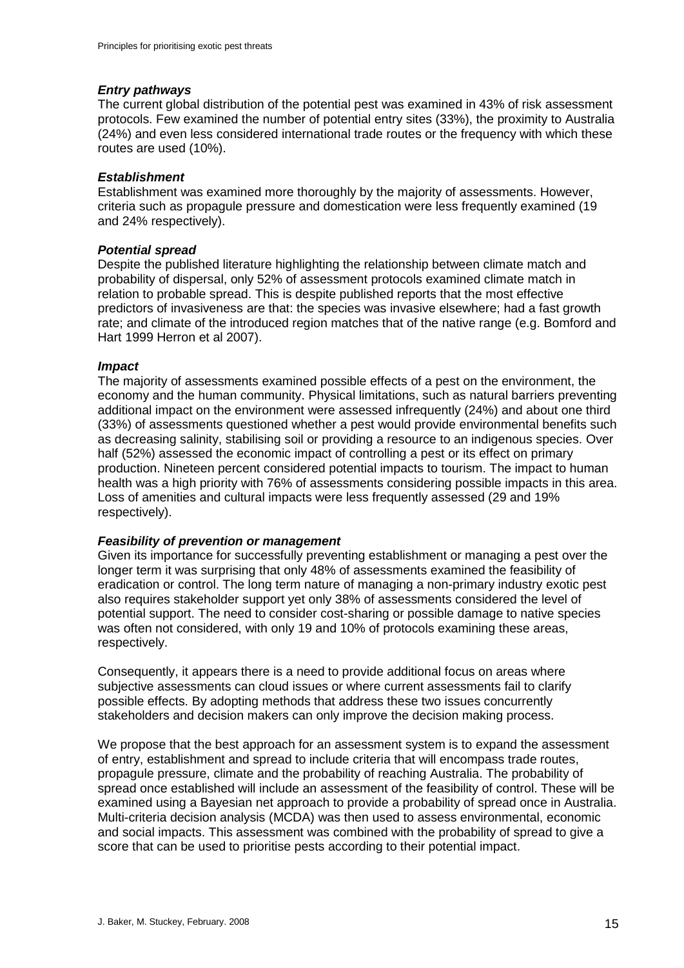#### *Entry pathways*

The current global distribution of the potential pest was examined in 43% of risk assessment protocols. Few examined the number of potential entry sites (33%), the proximity to Australia (24%) and even less considered international trade routes or the frequency with which these routes are used (10%).

#### *Establishment*

Establishment was examined more thoroughly by the majority of assessments. However, criteria such as propagule pressure and domestication were less frequently examined (19 and 24% respectively).

#### *Potential spread*

Despite the published literature highlighting the relationship between climate match and probability of dispersal, only 52% of assessment protocols examined climate match in relation to probable spread. This is despite published reports that the most effective predictors of invasiveness are that: the species was invasive elsewhere; had a fast growth rate; and climate of the introduced region matches that of the native range (e.g. Bomford and Hart 1999 Herron et al 2007).

#### *Impact*

The majority of assessments examined possible effects of a pest on the environment, the economy and the human community. Physical limitations, such as natural barriers preventing additional impact on the environment were assessed infrequently (24%) and about one third (33%) of assessments questioned whether a pest would provide environmental benefits such as decreasing salinity, stabilising soil or providing a resource to an indigenous species. Over half (52%) assessed the economic impact of controlling a pest or its effect on primary production. Nineteen percent considered potential impacts to tourism. The impact to human health was a high priority with 76% of assessments considering possible impacts in this area. Loss of amenities and cultural impacts were less frequently assessed (29 and 19% respectively).

#### *Feasibility of prevention or management*

Given its importance for successfully preventing establishment or managing a pest over the longer term it was surprising that only 48% of assessments examined the feasibility of eradication or control. The long term nature of managing a non-primary industry exotic pest also requires stakeholder support yet only 38% of assessments considered the level of potential support. The need to consider cost-sharing or possible damage to native species was often not considered, with only 19 and 10% of protocols examining these areas, respectively.

Consequently, it appears there is a need to provide additional focus on areas where subjective assessments can cloud issues or where current assessments fail to clarify possible effects. By adopting methods that address these two issues concurrently stakeholders and decision makers can only improve the decision making process.

We propose that the best approach for an assessment system is to expand the assessment of entry, establishment and spread to include criteria that will encompass trade routes, propagule pressure, climate and the probability of reaching Australia. The probability of spread once established will include an assessment of the feasibility of control. These will be examined using a Bayesian net approach to provide a probability of spread once in Australia. Multi-criteria decision analysis (MCDA) was then used to assess environmental, economic and social impacts. This assessment was combined with the probability of spread to give a score that can be used to prioritise pests according to their potential impact.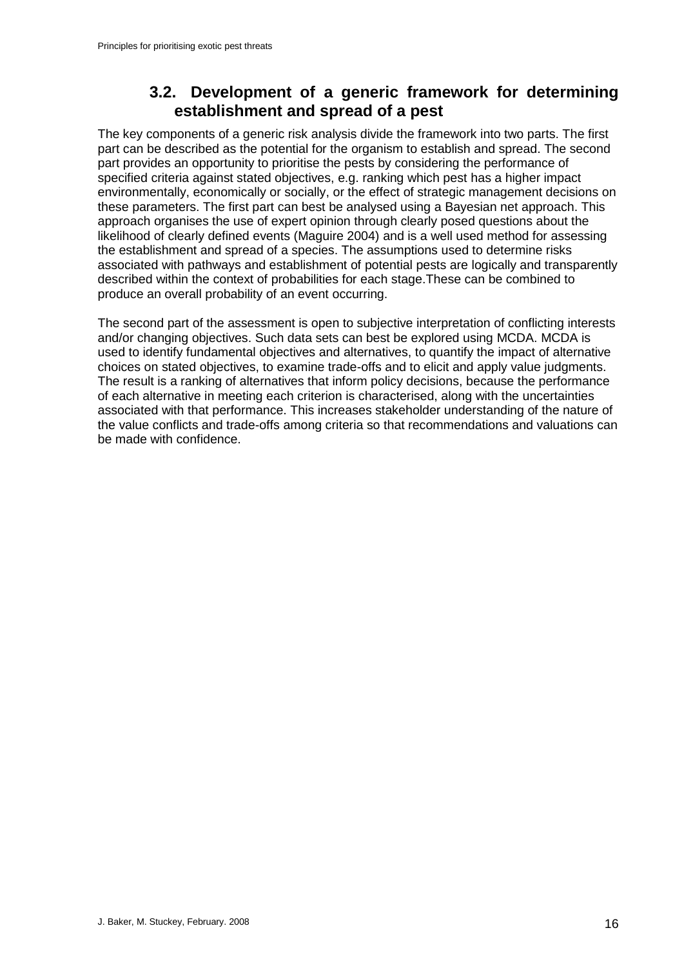## **3.2. Development of a generic framework for determining establishment and spread of a pest**

<span id="page-15-0"></span>The key components of a generic risk analysis divide the framework into two parts. The first part can be described as the potential for the organism to establish and spread. The second part provides an opportunity to prioritise the pests by considering the performance of specified criteria against stated objectives, e.g. ranking which pest has a higher impact environmentally, economically or socially, or the effect of strategic management decisions on these parameters. The first part can best be analysed using a Bayesian net approach. This approach organises the use of expert opinion through clearly posed questions about the likelihood of clearly defined events (Maguire 2004) and is a well used method for assessing the establishment and spread of a species. The assumptions used to determine risks associated with pathways and establishment of potential pests are logically and transparently described within the context of probabilities for each stage.These can be combined to produce an overall probability of an event occurring.

The second part of the assessment is open to subjective interpretation of conflicting interests and/or changing objectives. Such data sets can best be explored using MCDA. MCDA is used to identify fundamental objectives and alternatives, to quantify the impact of alternative choices on stated objectives, to examine trade-offs and to elicit and apply value judgments. The result is a ranking of alternatives that inform policy decisions, because the performance of each alternative in meeting each criterion is characterised, along with the uncertainties associated with that performance. This increases stakeholder understanding of the nature of the value conflicts and trade-offs among criteria so that recommendations and valuations can be made with confidence.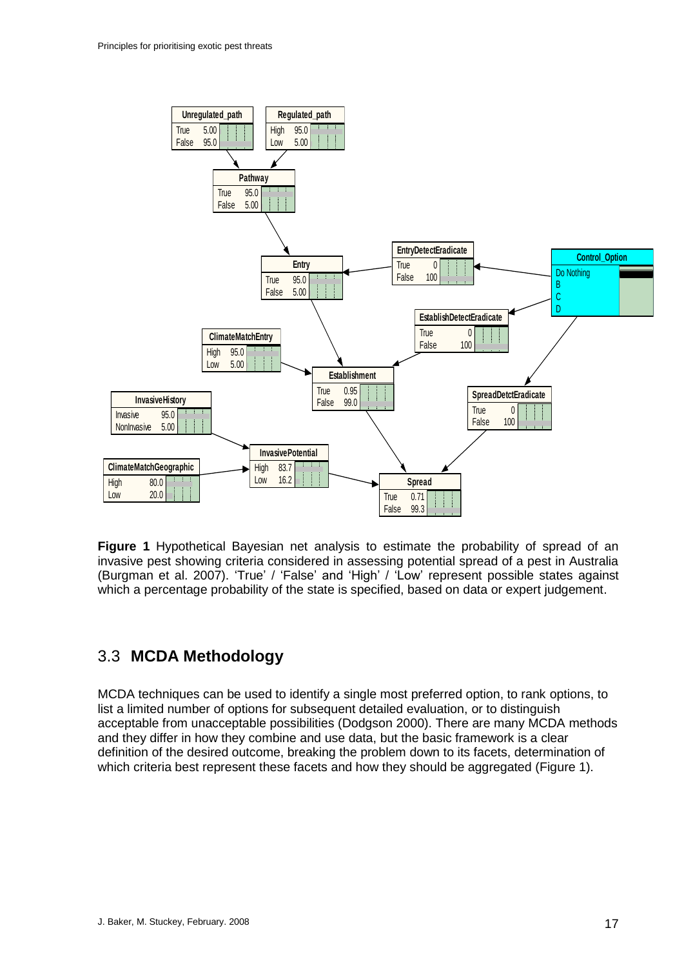

<span id="page-16-1"></span>invasive pest showing criteria considered in assessing potential spread of a pest in Australia **Figure 1** Hypothetical Bayesian net analysis to estimate the probability of spread of an (Burgman et al. 2007). 'True' / 'False' and 'High' / 'Low' represent possible states against which a percentage probability of the state is specified, based on data or expert judgement.

## <span id="page-16-0"></span>3.3 **MCDA Methodology**

MCDA techniques can be used to identify a single most preferred option, to rank options, to list a limited number of options for subsequent detailed evaluation, or to distinguish acceptable from unacceptable possibilities (Dodgson 2000). There are many MCDA methods and they differ in how they combine and use data, but the basic framework is a clear definition of the desired outcome, breaking the problem down to its facets, determination of which criteria best represent these facets and how they should be aggregated [\(Figure 1\)](#page-16-1).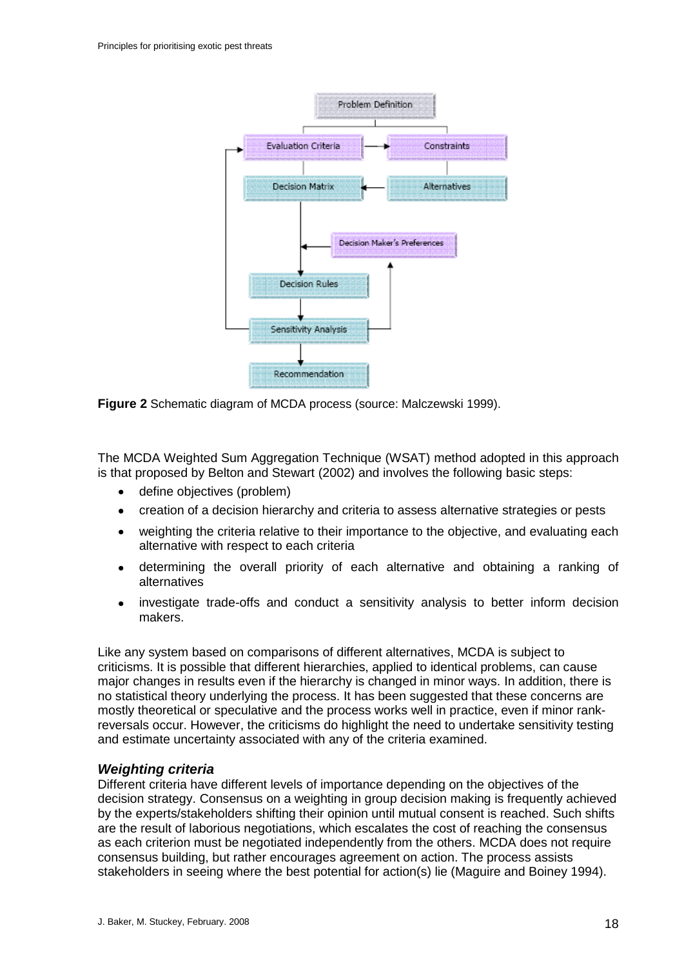

<span id="page-17-0"></span>**Figure 2** Schematic diagram of MCDA process (source: Malczewski 1999).

The MCDA Weighted Sum Aggregation Technique (WSAT) method adopted in this approach is that proposed by Belton and Stewart (2002) and involves the following basic steps:

- define objectives (problem)
- creation of a decision hierarchy and criteria to assess alternative strategies or pests  $\bullet$
- $\bullet$ weighting the criteria relative to their importance to the objective, and evaluating each alternative with respect to each criteria
- determining the overall priority of each alternative and obtaining a ranking of alternatives
- investigate trade-offs and conduct a sensitivity analysis to better inform decision makers.

Like any system based on comparisons of different alternatives, MCDA is subject to criticisms. It is possible that different hierarchies, applied to identical problems, can cause major changes in results even if the hierarchy is changed in minor ways. In addition, there is no statistical theory underlying the process. It has been suggested that these concerns are mostly theoretical or speculative and the process works well in practice, even if minor rankreversals occur. However, the criticisms do highlight the need to undertake sensitivity testing and estimate uncertainty associated with any of the criteria examined.

#### *Weighting criteria*

Different criteria have different levels of importance depending on the objectives of the decision strategy. Consensus on a weighting in group decision making is frequently achieved by the experts/stakeholders shifting their opinion until mutual consent is reached. Such shifts are the result of laborious negotiations, which escalates the cost of reaching the consensus as each criterion must be negotiated independently from the others. MCDA does not require consensus building, but rather encourages agreement on action. The process assists stakeholders in seeing where the best potential for action(s) lie (Maguire and Boiney 1994).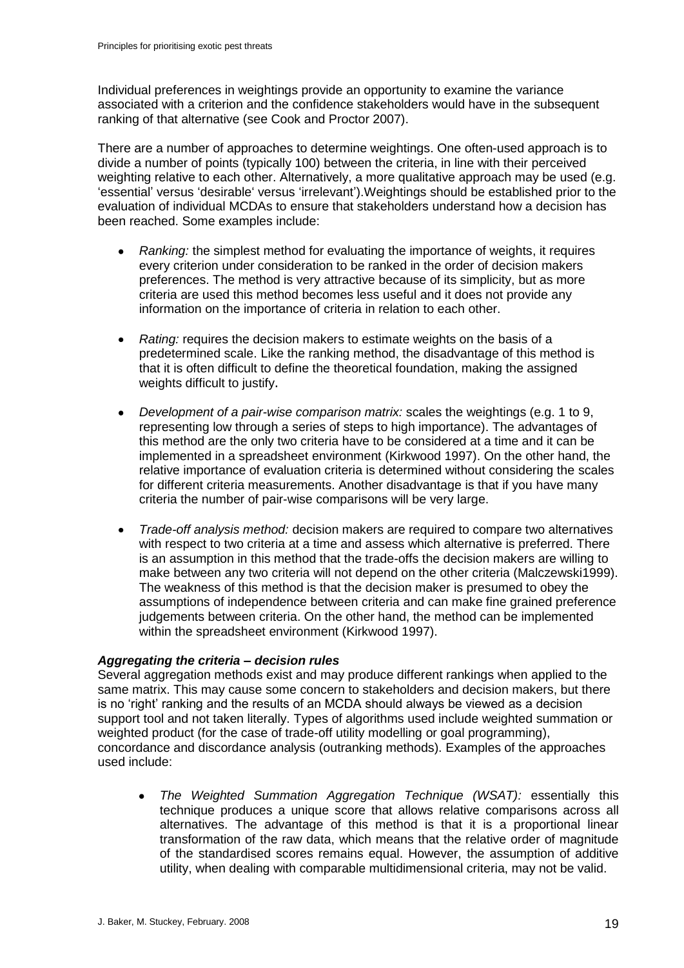Individual preferences in weightings provide an opportunity to examine the variance associated with a criterion and the confidence stakeholders would have in the subsequent ranking of that alternative (see Cook and Proctor 2007).

There are a number of approaches to determine weightings. One often-used approach is to divide a number of points (typically 100) between the criteria, in line with their perceived weighting relative to each other. Alternatively, a more qualitative approach may be used (e.g. 'essential' versus 'desirable' versus 'irrelevant').Weightings should be established prior to the evaluation of individual MCDAs to ensure that stakeholders understand how a decision has been reached. Some examples include:

- *Ranking:* the simplest method for evaluating the importance of weights, it requires every criterion under consideration to be ranked in the order of decision makers preferences. The method is very attractive because of its simplicity, but as more criteria are used this method becomes less useful and it does not provide any information on the importance of criteria in relation to each other.
- *Rating:* requires the decision makers to estimate weights on the basis of a predetermined scale. Like the ranking method, the disadvantage of this method is that it is often difficult to define the theoretical foundation, making the assigned weights difficult to justify.
- *Development of a pair-wise comparison matrix:* scales the weightings (e.g. 1 to 9, representing low through a series of steps to high importance). The advantages of this method are the only two criteria have to be considered at a time and it can be implemented in a spreadsheet environment (Kirkwood 1997). On the other hand, the relative importance of evaluation criteria is determined without considering the scales for different criteria measurements. Another disadvantage is that if you have many criteria the number of pair-wise comparisons will be very large.
- *Trade-off analysis method:* decision makers are required to compare two alternatives  $\bullet$ with respect to two criteria at a time and assess which alternative is preferred. There is an assumption in this method that the trade-offs the decision makers are willing to make between any two criteria will not depend on the other criteria (Malczewski1999). The weakness of this method is that the decision maker is presumed to obey the assumptions of independence between criteria and can make fine grained preference judgements between criteria. On the other hand, the method can be implemented within the spreadsheet environment (Kirkwood 1997).

#### *Aggregating the criteria – decision rules*

Several aggregation methods exist and may produce different rankings when applied to the same matrix. This may cause some concern to stakeholders and decision makers, but there is no 'right' ranking and the results of an MCDA should always be viewed as a decision support tool and not taken literally. Types of algorithms used include weighted summation or weighted product (for the case of trade-off utility modelling or goal programming), concordance and discordance analysis (outranking methods). Examples of the approaches used include:

 $\bullet$ *The Weighted Summation Aggregation Technique (WSAT):* essentially this technique produces a unique score that allows relative comparisons across all alternatives. The advantage of this method is that it is a proportional linear transformation of the raw data, which means that the relative order of magnitude of the standardised scores remains equal. However, the assumption of additive utility, when dealing with comparable multidimensional criteria, may not be valid.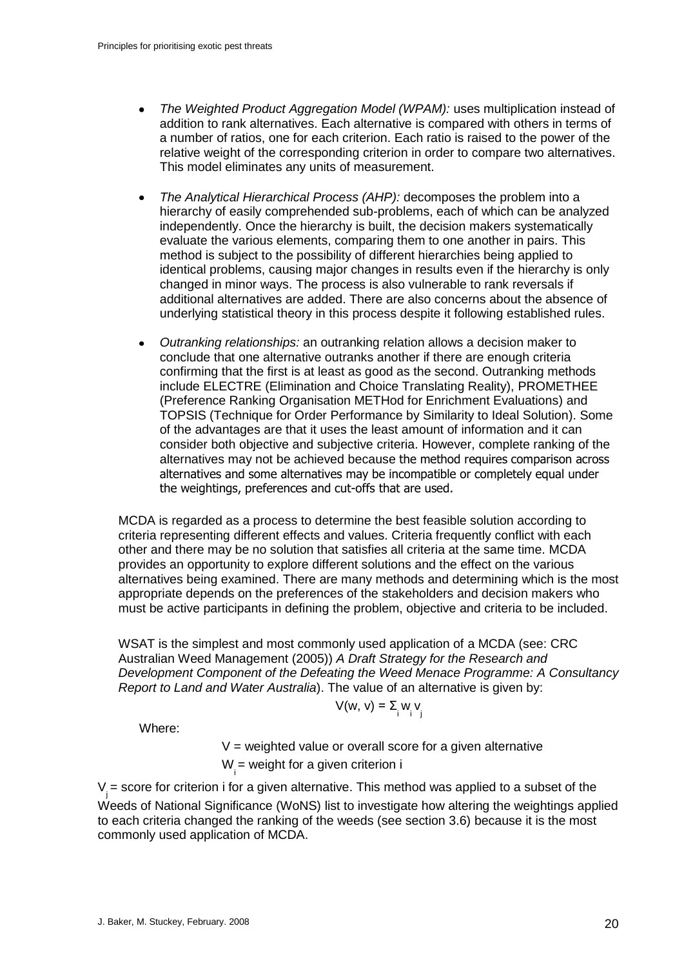- *The Weighted Product Aggregation Model (WPAM):* uses multiplication instead of  $\bullet$ addition to rank alternatives. Each alternative is compared with others in terms of a number of ratios, one for each criterion. Each ratio is raised to the power of the relative weight of the corresponding criterion in order to compare two alternatives. This model eliminates any units of measurement.
- $\bullet$ *The Analytical Hierarchical Process (AHP):* decomposes the problem into a [hierarchy](http://en.wikipedia.org/wiki/Hierarchy) of easily comprehended sub-problems, each of which can be analyzed independently. Once the hierarchy is built, the decision makers systematically evaluate the various elements, comparing them to one another in pairs. This method is subject to the possibility of different hierarchies being applied to identical problems, causing major changes in results even if the hierarchy is only changed in minor ways. The process is also vulnerable to rank reversals if additional alternatives are added. There are also concerns about the absence of underlying statistical theory in this process despite it following established rules.
- *Outranking relationships:* an outranking relation allows a decision maker to  $\bullet$ conclude that one alternative outranks another if there are enough criteria confirming that the first is at least as good as the second. Outranking methods include ELECTRE (Elimination and Choice Translating Reality), PROMETHEE (Preference Ranking Organisation METHod for Enrichment Evaluations) and TOPSIS (Technique for Order Performance by Similarity to Ideal Solution). Some of the advantages are that it uses the least amount of information and it can consider both objective and subjective criteria. However, complete ranking of the alternatives may not be achieved because the method requires comparison across alternatives and some alternatives may be incompatible or completely equal under the weightings, preferences and cut-offs that are used.

MCDA is regarded as a process to determine the best feasible solution according to criteria representing different effects and values. Criteria frequently conflict with each other and there may be no solution that satisfies all criteria at the same time. MCDA provides an opportunity to explore different solutions and the effect on the various alternatives being examined. There are many methods and determining which is the most appropriate depends on the preferences of the stakeholders and decision makers who must be active participants in defining the problem, objective and criteria to be included.

WSAT is the simplest and most commonly used application of a MCDA (see: CRC Australian Weed Management (2005)) *A Draft Strategy for the Research and Development Component of the Defeating the Weed Menace Programme: A Consultancy Report to Land and Water Australia*). The value of an alternative is given by:

$$
V(w, v) = \sum_i w_i v_j
$$

Where:

 $V =$  weighted value or overall score for a given alternative W<sub>i</sub> = weight for a given criterion i

 $V_{j}$  = score for criterion i for a given alternative. This method was applied to a subset of the Weeds of National Significance (WoNS) list to investigate how altering the weightings applied to each criteria changed the ranking of the weeds (see section 3.6) because it is the most commonly used application of MCDA.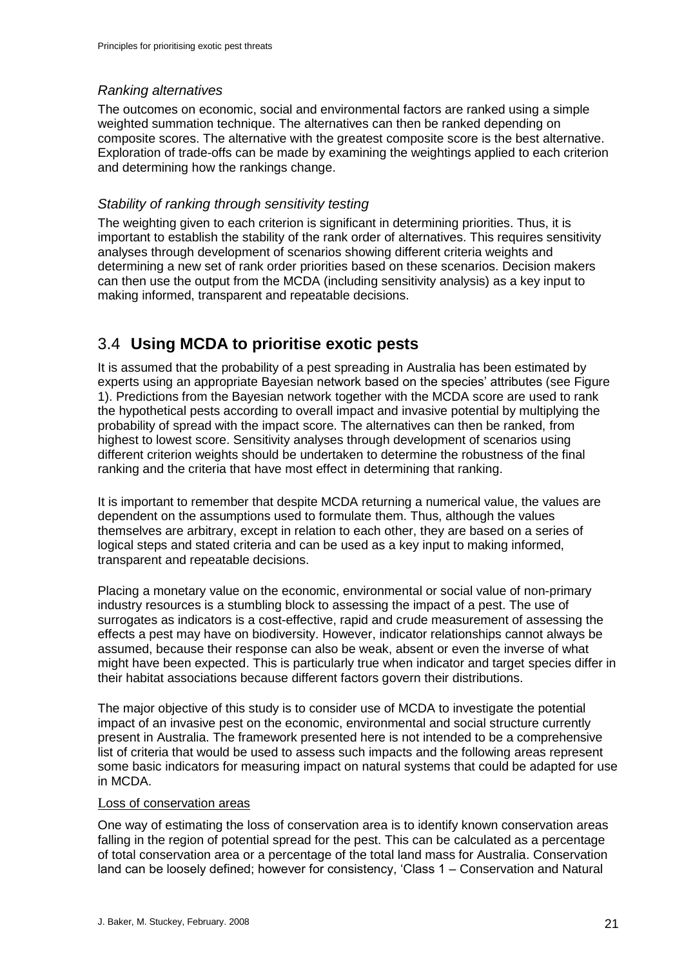#### *Ranking alternatives*

The outcomes on economic, social and environmental factors are ranked using a simple weighted summation technique. The alternatives can then be ranked depending on composite scores. The alternative with the greatest composite score is the best alternative. Exploration of trade-offs can be made by examining the weightings applied to each criterion and determining how the rankings change.

#### *Stability of ranking through sensitivity testing*

The weighting given to each criterion is significant in determining priorities. Thus, it is important to establish the stability of the rank order of alternatives. This requires sensitivity analyses through development of scenarios showing different criteria weights and determining a new set of rank order priorities based on these scenarios. Decision makers can then use the output from the MCDA (including sensitivity analysis) as a key input to making informed, transparent and repeatable decisions.

## <span id="page-20-0"></span>3.4 **Using MCDA to prioritise exotic pests**

It is assumed that the probability of a pest spreading in Australia has been estimated by experts using an appropriate Bayesian network based on the species' attributes (see [Figure](#page-16-1)  [1\)](#page-16-1). Predictions from the Bayesian network together with the MCDA score are used to rank the hypothetical pests according to overall impact and invasive potential by multiplying the probability of spread with the impact score. The alternatives can then be ranked, from highest to lowest score. Sensitivity analyses through development of scenarios using different criterion weights should be undertaken to determine the robustness of the final ranking and the criteria that have most effect in determining that ranking.

It is important to remember that despite MCDA returning a numerical value, the values are dependent on the assumptions used to formulate them. Thus, although the values themselves are arbitrary, except in relation to each other, they are based on a series of logical steps and stated criteria and can be used as a key input to making informed, transparent and repeatable decisions.

Placing a monetary value on the economic, environmental or social value of non-primary industry resources is a stumbling block to assessing the impact of a pest. The use of surrogates as indicators is a cost-effective, rapid and crude measurement of assessing the effects a pest may have on biodiversity. However, indicator relationships cannot always be assumed, because their response can also be weak, absent or even the inverse of what might have been expected. This is particularly true when indicator and target species differ in their habitat associations because different factors govern their distributions.

The major objective of this study is to consider use of MCDA to investigate the potential impact of an invasive pest on the economic, environmental and social structure currently present in Australia. The framework presented here is not intended to be a comprehensive list of criteria that would be used to assess such impacts and the following areas represent some basic indicators for measuring impact on natural systems that could be adapted for use in MCDA.

#### <span id="page-20-1"></span>Loss of conservation areas

One way of estimating the loss of conservation area is to identify known conservation areas falling in the region of potential spread for the pest. This can be calculated as a percentage of total conservation area or a percentage of the total land mass for Australia. Conservation land can be loosely defined; however for consistency, 'Class 1 – Conservation and Natural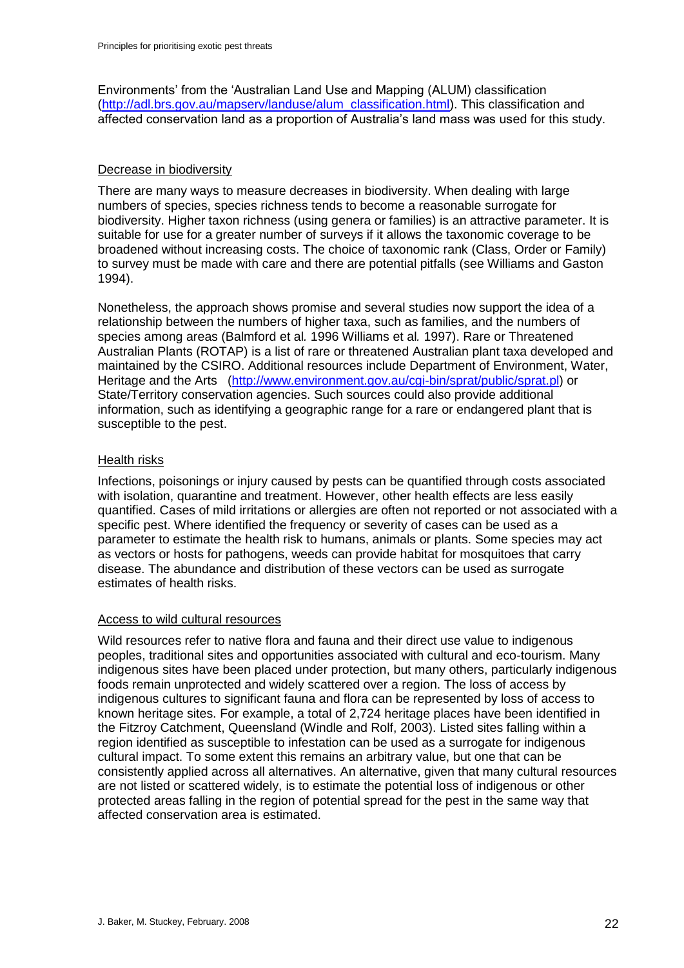Environments' from the 'Australian Land Use and Mapping (ALUM) classification [\(http://adl.brs.gov.au/mapserv/landuse/alum\\_classification.html\)](http://adl.brs.gov.au/mapserv/landuse/alum_classification.html). This classification and affected conservation land as a proportion of Australia's land mass was used for this study.

#### <span id="page-21-0"></span>Decrease in biodiversity

There are many ways to measure decreases in biodiversity. When dealing with large numbers of species, species richness tends to become a reasonable surrogate for biodiversity. Higher taxon richness (using genera or families) is an attractive parameter. It is suitable for use for a greater number of surveys if it allows the taxonomic coverage to be broadened without increasing costs. The choice of taxonomic rank (Class, Order or Family) to survey must be made with care and there are potential pitfalls (see Williams and Gaston 1994).

Nonetheless, the approach shows promise and several studies now support the idea of a relationship between the numbers of higher taxa, such as families, and the numbers of species among areas (Balmford et al*.* 1996 Williams et al*.* 1997). Rare or Threatened Australian Plants (ROTAP) is a list of rare or threatened Australian plant taxa developed and maintained by the CSIRO. Additional resources include Department of Environment, Water, Heritage and the Arts [\(http://www.environment.gov.au/cgi-bin/sprat/public/sprat.pl\)](http://www.environment.gov.au/cgi-bin/sprat/public/sprat.pl) or State/Territory conservation agencies. Such sources could also provide additional information, such as identifying a geographic range for a rare or endangered plant that is susceptible to the pest.

#### <span id="page-21-1"></span>Health risks

Infections, poisonings or injury caused by pests can be quantified through costs associated with isolation, quarantine and treatment. However, other health effects are less easily quantified. Cases of mild irritations or allergies are often not reported or not associated with a specific pest. Where identified the frequency or severity of cases can be used as a parameter to estimate the health risk to humans, animals or plants. Some species may act as vectors or hosts for pathogens, weeds can provide habitat for mosquitoes that carry disease. The abundance and distribution of these vectors can be used as surrogate estimates of health risks.

#### <span id="page-21-2"></span>Access to wild cultural resources

Wild resources refer to native flora and fauna and their direct use value to indigenous peoples, traditional sites and opportunities associated with cultural and eco-tourism. Many indigenous sites have been placed under protection, but many others, particularly indigenous foods remain unprotected and widely scattered over a region. The loss of access by indigenous cultures to significant fauna and flora can be represented by loss of access to known heritage sites. For example, a total of 2,724 heritage places have been identified in the Fitzroy Catchment, Queensland (Windle and Rolf, 2003). Listed sites falling within a region identified as susceptible to infestation can be used as a surrogate for indigenous cultural impact. To some extent this remains an arbitrary value, but one that can be consistently applied across all alternatives. An alternative, given that many cultural resources are not listed or scattered widely, is to estimate the potential loss of indigenous or other protected areas falling in the region of potential spread for the pest in the same way that affected conservation area is estimated.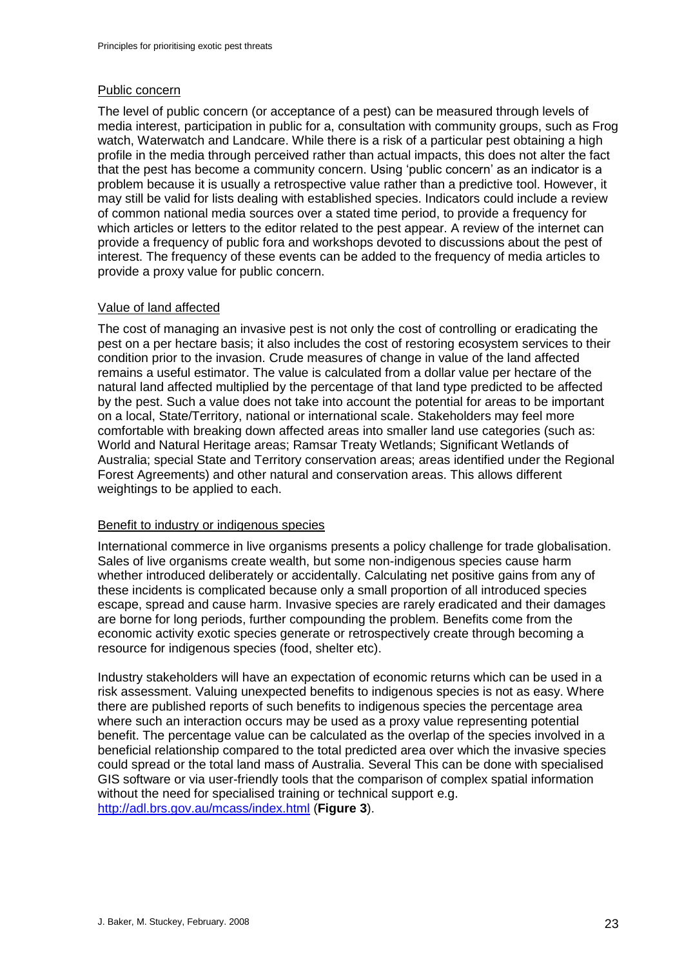#### <span id="page-22-0"></span>Public concern

The level of public concern (or acceptance of a pest) can be measured through levels of media interest, participation in public for a, consultation with community groups, such as Frog watch, Waterwatch and Landcare. While there is a risk of a particular pest obtaining a high profile in the media through perceived rather than actual impacts, this does not alter the fact that the pest has become a community concern. Using 'public concern' as an indicator is a problem because it is usually a retrospective value rather than a predictive tool. However, it may still be valid for lists dealing with established species. Indicators could include a review of common national media sources over a stated time period, to provide a frequency for which articles or letters to the editor related to the pest appear. A review of the internet can provide a frequency of public fora and workshops devoted to discussions about the pest of interest. The frequency of these events can be added to the frequency of media articles to provide a proxy value for public concern.

#### <span id="page-22-1"></span>Value of land affected

The cost of managing an invasive pest is not only the cost of controlling or eradicating the pest on a per hectare basis; it also includes the cost of restoring ecosystem services to their condition prior to the invasion. Crude measures of change in value of the land affected remains a useful estimator. The value is calculated from a dollar value per hectare of the natural land affected multiplied by the percentage of that land type predicted to be affected by the pest. Such a value does not take into account the potential for areas to be important on a local, State/Territory, national or international scale. Stakeholders may feel more comfortable with breaking down affected areas into smaller land use categories (such as: World and Natural Heritage areas; Ramsar Treaty Wetlands; Significant Wetlands of Australia; special State and Territory conservation areas; areas identified under the Regional Forest Agreements) and other natural and conservation areas. This allows different weightings to be applied to each.

#### <span id="page-22-2"></span>Benefit to industry or indigenous species

International commerce in live organisms presents a policy challenge for trade globalisation. Sales of live organisms create wealth, but some non-indigenous species cause harm whether introduced deliberately or accidentally. Calculating net positive gains from any of these incidents is complicated because only a small proportion of all introduced species escape, spread and cause harm. Invasive species are rarely eradicated and their damages are borne for long periods, further compounding the problem. Benefits come from the economic activity exotic species generate or retrospectively create through becoming a resource for indigenous species (food, shelter etc).

Industry stakeholders will have an expectation of economic returns which can be used in a risk assessment. Valuing unexpected benefits to indigenous species is not as easy. Where there are published reports of such benefits to indigenous species the percentage area where such an interaction occurs may be used as a proxy value representing potential benefit. The percentage value can be calculated as the overlap of the species involved in a beneficial relationship compared to the total predicted area over which the invasive species could spread or the total land mass of Australia. Several This can be done with specialised GIS software or via user-friendly tools that the comparison of complex spatial information without the need for specialised training or technical support e.g. <http://adl.brs.gov.au/mcass/index.html> (**[Figure 3](#page-23-1)**).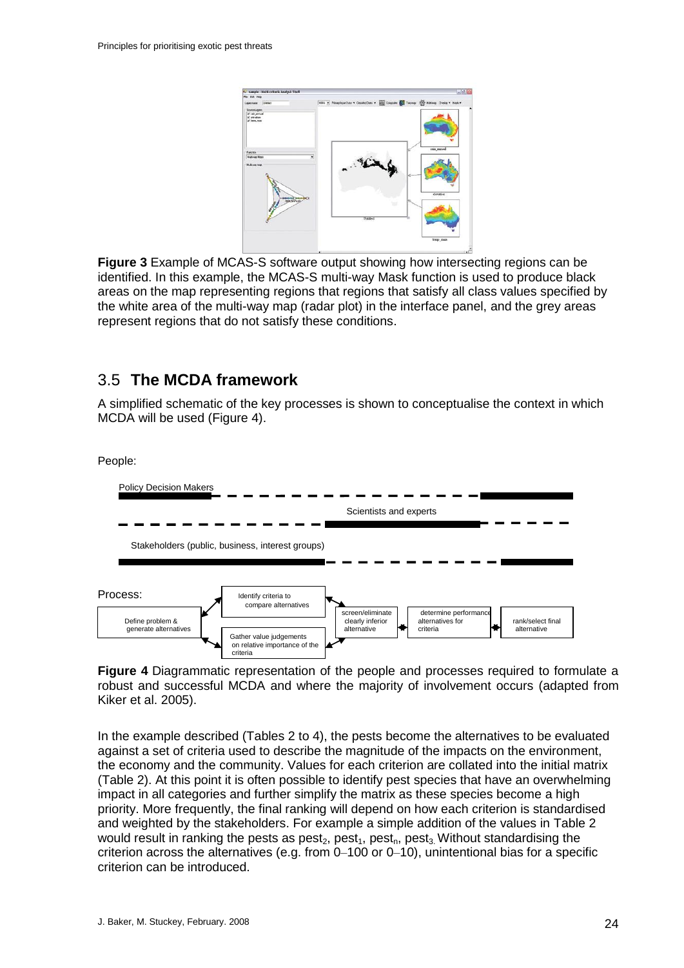

<span id="page-23-1"></span>**Figure 3** Example of MCAS-S software output showing how intersecting regions can be identified. In this example, the MCAS-S multi-way Mask function is used to produce black areas on the map representing regions that regions that satisfy all class values specified by the white area of the multi-way map (radar plot) in the interface panel, and the grey areas represent regions that do not satisfy these conditions.

## <span id="page-23-0"></span>3.5 **The MCDA framework**

A simplified schematic of the key processes is shown to conceptualise the context in which MCDA will be used [\(Figure 4\)](#page-23-2).

People:



<span id="page-23-2"></span>**Figure 4** Diagrammatic representation of the people and processes required to formulate a robust and successful MCDA and where the majority of involvement occurs (adapted from Kiker et al. 2005).

In the example described (Tables 2 to 4), the pests become the alternatives to be evaluated against a set of criteria used to describe the magnitude of the impacts on the environment, the economy and the community. Values for each criterion are collated into the initial matrix [\(Table 2\)](#page-24-0). At this point it is often possible to identify pest species that have an overwhelming impact in all categories and further simplify the matrix as these species become a high priority. More frequently, the final ranking will depend on how each criterion is standardised and weighted by the stakeholders. For example a simple addition of the values in [Table 2](#page-24-0) would result in ranking the pests as pest<sub>2</sub>, pest<sub>1</sub>, pest<sub>3</sub>. Without standardising the criterion across the alternatives (e.g. from 0–100 or 0–10), unintentional bias for a specific criterion can be introduced.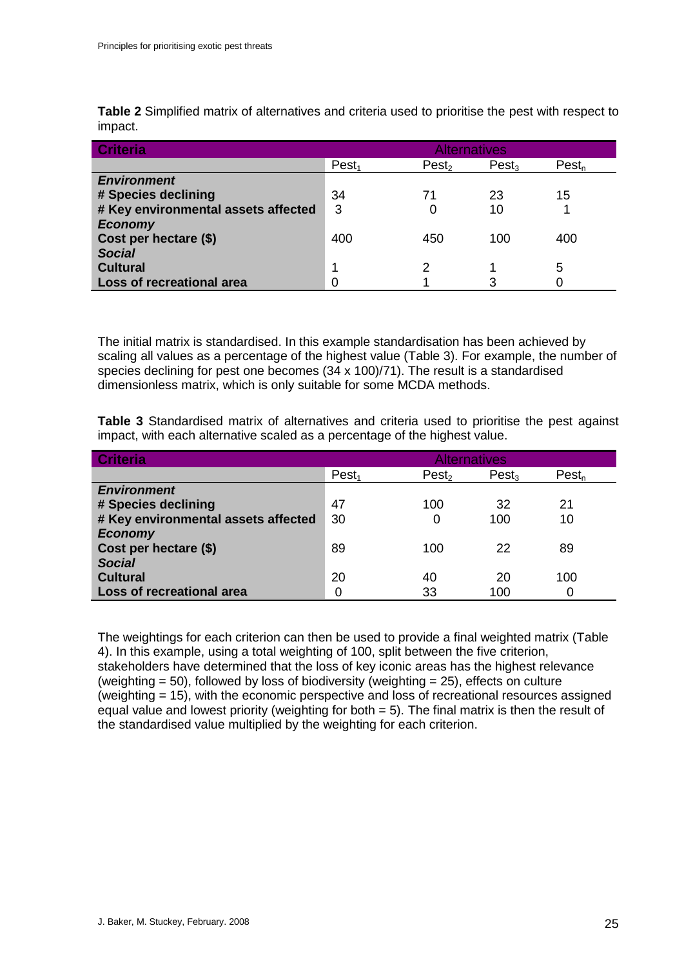<span id="page-24-0"></span>**Table 2** Simplified matrix of alternatives and criteria used to prioritise the pest with respect to impact.

| <b>Criteria</b>                     | <b>Alternatives</b> |                   |            |            |
|-------------------------------------|---------------------|-------------------|------------|------------|
|                                     | Pest <sub>1</sub>   | Pest <sub>2</sub> | $Pest_{3}$ | $Pest_{n}$ |
| <b>Environment</b>                  |                     |                   |            |            |
| # Species declining                 | 34                  | 71                | 23         | 15         |
| # Key environmental assets affected | 3                   | 0                 | 10         |            |
| <b>Economy</b>                      |                     |                   |            |            |
| Cost per hectare (\$)               | 400                 | 450               | 100        | 400        |
| <b>Social</b>                       |                     |                   |            |            |
| <b>Cultural</b>                     | 1                   |                   |            | 5          |
| <b>Loss of recreational area</b>    | 0                   |                   |            |            |

The initial matrix is standardised. In this example standardisation has been achieved by scaling all values as a percentage of the highest value [\(Table 3\)](#page-24-1). For example, the number of species declining for pest one becomes (34 x 100)/71). The result is a standardised dimensionless matrix, which is only suitable for some MCDA methods.

<span id="page-24-1"></span>**Table 3** Standardised matrix of alternatives and criteria used to prioritise the pest against impact, with each alternative scaled as a percentage of the highest value.

| <b>Criteria</b>                     | <b>Alternatives</b> |                   |                   |            |
|-------------------------------------|---------------------|-------------------|-------------------|------------|
|                                     | Pest <sub>1</sub>   | Pest <sub>2</sub> | Pest <sub>3</sub> | $Pest_{n}$ |
| <b>Environment</b>                  |                     |                   |                   |            |
| # Species declining                 | 47                  | 100               | 32                | 21         |
| # Key environmental assets affected | 30                  | 0                 | 100               | 10         |
| <b>Economy</b>                      |                     |                   |                   |            |
| Cost per hectare (\$)               | 89                  | 100               | 22                | 89         |
| <b>Social</b>                       |                     |                   |                   |            |
| <b>Cultural</b>                     | 20                  | 40                | 20                | 100        |
| Loss of recreational area           | 0                   | 33                | 100               |            |

The weightings for each criterion can then be used to provide a final weighted matrix [\(Table](#page-25-2)  [4\)](#page-25-2). In this example, using a total weighting of 100, split between the five criterion, stakeholders have determined that the loss of key iconic areas has the highest relevance (weighting  $= 50$ ), followed by loss of biodiversity (weighting  $= 25$ ), effects on culture (weighting = 15), with the economic perspective and loss of recreational resources assigned equal value and lowest priority (weighting for both  $= 5$ ). The final matrix is then the result of the standardised value multiplied by the weighting for each criterion.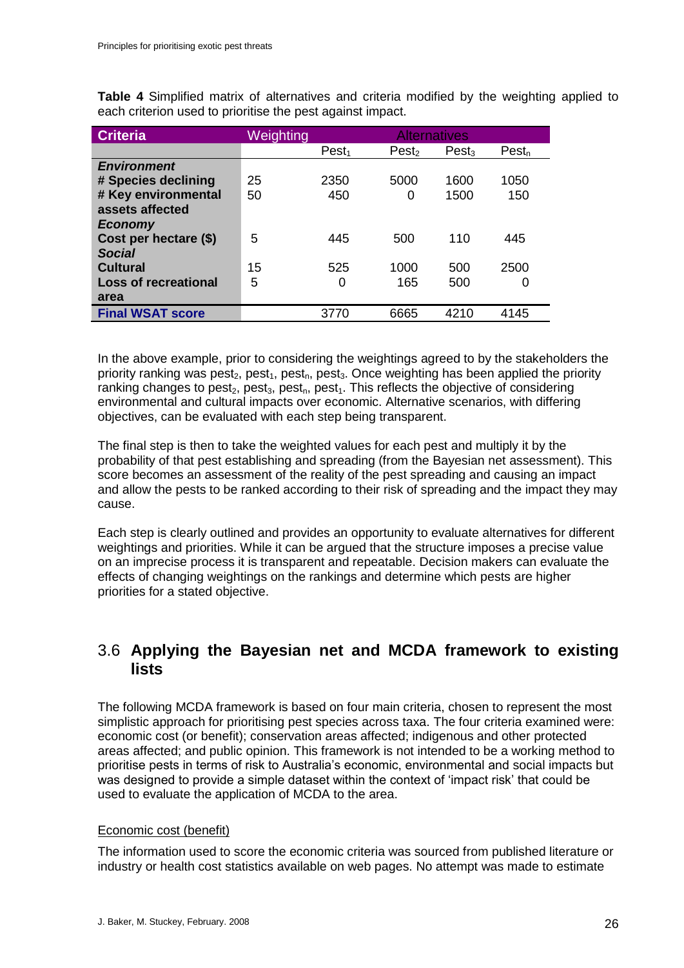| <b>Criteria</b>             | Weighting |                   | <b>Alternatives</b> |                   |            |
|-----------------------------|-----------|-------------------|---------------------|-------------------|------------|
|                             |           | Pest <sub>1</sub> | Pest <sub>2</sub>   | Pest <sub>3</sub> | $Pest_{n}$ |
| <b>Environment</b>          |           |                   |                     |                   |            |
| # Species declining         | 25        | 2350              | 5000                | 1600              | 1050       |
| # Key environmental         | 50        | 450               | 0                   | 1500              | 150        |
| assets affected             |           |                   |                     |                   |            |
| <b>Economy</b>              |           |                   |                     |                   |            |
| Cost per hectare (\$)       | 5         | 445               | 500                 | 110               | 445        |
| <b>Social</b>               |           |                   |                     |                   |            |
| <b>Cultural</b>             | 15        | 525               | 1000                | 500               | 2500       |
| <b>Loss of recreational</b> | 5         | 0                 | 165                 | 500               | O          |
| area                        |           |                   |                     |                   |            |
| <b>Final WSAT score</b>     |           | 3770              | 6665                | 4210              | 4145       |

<span id="page-25-2"></span>**Table 4** Simplified matrix of alternatives and criteria modified by the weighting applied to each criterion used to prioritise the pest against impact.

In the above example, prior to considering the weightings agreed to by the stakeholders the priority ranking was pest<sub>2</sub>, pest<sub>1</sub>, pest<sub>n</sub>, pest<sub>3</sub>. Once weighting has been applied the priority ranking changes to pest<sub>2</sub>, pest<sub>3</sub>, pest<sub>n</sub>, pest<sub>1</sub>. This reflects the objective of considering environmental and cultural impacts over economic. Alternative scenarios, with differing objectives, can be evaluated with each step being transparent.

The final step is then to take the weighted values for each pest and multiply it by the probability of that pest establishing and spreading (from the Bayesian net assessment). This score becomes an assessment of the reality of the pest spreading and causing an impact and allow the pests to be ranked according to their risk of spreading and the impact they may cause.

Each step is clearly outlined and provides an opportunity to evaluate alternatives for different weightings and priorities. While it can be argued that the structure imposes a precise value on an imprecise process it is transparent and repeatable. Decision makers can evaluate the effects of changing weightings on the rankings and determine which pests are higher priorities for a stated objective.

### <span id="page-25-0"></span>3.6 **Applying the Bayesian net and MCDA framework to existing lists**

The following MCDA framework is based on four main criteria, chosen to represent the most simplistic approach for prioritising pest species across taxa. The four criteria examined were: economic cost (or benefit); conservation areas affected; indigenous and other protected areas affected; and public opinion. This framework is not intended to be a working method to prioritise pests in terms of risk to Australia's economic, environmental and social impacts but was designed to provide a simple dataset within the context of 'impact risk' that could be used to evaluate the application of MCDA to the area.

#### <span id="page-25-1"></span>Economic cost (benefit)

The information used to score the economic criteria was sourced from published literature or industry or health cost statistics available on web pages. No attempt was made to estimate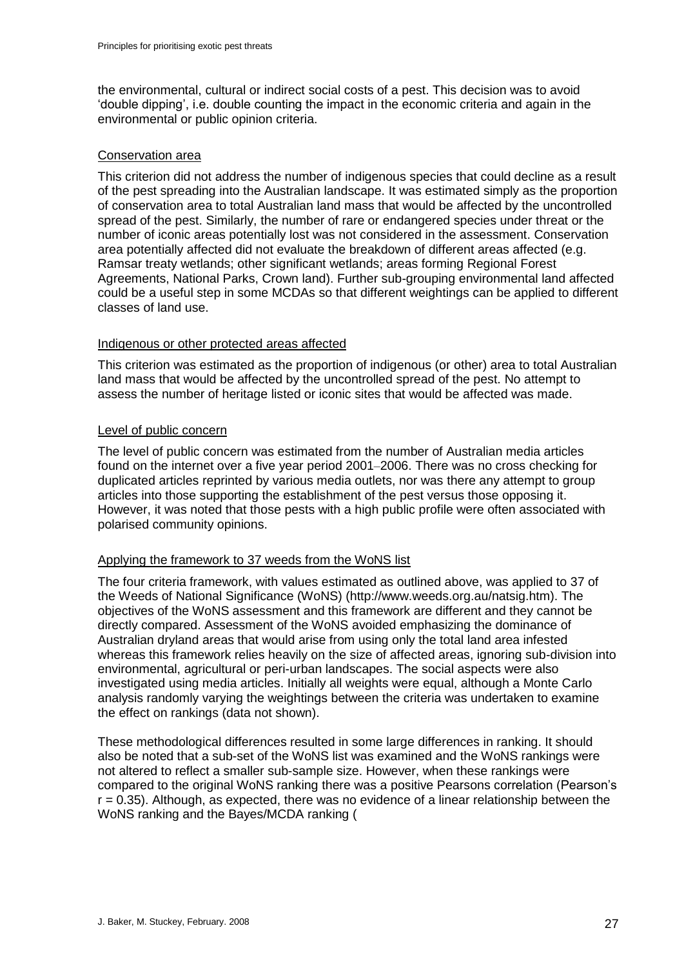the environmental, cultural or indirect social costs of a pest. This decision was to avoid 'double dipping', i.e. double counting the impact in the economic criteria and again in the environmental or public opinion criteria.

#### <span id="page-26-0"></span>Conservation area

This criterion did not address the number of indigenous species that could decline as a result of the pest spreading into the Australian landscape. It was estimated simply as the proportion of conservation area to total Australian land mass that would be affected by the uncontrolled spread of the pest. Similarly, the number of rare or endangered species under threat or the number of iconic areas potentially lost was not considered in the assessment. Conservation area potentially affected did not evaluate the breakdown of different areas affected (e.g. Ramsar treaty wetlands; other significant wetlands; areas forming Regional Forest Agreements, National Parks, Crown land). Further sub-grouping environmental land affected could be a useful step in some MCDAs so that different weightings can be applied to different classes of land use.

#### <span id="page-26-1"></span>Indigenous or other protected areas affected

This criterion was estimated as the proportion of indigenous (or other) area to total Australian land mass that would be affected by the uncontrolled spread of the pest. No attempt to assess the number of heritage listed or iconic sites that would be affected was made.

#### <span id="page-26-2"></span>Level of public concern

The level of public concern was estimated from the number of Australian media articles found on the internet over a five year period 2001–2006. There was no cross checking for duplicated articles reprinted by various media outlets, nor was there any attempt to group articles into those supporting the establishment of the pest versus those opposing it. However, it was noted that those pests with a high public profile were often associated with polarised community opinions.

#### <span id="page-26-3"></span>Applying the framework to 37 weeds from the WoNS list

The four criteria framework, with values estimated as outlined above, was applied to 37 of the Weeds of National Significance (WoNS) (http://www.weeds.org.au/natsig.htm). The objectives of the WoNS assessment and this framework are different and they cannot be directly compared. Assessment of the WoNS avoided emphasizing the dominance of Australian dryland areas that would arise from using only the total land area infested whereas this framework relies heavily on the size of affected areas, ignoring sub-division into environmental, agricultural or peri-urban landscapes. The social aspects were also investigated using media articles. Initially all weights were equal, although a Monte Carlo analysis randomly varying the weightings between the criteria was undertaken to examine the effect on rankings (data not shown).

These methodological differences resulted in some large differences in ranking. It should also be noted that a sub-set of the WoNS list was examined and the WoNS rankings were not altered to reflect a smaller sub-sample size. However, when these rankings were compared to the original WoNS ranking there was a positive Pearsons correlation (Pearson's  $r = 0.35$ ). Although, as expected, there was no evidence of a linear relationship between the WoNS ranking and the Bayes/MCDA ranking (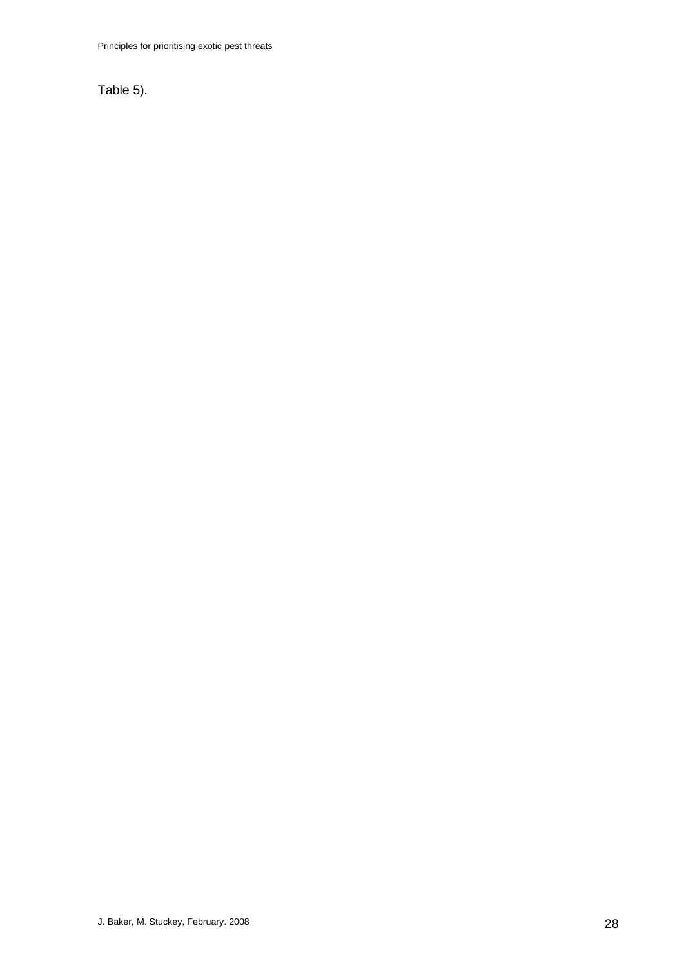Table 5).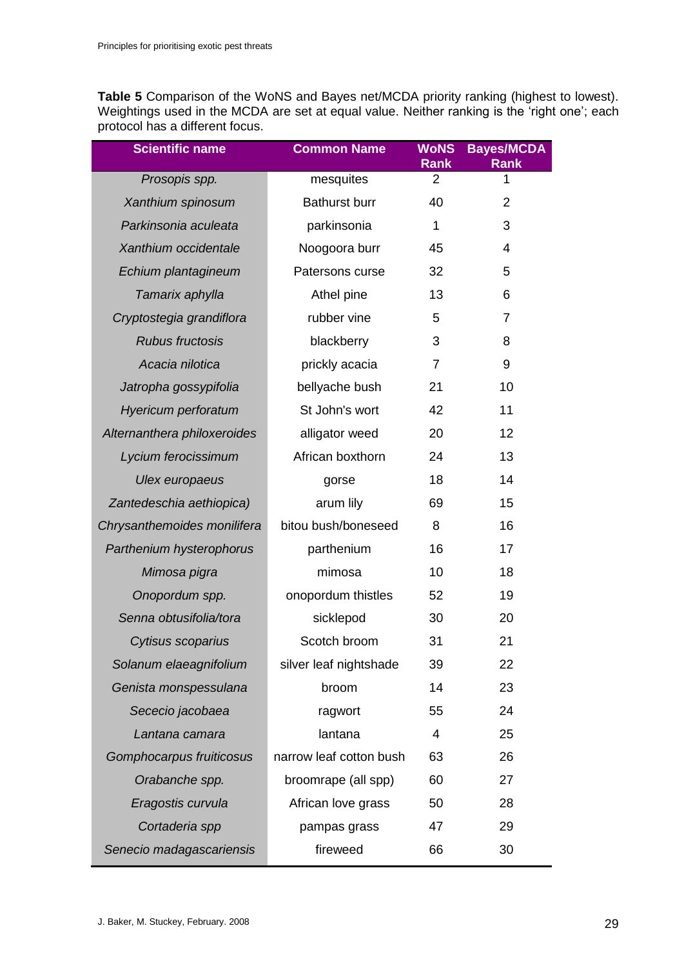<span id="page-28-0"></span>**Table 5** Comparison of the WoNS and Bayes net/MCDA priority ranking (highest to lowest). Weightings used in the MCDA are set at equal value. Neither ranking is the 'right one'; each protocol has a different focus.

| <b>Scientific name</b>      | <b>Common Name</b>      | <b>WoNS</b><br><b>Rank</b> | <b>Bayes/MCDA</b><br><b>Rank</b> |
|-----------------------------|-------------------------|----------------------------|----------------------------------|
| Prosopis spp.               | mesquites               | 2                          | 1                                |
| Xanthium spinosum           | <b>Bathurst burr</b>    | 40                         | $\overline{2}$                   |
| Parkinsonia aculeata        | parkinsonia             | 1                          | 3                                |
| Xanthium occidentale        | Noogoora burr           | 45                         | 4                                |
| Echium plantagineum         | Patersons curse         | 32                         | 5                                |
| Tamarix aphylla             | Athel pine              | 13                         | 6                                |
| Cryptostegia grandiflora    | rubber vine             | 5                          | $\overline{7}$                   |
| <b>Rubus fructosis</b>      | blackberry              | 3                          | 8                                |
| Acacia nilotica             | prickly acacia          | $\overline{7}$             | 9                                |
| Jatropha gossypifolia       | bellyache bush          | 21                         | 10                               |
| Hyericum perforatum         | St John's wort          | 42                         | 11                               |
| Alternanthera philoxeroides | alligator weed          | 20                         | 12                               |
| Lycium ferocissimum         | African boxthorn        | 24                         | 13                               |
| Ulex europaeus              | gorse                   | 18                         | 14                               |
| Zantedeschia aethiopica)    | arum lily               | 69                         | 15                               |
| Chrysanthemoides monilifera | bitou bush/boneseed     | 8                          | 16                               |
| Parthenium hysterophorus    | parthenium              | 16                         | 17                               |
| Mimosa pigra                | mimosa                  | 10                         | 18                               |
| Onopordum spp.              | onopordum thistles      | 52                         | 19                               |
| Senna obtusifolia/tora      | sicklepod               | 30                         | 20                               |
| Cytisus scoparius           | Scotch broom            | 31                         | 21                               |
| Solanum elaeagnifolium      | silver leaf nightshade  | 39                         | 22                               |
| Genista monspessulana       | broom                   | 14                         | 23                               |
| Sececio jacobaea            | ragwort                 | 55                         | 24                               |
| Lantana camara              | lantana                 | 4                          | 25                               |
| Gomphocarpus fruiticosus    | narrow leaf cotton bush | 63                         | 26                               |
| Orabanche spp.              | broomrape (all spp)     | 60                         | 27                               |
| Eragostis curvula           | African love grass      | 50                         | 28                               |
| Cortaderia spp              | pampas grass            | 47                         | 29                               |
| Senecio madagascariensis    | fireweed                | 66                         | 30                               |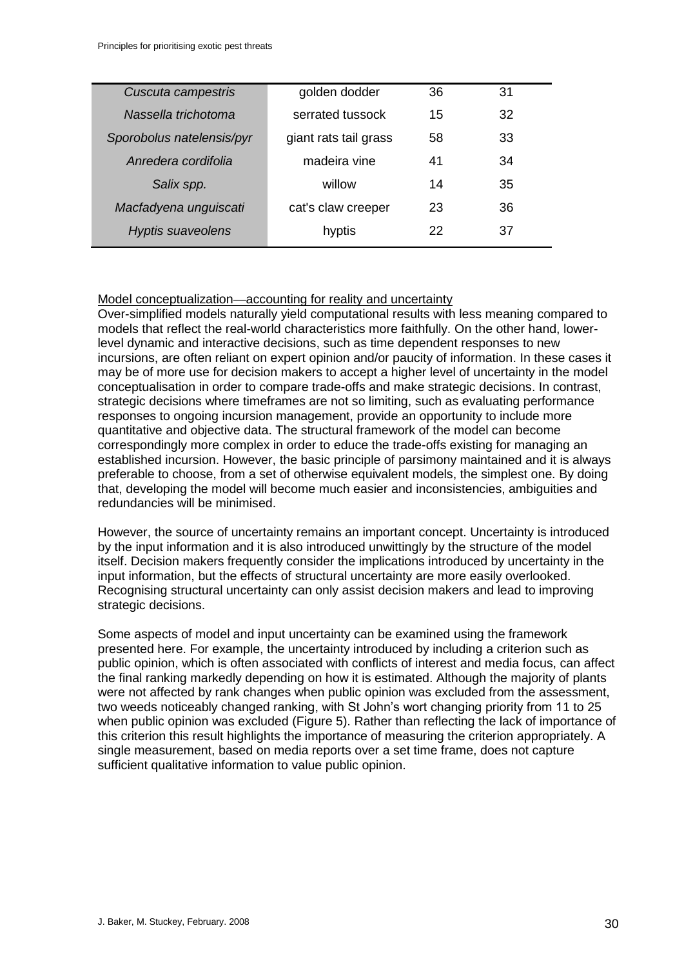| Cuscuta campestris        | golden dodder         | 36 | 31 |  |
|---------------------------|-----------------------|----|----|--|
| Nassella trichotoma       | serrated tussock      | 15 | 32 |  |
| Sporobolus natelensis/pyr | giant rats tail grass | 58 | 33 |  |
| Anredera cordifolia       | madeira vine          | 41 | 34 |  |
| Salix spp.                | willow                | 14 | 35 |  |
| Macfadyena unguiscati     | cat's claw creeper    | 23 | 36 |  |
| Hyptis suaveolens         | hyptis                | 22 | 37 |  |
|                           |                       |    |    |  |

#### Model conceptualization—accounting for reality and uncertainty

Over-simplified models naturally yield computational results with less meaning compared to models that reflect the real-world characteristics more faithfully. On the other hand, lowerlevel dynamic and interactive decisions, such as time dependent responses to new incursions, are often reliant on expert opinion and/or paucity of information. In these cases it may be of more use for decision makers to accept a higher level of uncertainty in the model conceptualisation in order to compare trade-offs and make strategic decisions. In contrast, strategic decisions where timeframes are not so limiting, such as evaluating performance responses to ongoing incursion management, provide an opportunity to include more quantitative and objective data. The structural framework of the model can become correspondingly more complex in order to educe the trade-offs existing for managing an established incursion. However, the basic principle of parsimony maintained and it is always preferable to choose, from a set of otherwise equivalent models, the simplest one. By doing that, developing the model will become much easier and inconsistencies, ambiguities and redundancies will be minimised.

However, the source of uncertainty remains an important concept. Uncertainty is introduced by the input information and it is also introduced unwittingly by the structure of the model itself. Decision makers frequently consider the implications introduced by uncertainty in the input information, but the effects of structural uncertainty are more easily overlooked. Recognising structural uncertainty can only assist decision makers and lead to improving strategic decisions.

Some aspects of model and input uncertainty can be examined using the framework presented here. For example, the uncertainty introduced by including a criterion such as public opinion, which is often associated with conflicts of interest and media focus, can affect the final ranking markedly depending on how it is estimated. Although the majority of plants were not affected by rank changes when public opinion was excluded from the assessment, two weeds noticeably changed ranking, with St John's wort changing priority from 11 to 25 when public opinion was excluded ([Figure 5](#page-30-1)). Rather than reflecting the lack of importance of this criterion this result highlights the importance of measuring the criterion appropriately. A single measurement, based on media reports over a set time frame, does not capture sufficient qualitative information to value public opinion.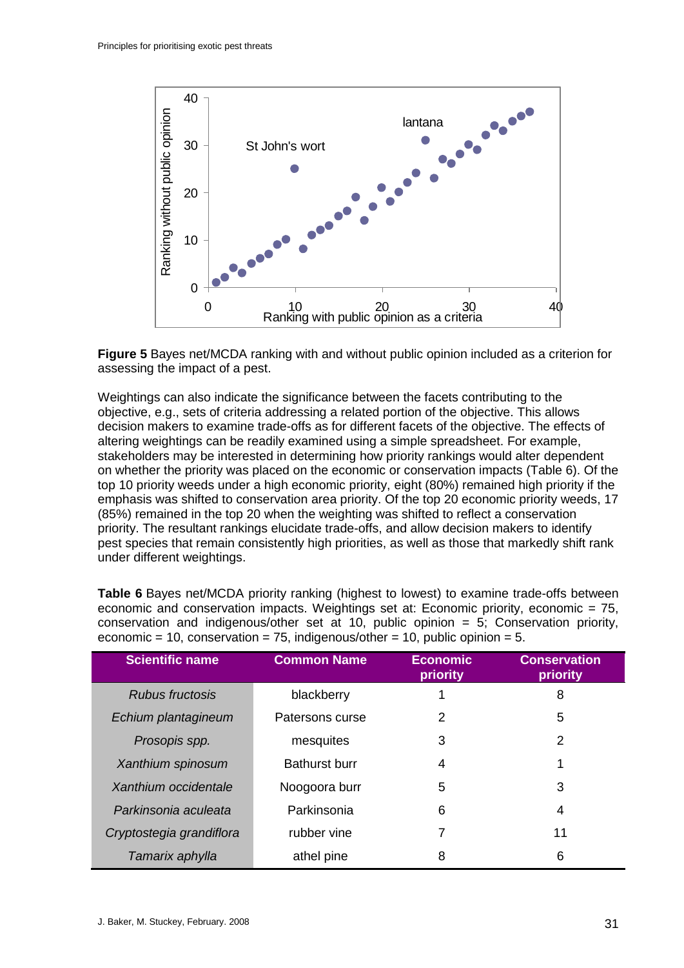

<span id="page-30-1"></span>**Figure 5** Bayes net/MCDA ranking with and without public opinion included as a criterion for assessing the impact of a pest.

Weightings can also indicate the significance between the facets contributing to the objective, e.g., sets of criteria addressing a related portion of the objective. This allows decision makers to examine trade-offs as for different facets of the objective. The effects of altering weightings can be readily examined using a simple spreadsheet. For example, stakeholders may be interested in determining how priority rankings would alter dependent on whether the priority was placed on the economic or conservation impacts ([Table 6](#page-30-0)). Of the top 10 priority weeds under a high economic priority, eight (80%) remained high priority if the emphasis was shifted to conservation area priority. Of the top 20 economic priority weeds, 17 (85%) remained in the top 20 when the weighting was shifted to reflect a conservation priority. The resultant rankings elucidate trade-offs, and allow decision makers to identify pest species that remain consistently high priorities, as well as those that markedly shift rank under different weightings.

| <b>Scientific name</b>   | <b>Common Name</b>   | <b>Economic</b><br>priority | <b>Conservation</b><br>priority |
|--------------------------|----------------------|-----------------------------|---------------------------------|
| Rubus fructosis          | blackberry           |                             | 8                               |
| Echium plantagineum      | Patersons curse      | 2                           | 5                               |
| Prosopis spp.            | mesquites            | 3                           | 2                               |
| Xanthium spinosum        | <b>Bathurst burr</b> | 4                           |                                 |
| Xanthium occidentale     | Noogoora burr        | 5                           | 3                               |
| Parkinsonia aculeata     | Parkinsonia          | 6                           | 4                               |
| Cryptostegia grandiflora | rubber vine          |                             | 11                              |
| Tamarix aphylla          | athel pine           | 8                           | 6                               |

<span id="page-30-0"></span>**Table 6** Bayes net/MCDA priority ranking (highest to lowest) to examine trade-offs between economic and conservation impacts. Weightings set at: Economic priority, economic = 75, conservation and indigenous/other set at 10, public opinion  $= 5$ ; Conservation priority, economic = 10, conservation = 75, indigenous/other = 10, public opinion = 5.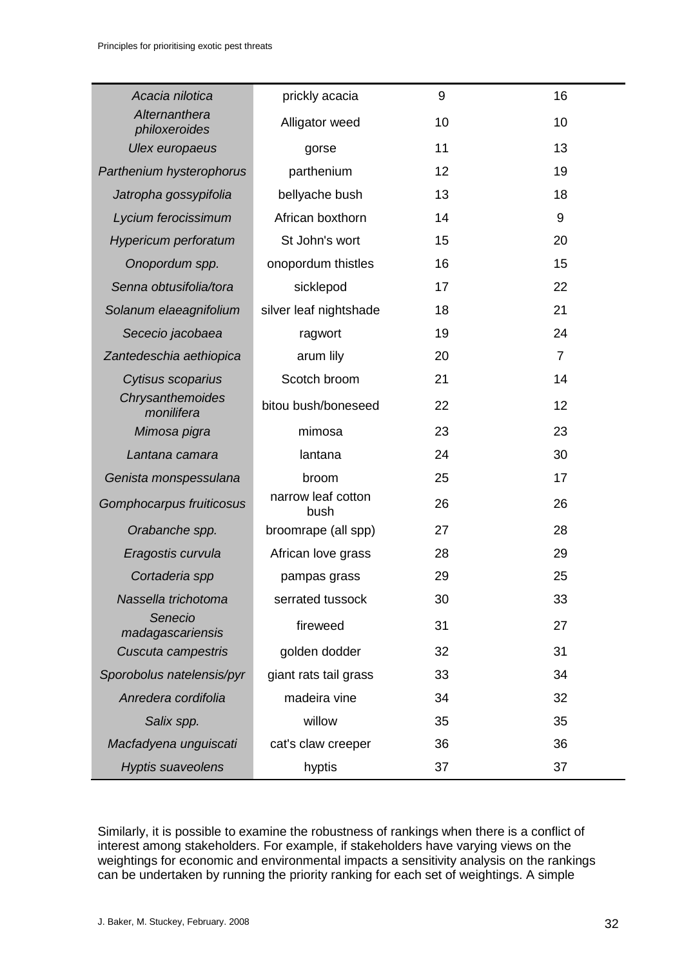| Acacia nilotica                | prickly acacia             | 9  | 16             |
|--------------------------------|----------------------------|----|----------------|
| Alternanthera<br>philoxeroides | Alligator weed             | 10 | 10             |
| Ulex europaeus                 | gorse                      | 11 | 13             |
| Parthenium hysterophorus       | parthenium                 | 12 | 19             |
| Jatropha gossypifolia          | bellyache bush             | 13 | 18             |
| Lycium ferocissimum            | African boxthorn           | 14 | $9\,$          |
| <b>Hypericum perforatum</b>    | St John's wort             | 15 | 20             |
| Onopordum spp.                 | onopordum thistles         | 16 | 15             |
| Senna obtusifolia/tora         | sicklepod                  | 17 | 22             |
| Solanum elaeagnifolium         | silver leaf nightshade     | 18 | 21             |
| Sececio jacobaea               | ragwort                    | 19 | 24             |
| Zantedeschia aethiopica        | arum lily                  | 20 | $\overline{7}$ |
| Cytisus scoparius              | Scotch broom               | 21 | 14             |
| Chrysanthemoides<br>monilifera | bitou bush/boneseed        | 22 | 12             |
| Mimosa pigra                   | mimosa                     | 23 | 23             |
| Lantana camara                 | lantana                    | 24 | 30             |
| Genista monspessulana          | broom                      | 25 | 17             |
| Gomphocarpus fruiticosus       | narrow leaf cotton<br>bush | 26 | 26             |
| Orabanche spp.                 | broomrape (all spp)        | 27 | 28             |
| Eragostis curvula              | African love grass         | 28 | 29             |
| Cortaderia spp                 | pampas grass               | 29 | 25             |
| Nassella trichotoma            | serrated tussock           | 30 | 33             |
| Senecio<br>madagascariensis    | fireweed                   | 31 | 27             |
| Cuscuta campestris             | golden dodder              | 32 | 31             |
| Sporobolus natelensis/pyr      | giant rats tail grass      | 33 | 34             |
| Anredera cordifolia            | madeira vine               | 34 | 32             |
| Salix spp.                     | willow                     | 35 | 35             |
| Macfadyena unguiscati          | cat's claw creeper         | 36 | 36             |
| <b>Hyptis suaveolens</b>       | hyptis                     | 37 | 37             |

Similarly, it is possible to examine the robustness of rankings when there is a conflict of interest among stakeholders. For example, if stakeholders have varying views on the weightings for economic and environmental impacts a sensitivity analysis on the rankings can be undertaken by running the priority ranking for each set of weightings. A simple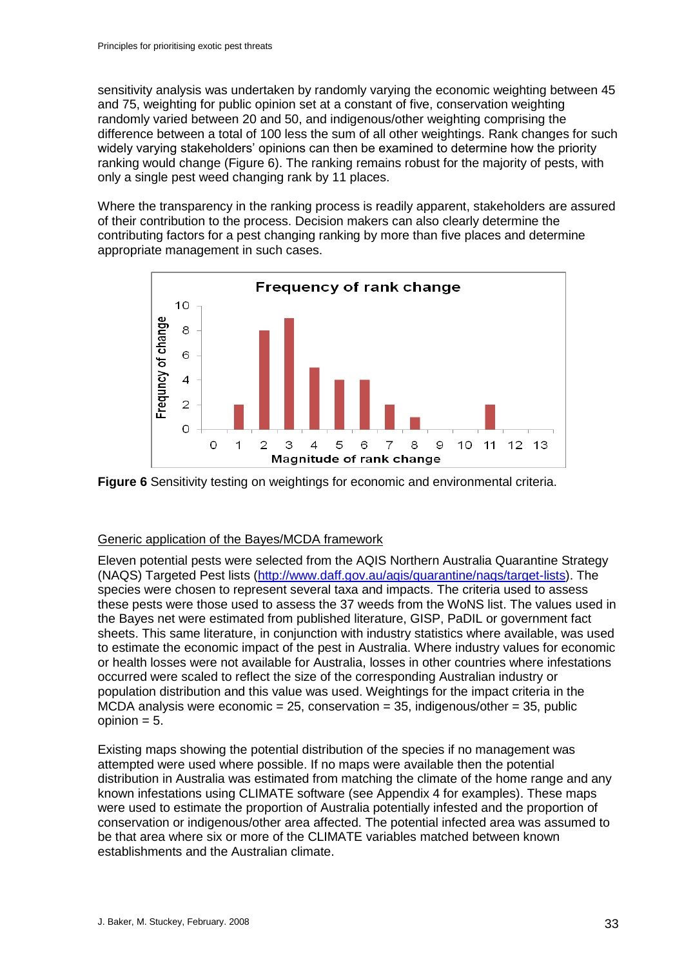sensitivity analysis was undertaken by randomly varying the economic weighting between 45 and 75, weighting for public opinion set at a constant of five, conservation weighting randomly varied between 20 and 50, and indigenous/other weighting comprising the difference between a total of 100 less the sum of all other weightings. Rank changes for such widely varying stakeholders' opinions can then be examined to determine how the priority ranking would change [\(Figure 6\)](#page-32-1). The ranking remains robust for the majority of pests, with only a single pest weed changing rank by 11 places.

Where the transparency in the ranking process is readily apparent, stakeholders are assured of their contribution to the process. Decision makers can also clearly determine the contributing factors for a pest changing ranking by more than five places and determine appropriate management in such cases.



<span id="page-32-1"></span>

#### <span id="page-32-0"></span>Generic application of the Bayes/MCDA framework

Eleven potential pests were selected from the AQIS Northern Australia Quarantine Strategy (NAQS) Targeted Pest lists [\(http://www.daff.gov.au/aqis/quarantine/naqs/target-lists\)](http://www.daff.gov.au/aqis/quarantine/naqs/target-lists). The species were chosen to represent several taxa and impacts. The criteria used to assess these pests were those used to assess the 37 weeds from the WoNS list. The values used in the Bayes net were estimated from published literature, GISP, PaDIL or government fact sheets. This same literature, in conjunction with industry statistics where available, was used to estimate the economic impact of the pest in Australia. Where industry values for economic or health losses were not available for Australia, losses in other countries where infestations occurred were scaled to reflect the size of the corresponding Australian industry or population distribution and this value was used. Weightings for the impact criteria in the MCDA analysis were economic = 25, conservation =  $35$ , indigenous/other =  $35$ , public opinion  $= 5$ .

Existing maps showing the potential distribution of the species if no management was attempted were used where possible. If no maps were available then the potential distribution in Australia was estimated from matching the climate of the home range and any known infestations using CLIMATE software (see Appendix 4 for examples). These maps were used to estimate the proportion of Australia potentially infested and the proportion of conservation or indigenous/other area affected. The potential infected area was assumed to be that area where six or more of the CLIMATE variables matched between known establishments and the Australian climate.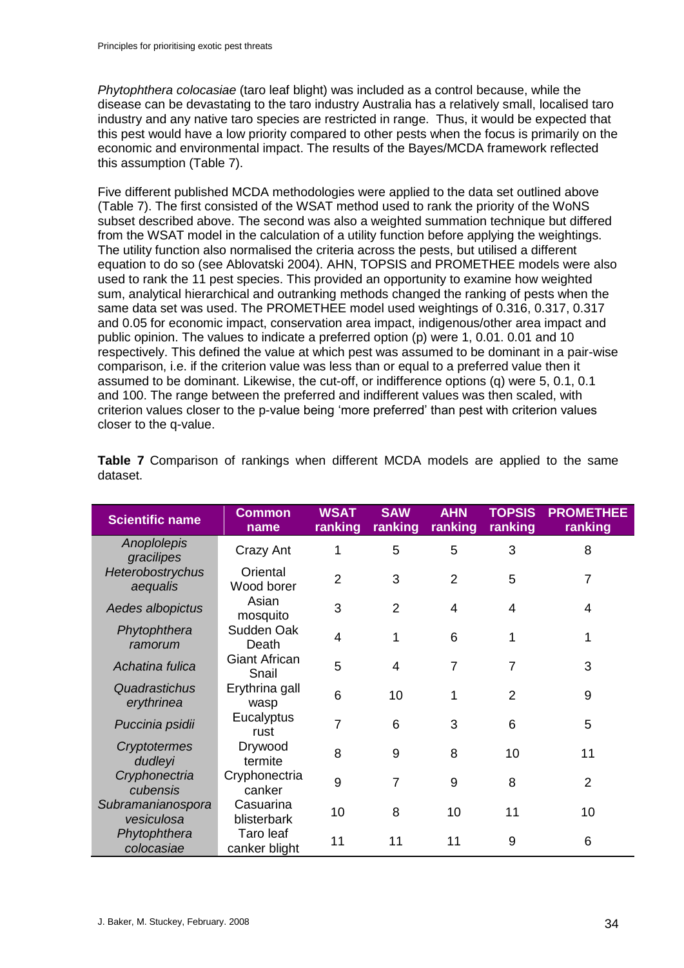*Phytophthera colocasiae* (taro leaf blight) was included as a control because, while the disease can be devastating to the taro industry Australia has a relatively small, localised taro industry and any native taro species are restricted in range. Thus, it would be expected that this pest would have a low priority compared to other pests when the focus is primarily on the economic and environmental impact. The results of the Bayes/MCDA framework reflected this assumption ([Table 7](#page-33-0)).

Five different published MCDA methodologies were applied to the data set outlined above ([Table 7](#page-33-0)). The first consisted of the WSAT method used to rank the priority of the WoNS subset described above. The second was also a weighted summation technique but differed from the WSAT model in the calculation of a utility function before applying the weightings. The utility function also normalised the criteria across the pests, but utilised a different equation to do so (see Ablovatski 2004). AHN, TOPSIS and PROMETHEE models were also used to rank the 11 pest species. This provided an opportunity to examine how weighted sum, analytical hierarchical and outranking methods changed the ranking of pests when the same data set was used. The PROMETHEE model used weightings of 0.316, 0.317, 0.317 and 0.05 for economic impact, conservation area impact, indigenous/other area impact and public opinion. The values to indicate a preferred option (p) were 1, 0.01. 0.01 and 10 respectively. This defined the value at which pest was assumed to be dominant in a pair-wise comparison, i.e. if the criterion value was less than or equal to a preferred value then it assumed to be dominant. Likewise, the cut-off, or indifference options (q) were 5, 0.1, 0.1 and 100. The range between the preferred and indifferent values was then scaled, with criterion values closer to the p-value being 'more preferred' than pest with criterion values closer to the q-value.

| <b>Scientific name</b>          | <b>Common</b><br>name         | <b>WSAT</b><br>ranking | <b>SAW</b><br>ranking | <b>AHN</b><br>ranking | <b>TOPSIS</b><br>ranking | <b>PROMETHEE</b><br>ranking |
|---------------------------------|-------------------------------|------------------------|-----------------------|-----------------------|--------------------------|-----------------------------|
| Anoplolepis<br>gracilipes       | Crazy Ant                     | 1                      | 5                     | 5                     | 3                        | 8                           |
| Heterobostrychus<br>aequalis    | Oriental<br>Wood borer        | $\overline{2}$         | 3                     | $\overline{2}$        | 5                        | 7                           |
| Aedes albopictus                | Asian<br>mosquito             | 3                      | $\overline{2}$        | 4                     | 4                        | 4                           |
| Phytophthera<br>ramorum         | Sudden Oak<br>Death           | 4                      | 1                     | 6                     | 1                        | 1                           |
| Achatina fulica                 | <b>Giant African</b><br>Snail | 5                      | 4                     | $\overline{7}$        | $\overline{7}$           | 3                           |
| Quadrastichus<br>erythrinea     | Erythrina gall<br>wasp        | 6                      | 10                    | 1                     | $\overline{2}$           | 9                           |
| Puccinia psidii                 | Eucalyptus<br>rust            | 7                      | 6                     | 3                     | 6                        | 5                           |
| Cryptotermes<br>dudleyi         | Drywood<br>termite            | 8                      | 9                     | 8                     | 10                       | 11                          |
| Cryphonectria<br>cubensis       | Cryphonectria<br>canker       | 9                      | $\overline{7}$        | 9                     | 8                        | $\overline{2}$              |
| Subramanianospora<br>vesiculosa | Casuarina<br>blisterbark      | 10                     | 8                     | 10                    | 11                       | 10                          |
| Phytophthera<br>colocasiae      | Taro leaf<br>canker blight    | 11                     | 11                    | 11                    | 9                        | 6                           |

<span id="page-33-0"></span>**Table 7** Comparison of rankings when different MCDA models are applied to the same dataset.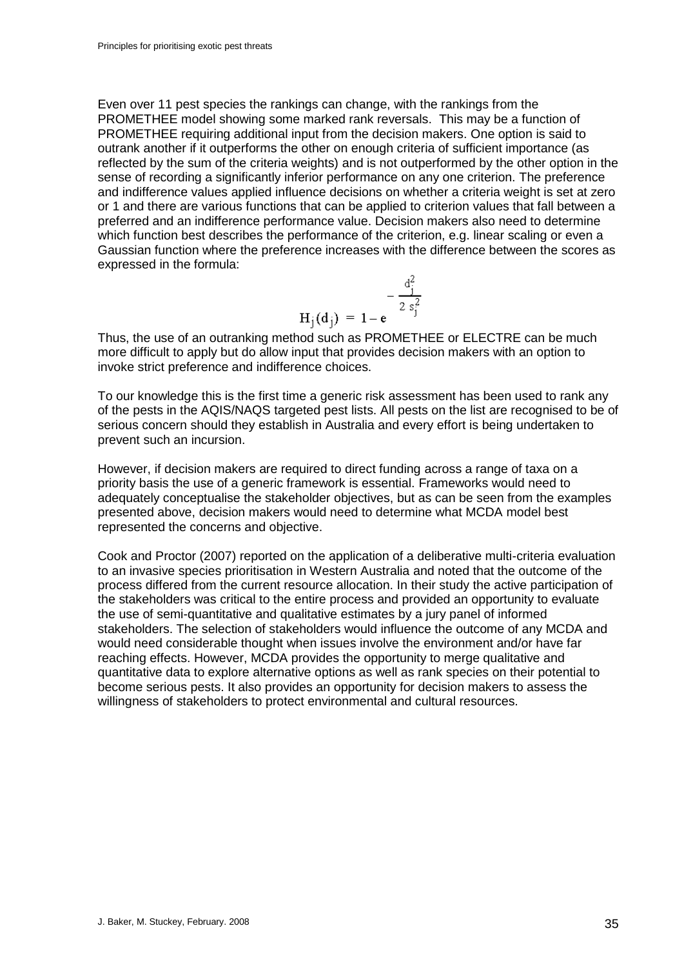Even over 11 pest species the rankings can change, with the rankings from the PROMETHEE model showing some marked rank reversals. This may be a function of PROMETHEE requiring additional input from the decision makers. One option is said to outrank another if it outperforms the other on enough criteria of sufficient importance (as reflected by the sum of the criteria weights) and is not outperformed by the other option in the sense of recording a significantly inferior performance on any one criterion. The preference and indifference values applied influence decisions on whether a criteria weight is set at zero or 1 and there are various functions that can be applied to criterion values that fall between a preferred and an indifference performance value. Decision makers also need to determine which function best describes the performance of the criterion, e.g. linear scaling or even a Gaussian function where the preference increases with the difference between the scores as expressed in the formula:

$$
-\frac{d_j^2}{2 s_j^2}
$$
  
H<sub>j</sub>(d<sub>j</sub>) = 1-e

Thus, the use of an outranking method such as PROMETHEE or ELECTRE can be much more difficult to apply but do allow input that provides decision makers with an option to invoke strict preference and indifference choices.

To our knowledge this is the first time a generic risk assessment has been used to rank any of the pests in the AQIS/NAQS targeted pest lists. All pests on the list are recognised to be of serious concern should they establish in Australia and every effort is being undertaken to prevent such an incursion.

However, if decision makers are required to direct funding across a range of taxa on a priority basis the use of a generic framework is essential. Frameworks would need to adequately conceptualise the stakeholder objectives, but as can be seen from the examples presented above, decision makers would need to determine what MCDA model best represented the concerns and objective.

Cook and Proctor (2007) reported on the application of a deliberative multi-criteria evaluation to an invasive species prioritisation in Western Australia and noted that the outcome of the process differed from the current resource allocation. In their study the active participation of the stakeholders was critical to the entire process and provided an opportunity to evaluate the use of semi-quantitative and qualitative estimates by a jury panel of informed stakeholders. The selection of stakeholders would influence the outcome of any MCDA and would need considerable thought when issues involve the environment and/or have far reaching effects. However, MCDA provides the opportunity to merge qualitative and quantitative data to explore alternative options as well as rank species on their potential to become serious pests. It also provides an opportunity for decision makers to assess the willingness of stakeholders to protect environmental and cultural resources.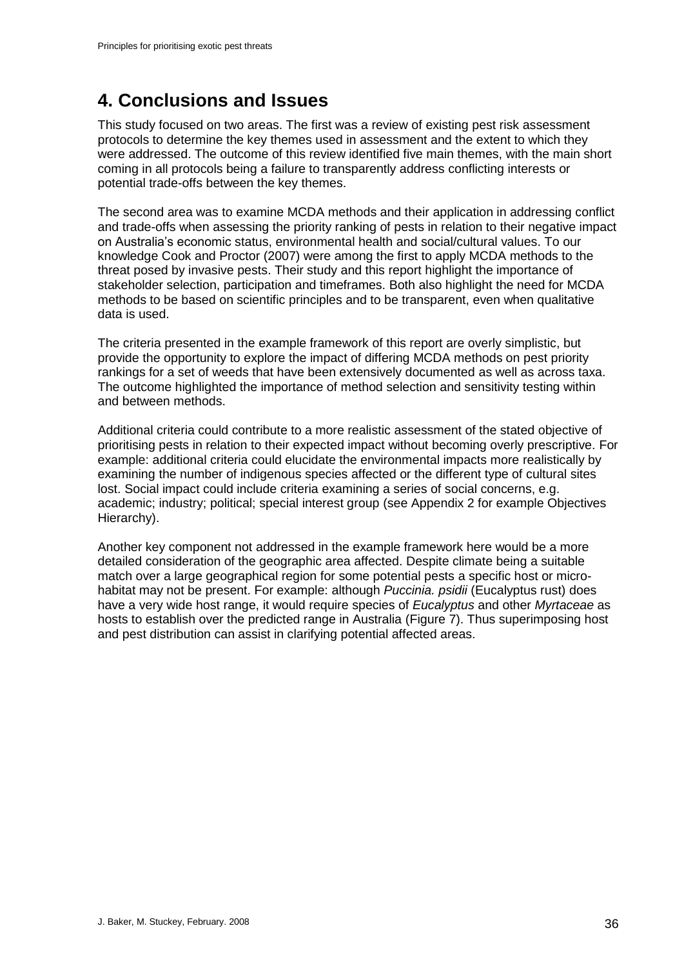# <span id="page-35-0"></span>**4. Conclusions and Issues**

This study focused on two areas. The first was a review of existing pest risk assessment protocols to determine the key themes used in assessment and the extent to which they were addressed. The outcome of this review identified five main themes, with the main short coming in all protocols being a failure to transparently address conflicting interests or potential trade-offs between the key themes.

The second area was to examine MCDA methods and their application in addressing conflict and trade-offs when assessing the priority ranking of pests in relation to their negative impact on Australia's economic status, environmental health and social/cultural values. To our knowledge Cook and Proctor (2007) were among the first to apply MCDA methods to the threat posed by invasive pests. Their study and this report highlight the importance of stakeholder selection, participation and timeframes. Both also highlight the need for MCDA methods to be based on scientific principles and to be transparent, even when qualitative data is used.

The criteria presented in the example framework of this report are overly simplistic, but provide the opportunity to explore the impact of differing MCDA methods on pest priority rankings for a set of weeds that have been extensively documented as well as across taxa. The outcome highlighted the importance of method selection and sensitivity testing within and between methods.

Additional criteria could contribute to a more realistic assessment of the stated objective of prioritising pests in relation to their expected impact without becoming overly prescriptive. For example: additional criteria could elucidate the environmental impacts more realistically by examining the number of indigenous species affected or the different type of cultural sites lost. Social impact could include criteria examining a series of social concerns, e.g. academic; industry; political; special interest group (see Appendix 2 for example Objectives Hierarchy).

Another key component not addressed in the example framework here would be a more detailed consideration of the geographic area affected. Despite climate being a suitable match over a large geographical region for some potential pests a specific host or microhabitat may not be present. For example: although *Puccinia. psidii* (Eucalyptus rust) does have a very wide host range, it would require species of *Eucalyptus* and other *Myrtaceae* as hosts to establish over the predicted range in Australia ([Figure 7](#page-36-0)). Thus superimposing host and pest distribution can assist in clarifying potential affected areas.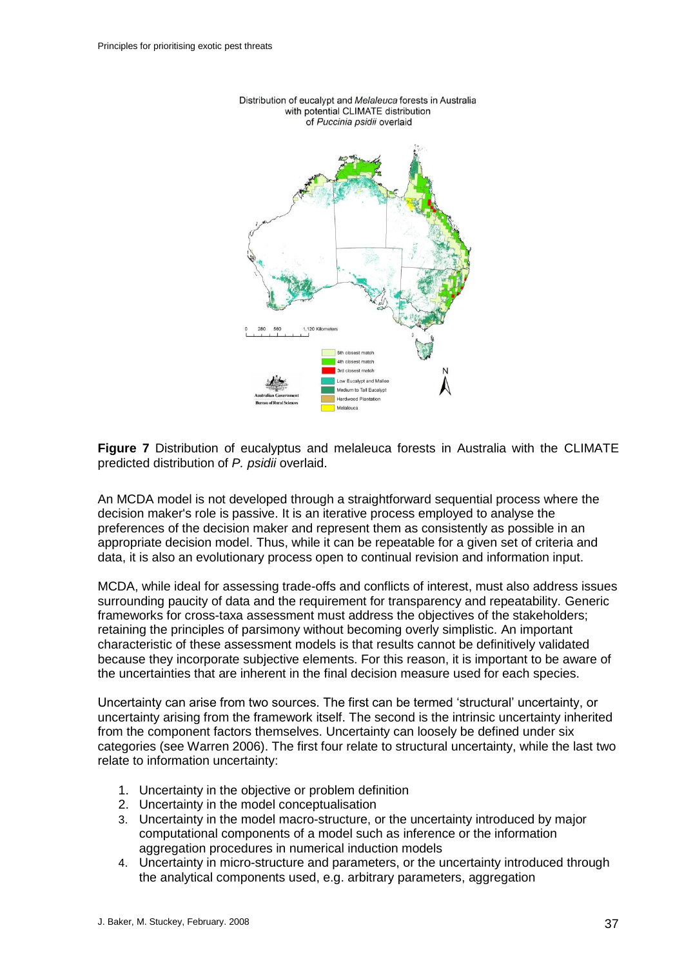

Distribution of eucalypt and Melaleuca forests in Australia with potential CLIMATE distribution of Puccinia psidii overlaid

<span id="page-36-0"></span>**Figure 7** Distribution of eucalyptus and melaleuca forests in Australia with the CLIMATE predicted distribution of *P. psidii* overlaid.

An MCDA model is not developed through a straightforward sequential process where the decision maker's role is passive. It is an iterative process employed to analyse the preferences of the decision maker and represent them as consistently as possible in an appropriate decision model. Thus, while it can be repeatable for a given set of criteria and data, it is also an evolutionary process open to continual revision and information input.

MCDA, while ideal for assessing trade-offs and conflicts of interest, must also address issues surrounding paucity of data and the requirement for transparency and repeatability. Generic frameworks for cross-taxa assessment must address the objectives of the stakeholders; retaining the principles of parsimony without becoming overly simplistic. An important characteristic of these assessment models is that results cannot be definitively validated because they incorporate subjective elements. For this reason, it is important to be aware of the uncertainties that are inherent in the final decision measure used for each species.

Uncertainty can arise from two sources. The first can be termed 'structural' uncertainty, or uncertainty arising from the framework itself. The second is the intrinsic uncertainty inherited from the component factors themselves. Uncertainty can loosely be defined under six categories (see Warren 2006). The first four relate to structural uncertainty, while the last two relate to information uncertainty:

- 1. Uncertainty in the objective or problem definition
- 2. Uncertainty in the model conceptualisation
- 3. Uncertainty in the model macro-structure, or the uncertainty introduced by major computational components of a model such as inference or the information aggregation procedures in numerical induction models
- 4. Uncertainty in micro-structure and parameters, or the uncertainty introduced through the analytical components used, e.g. arbitrary parameters, aggregation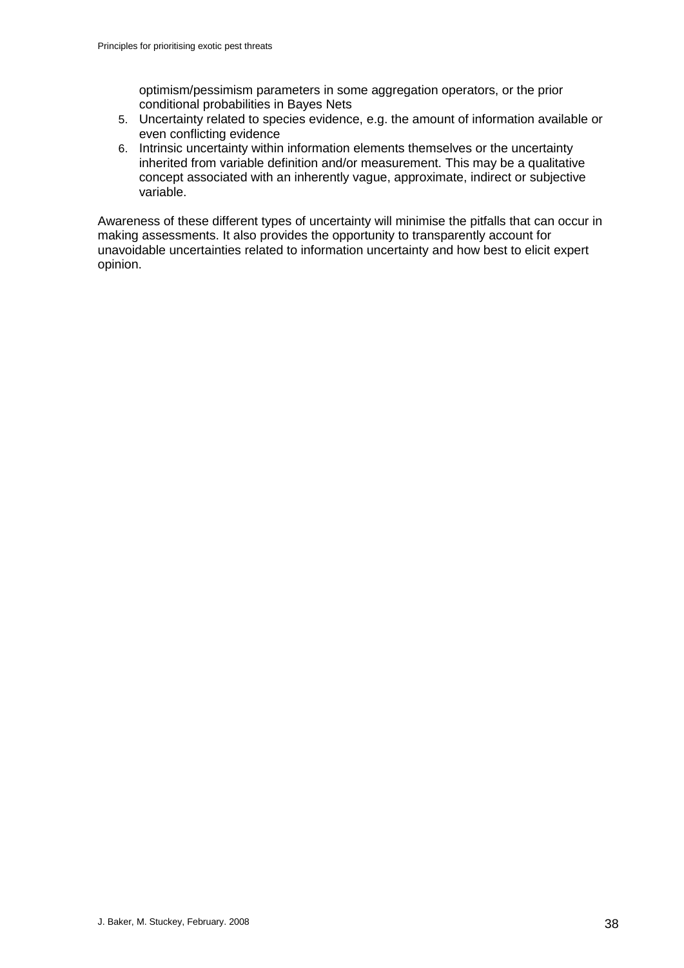optimism/pessimism parameters in some aggregation operators, or the prior conditional probabilities in Bayes Nets

- 5. Uncertainty related to species evidence, e.g. the amount of information available or even conflicting evidence
- 6. Intrinsic uncertainty within information elements themselves or the uncertainty inherited from variable definition and/or measurement. This may be a qualitative concept associated with an inherently vague, approximate, indirect or subjective variable.

Awareness of these different types of uncertainty will minimise the pitfalls that can occur in making assessments. It also provides the opportunity to transparently account for unavoidable uncertainties related to information uncertainty and how best to elicit expert opinion.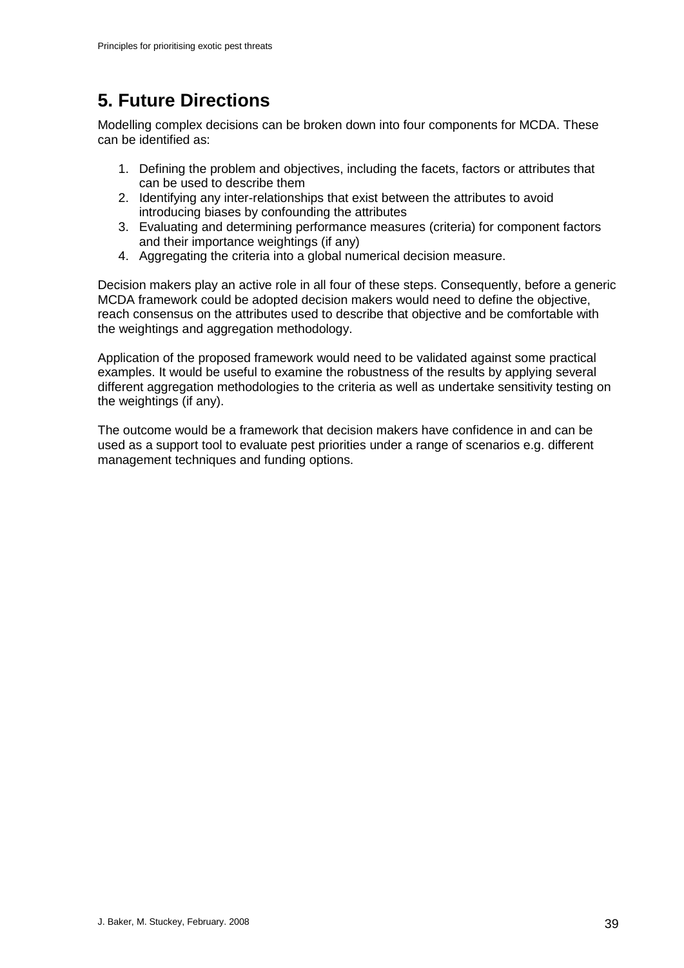# <span id="page-38-0"></span>**5. Future Directions**

Modelling complex decisions can be broken down into four components for MCDA. These can be identified as:

- 1. Defining the problem and objectives, including the facets, factors or attributes that can be used to describe them
- 2. Identifying any inter-relationships that exist between the attributes to avoid introducing biases by confounding the attributes
- 3. Evaluating and determining performance measures (criteria) for component factors and their importance weightings (if any)
- 4. Aggregating the criteria into a global numerical decision measure.

Decision makers play an active role in all four of these steps. Consequently, before a generic MCDA framework could be adopted decision makers would need to define the objective, reach consensus on the attributes used to describe that objective and be comfortable with the weightings and aggregation methodology.

Application of the proposed framework would need to be validated against some practical examples. It would be useful to examine the robustness of the results by applying several different aggregation methodologies to the criteria as well as undertake sensitivity testing on the weightings (if any).

The outcome would be a framework that decision makers have confidence in and can be used as a support tool to evaluate pest priorities under a range of scenarios e.g. different management techniques and funding options.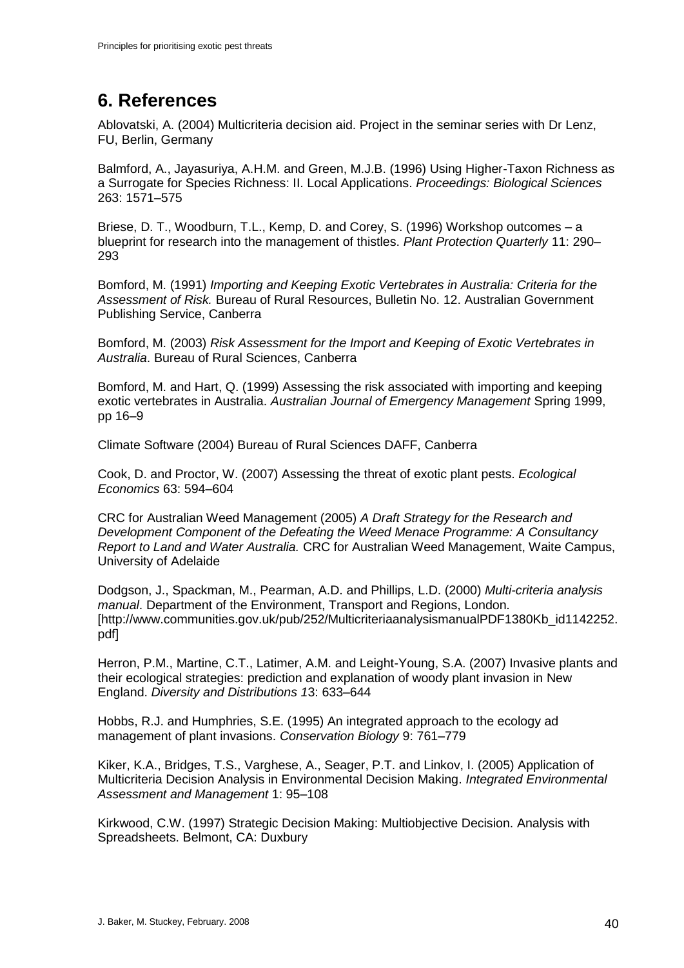# <span id="page-39-0"></span>**6. References**

Ablovatski, A. (2004) Multicriteria decision aid. Project in the seminar series with Dr Lenz, FU, Berlin, Germany

Balmford, A., Jayasuriya, A.H.M. and Green, M.J.B. (1996) Using Higher-Taxon Richness as a Surrogate for Species Richness: II. Local Applications. *Proceedings: Biological Sciences* 263: 1571–575

Briese, D. T., Woodburn, T.L., Kemp, D. and Corey, S. (1996) Workshop outcomes – a blueprint for research into the management of thistles. *Plant Protection Quarterly* 11: 290– 293

Bomford, M. (1991) *Importing and Keeping Exotic Vertebrates in Australia: Criteria for the Assessment of Risk.* Bureau of Rural Resources, Bulletin No. 12. Australian Government Publishing Service, Canberra

Bomford, M. (2003) *Risk Assessment for the Import and Keeping of Exotic Vertebrates in Australia*. Bureau of Rural Sciences, Canberra

Bomford, M. and Hart, Q. (1999) Assessing the risk associated with importing and keeping exotic vertebrates in Australia. *Australian Journal of Emergency Management* Spring 1999, pp 16–9

Climate Software (2004) Bureau of Rural Sciences DAFF, Canberra

Cook, D. and Proctor, W. (2007) Assessing the threat of exotic plant pests. *Ecological Economics* 63: 594–604

CRC for Australian Weed Management (2005) *A Draft Strategy for the Research and Development Component of the Defeating the Weed Menace Programme: A Consultancy Report to Land and Water Australia.* CRC for Australian Weed Management, Waite Campus, University of Adelaide

Dodgson, J., Spackman, M., Pearman, A.D. and Phillips, L.D. (2000) *Multi-criteria analysis manual*. Department of the Environment, Transport and Regions, London. [http://www.communities.gov.uk/pub/252/MulticriteriaanalysismanualPDF1380Kb\_id1142252. pdf]

Herron, P.M., Martine, C.T., Latimer, A.M. and Leight-Young, S.A. (2007) Invasive plants and their ecological strategies: prediction and explanation of woody plant invasion in New England. *Diversity and Distributions 1*3: 633–644

Hobbs, R.J. and Humphries, S.E. (1995) An integrated approach to the ecology ad management of plant invasions. *Conservation Biology* 9: 761–779

Kiker, K.A., Bridges, T.S., Varghese, A., Seager, P.T. and Linkov, I. (2005) Application of Multicriteria Decision Analysis in Environmental Decision Making. *Integrated Environmental Assessment and Management* 1: 95–108

Kirkwood, C.W. (1997) Strategic Decision Making: Multiobjective Decision. Analysis with Spreadsheets. Belmont, CA: Duxbury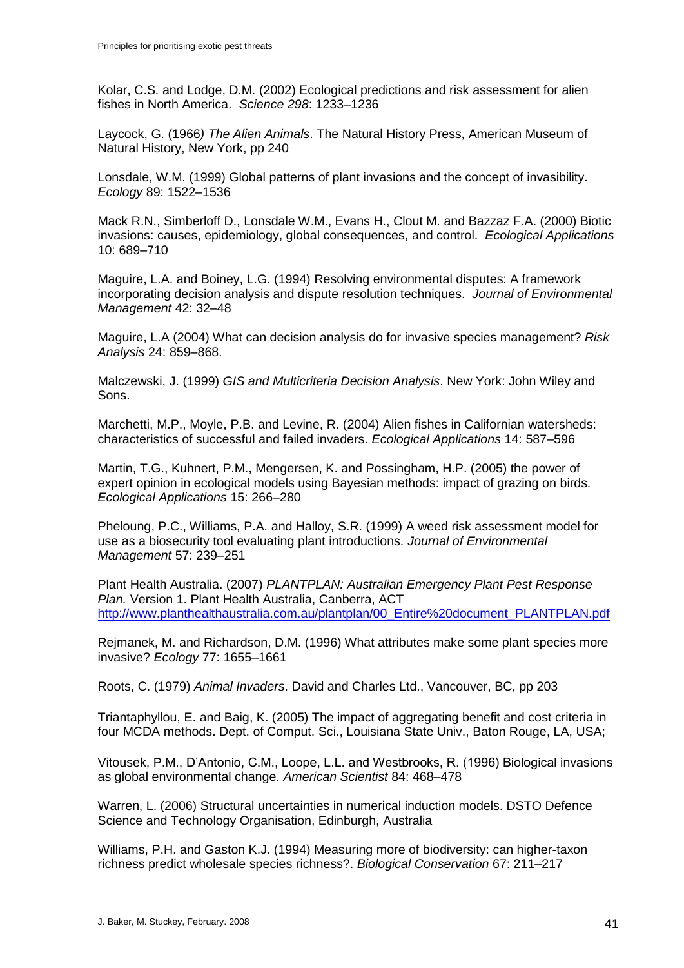Kolar, C.S. and Lodge, D.M. (2002) Ecological predictions and risk assessment for alien fishes in North America. *Science 298*: 1233–1236

Laycock, G. (1966*) The Alien Animals*. The Natural History Press, American Museum of Natural History, New York, pp 240

Lonsdale, W.M. (1999) Global patterns of plant invasions and the concept of invasibility. *Ecology* 89: 1522–1536

Mack R.N., Simberloff D., Lonsdale W.M., Evans H., Clout M. and Bazzaz F.A. (2000) Biotic invasions: causes, epidemiology, global consequences, and control. *Ecological Applications* 10: 689–710

Maguire, L.A. and Boiney, L.G. (1994) Resolving environmental disputes: A framework incorporating decision analysis and dispute resolution techniques. *Journal of Environmental Management* 42: 32–48

Maguire, L.A (2004) What can decision analysis do for invasive species management? *Risk Analysis* 24: 859–868.

Malczewski, J. (1999) *GIS and Multicriteria Decision Analysis*. New York: John Wiley and Sons.

Marchetti, M.P., Moyle, P.B. and Levine, R. (2004) Alien fishes in Californian watersheds: characteristics of successful and failed invaders. *Ecological Applications* 14: 587–596

Martin, T.G., Kuhnert, P.M., Mengersen, K. and Possingham, H.P. (2005) the power of expert opinion in ecological models using Bayesian methods: impact of grazing on birds. *Ecological Applications* 15: 266–280

Pheloung, P.C., Williams, P.A. and Halloy, S.R. (1999) A weed risk assessment model for use as a biosecurity tool evaluating plant introductions. *Journal of Environmental Management* 57: 239–251

Plant Health Australia. (2007) *PLANTPLAN: Australian Emergency Plant Pest Response Plan.* Version 1. Plant Health Australia, Canberra, ACT [http://www.planthealthaustralia.com.au/plantplan/00\\_Entire%20document\\_PLANTPLAN.pdf](http://www.planthealthaustralia.com.au/plantplan/00_Entire%20document_PLANTPLAN.pdf)

Rejmanek, M. and Richardson, D.M. (1996) What attributes make some plant species more invasive? *Ecology* 77: 1655–1661

Roots, C. (1979) *Animal Invaders*. David and Charles Ltd., Vancouver, BC, pp 203

Triantaphyllou, E. and Baig, K. (2005) The impact of aggregating benefit and cost criteria in four MCDA methods. Dept. of Comput. Sci., Louisiana State Univ., Baton Rouge, LA, USA;

Vitousek, P.M., D'Antonio, C.M., Loope, L.L. and Westbrooks, R. (1996) Biological invasions as global environmental change. *American Scientist* 84: 468–478

Warren, L. (2006) Structural uncertainties in numerical induction models. DSTO Defence Science and Technology Organisation, Edinburgh, Australia

Williams, P.H. and Gaston K.J. (1994) Measuring more of biodiversity: can higher-taxon richness predict wholesale species richness?. *Biological Conservation* 67: 211–217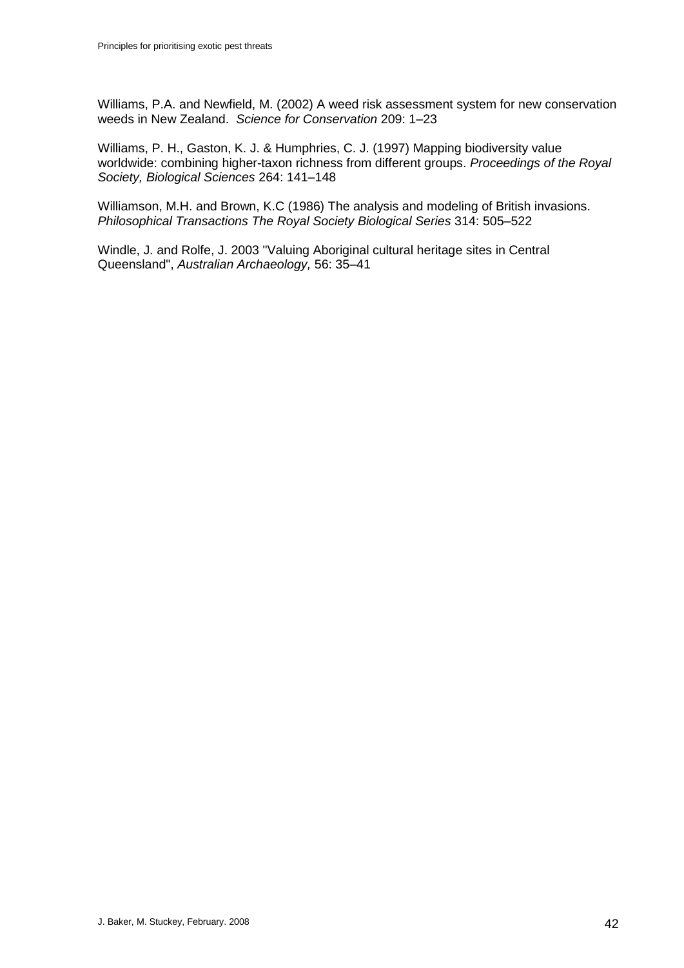Williams, P.A. and Newfield, M. (2002) A weed risk assessment system for new conservation weeds in New Zealand. *Science for Conservation* 209: 1–23

Williams, P. H., Gaston, K. J. & Humphries, C. J. (1997) Mapping biodiversity value worldwide: combining higher-taxon richness from different groups. *Proceedings of the Royal Society, Biological Sciences* 264: 141–148

Williamson, M.H. and Brown, K.C (1986) The analysis and modeling of British invasions. *Philosophical Transactions The Royal Society Biological Series* 314: 505–522

Windle, J. and Rolfe, J. 2003 "Valuing Aboriginal cultural heritage sites in Central Queensland", *Australian Archaeology,* 56: 35–41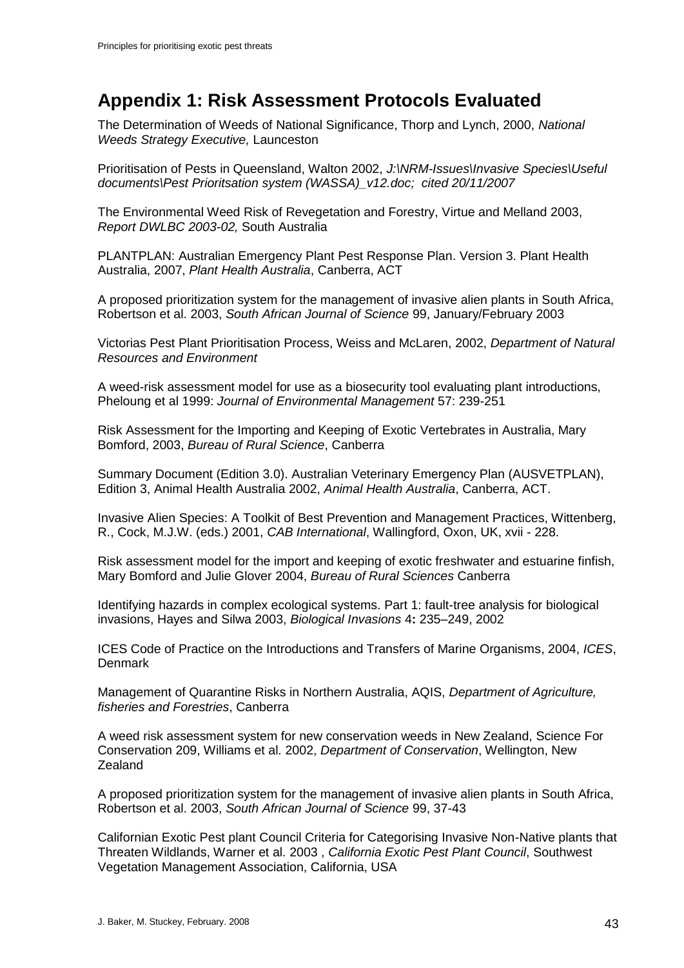## <span id="page-42-0"></span>**Appendix 1: Risk Assessment Protocols Evaluated**

The Determination of Weeds of National Significance, Thorp and Lynch, 2000, *National Weeds Strategy Executive,* Launceston

Prioritisation of Pests in Queensland, Walton 2002, *J:\NRM-Issues\Invasive Species\Useful documents\Pest Prioritsation system (WASSA)\_v12.doc; cited 20/11/2007*

The Environmental Weed Risk of Revegetation and Forestry, Virtue and Melland 2003, *Report DWLBC 2003-02,* South Australia

PLANTPLAN: Australian Emergency Plant Pest Response Plan. Version 3. Plant Health Australia, 2007, *Plant Health Australia*, Canberra, ACT

A proposed prioritization system for the management of invasive alien plants in South Africa, Robertson et al. 2003, *South African Journal of Science* 99, January/February 2003

Victorias Pest Plant Prioritisation Process, Weiss and McLaren, 2002, *Department of Natural Resources and Environment*

A weed-risk assessment model for use as a biosecurity tool evaluating plant introductions, Pheloung et al 1999: *Journal of Environmental Management* 57: 239-251

Risk Assessment for the Importing and Keeping of Exotic Vertebrates in Australia, Mary Bomford, 2003, *Bureau of Rural Science*, Canberra

Summary Document (Edition 3.0). Australian Veterinary Emergency Plan (AUSVETPLAN), Edition 3, Animal Health Australia 2002, *Animal Health Australia*, Canberra, ACT.

Invasive Alien Species: A Toolkit of Best Prevention and Management Practices, Wittenberg, R., Cock, M.J.W. (eds.) 2001, *CAB International*, Wallingford, Oxon, UK, xvii - 228.

Risk assessment model for the import and keeping of exotic freshwater and estuarine finfish, Mary Bomford and Julie Glover 2004, *Bureau of Rural Sciences* Canberra

Identifying hazards in complex ecological systems. Part 1: fault-tree analysis for biological invasions, Hayes and Silwa 2003, *Biological Invasions* 4**:** 235–249, 2002

ICES Code of Practice on the Introductions and Transfers of Marine Organisms, 2004, *ICES*, Denmark

Management of Quarantine Risks in Northern Australia, AQIS, *Department of Agriculture, fisheries and Forestries*, Canberra

A weed risk assessment system for new conservation weeds in New Zealand, Science For Conservation 209, Williams et al. 2002, *Department of Conservation*, Wellington, New Zealand

A proposed prioritization system for the management of invasive alien plants in South Africa, Robertson et al. 2003, *South African Journal of Science* 99, 37-43

Californian Exotic Pest plant Council Criteria for Categorising Invasive Non-Native plants that Threaten Wildlands, Warner et al. 2003 , *California Exotic Pest Plant Council*, Southwest Vegetation Management Association, California, USA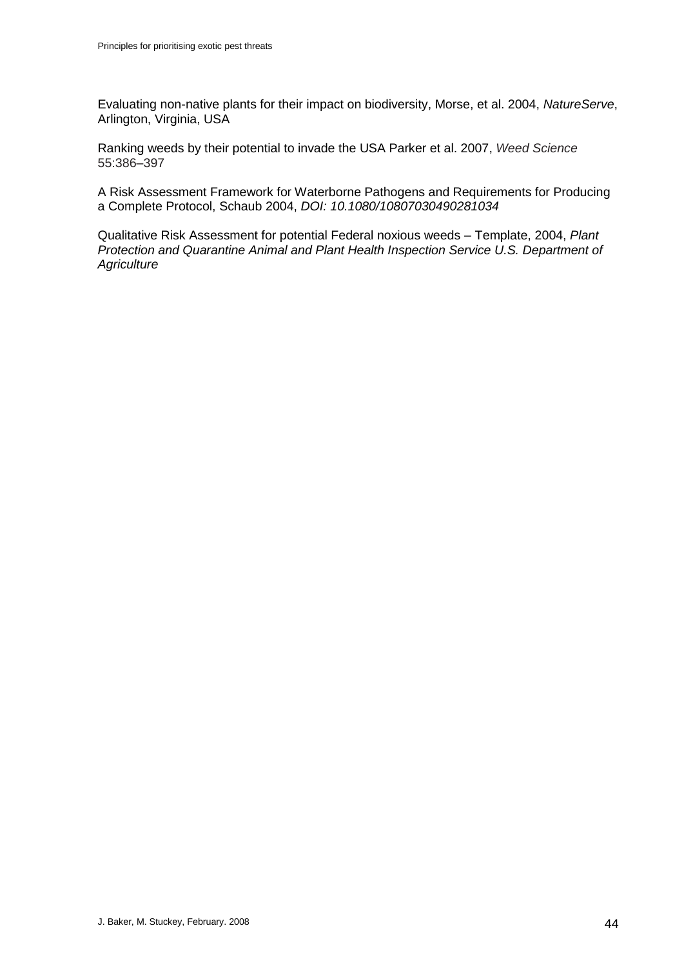Evaluating non-native plants for their impact on biodiversity, Morse, et al. 2004, *NatureServe*, Arlington, Virginia, USA

Ranking weeds by their potential to invade the USA Parker et al. 2007, *Weed Science* 55:386–397

A Risk Assessment Framework for Waterborne Pathogens and Requirements for Producing a Complete Protocol, Schaub 2004, *DOI: 10.1080/10807030490281034*

Qualitative Risk Assessment for potential Federal noxious weeds – Template, 2004, *Plant Protection and Quarantine Animal and Plant Health Inspection Service U.S. Department of Agriculture*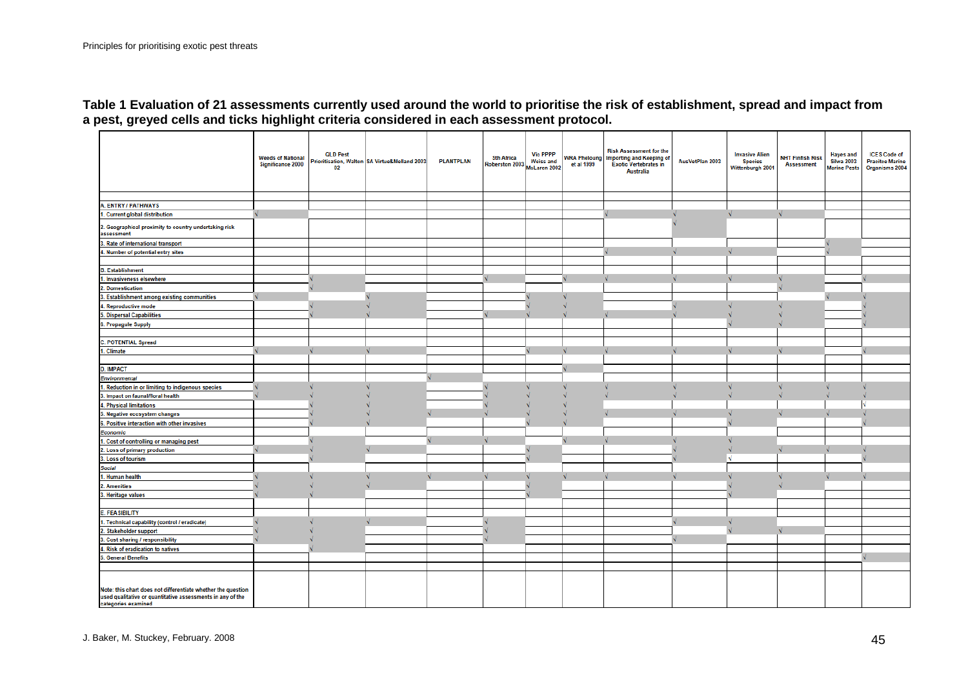#### **Table 1 Evaluation of 21 assessments currently used around the world to prioritise the risk of establishment, spread and impact from a pest, greyed cells and ticks highlight criteria considered in each assessment protocol.**

|                                                                                                                            | <b>Weeds of National</b><br><b>Significance 2000</b> | <b>QLD Pest</b><br>02 | Prioritisation, Walton SA Virtue&Melland 2003 | <b>PLANTPLAN</b> | <b>Sth Africa</b><br>Roberston 2003 | <b>Vic PPPP</b><br><b>Weiss and</b><br>McLaren 2002 | <b>WRA Pheloung</b><br>et al 1999 | <b>Risk Assessment for the</b><br><b>Importing and Keeping of</b><br><b>Exotic Vertebrates in</b><br>Australia | AusVetPlan 2003 | <b>Invasive Alien</b><br><b>Species</b><br>Wittenburgh 2001 | <b>NHT Finfish Risk</b><br><b>Assessment</b> | <b>Hayes and</b><br><b>Silwa 2003</b><br><b>Marine Pests</b> | <b>ICES</b> Code of<br><b>Pracitce Marine</b><br>Organisms 2004 |
|----------------------------------------------------------------------------------------------------------------------------|------------------------------------------------------|-----------------------|-----------------------------------------------|------------------|-------------------------------------|-----------------------------------------------------|-----------------------------------|----------------------------------------------------------------------------------------------------------------|-----------------|-------------------------------------------------------------|----------------------------------------------|--------------------------------------------------------------|-----------------------------------------------------------------|
|                                                                                                                            |                                                      |                       |                                               |                  |                                     |                                                     |                                   |                                                                                                                |                 |                                                             |                                              |                                                              |                                                                 |
| <b>ENTRY / PATHWAYS</b>                                                                                                    |                                                      |                       |                                               |                  |                                     |                                                     |                                   |                                                                                                                |                 |                                                             |                                              |                                                              |                                                                 |
| <b>Current global distribution</b>                                                                                         |                                                      |                       |                                               |                  |                                     |                                                     |                                   |                                                                                                                |                 |                                                             |                                              |                                                              |                                                                 |
| Geographical proximity to country undertaking risk<br>assessment                                                           |                                                      |                       |                                               |                  |                                     |                                                     |                                   |                                                                                                                |                 |                                                             |                                              |                                                              |                                                                 |
| Rate of international transport                                                                                            |                                                      |                       |                                               |                  |                                     |                                                     |                                   |                                                                                                                |                 |                                                             |                                              |                                                              |                                                                 |
| . Number of potential entry sites                                                                                          |                                                      |                       |                                               |                  |                                     |                                                     |                                   |                                                                                                                |                 |                                                             |                                              |                                                              |                                                                 |
|                                                                                                                            |                                                      |                       |                                               |                  |                                     |                                                     |                                   |                                                                                                                |                 |                                                             |                                              |                                                              |                                                                 |
| Establishment                                                                                                              |                                                      |                       |                                               |                  |                                     |                                                     |                                   |                                                                                                                |                 |                                                             |                                              |                                                              |                                                                 |
| . Invasiveness elsewhere                                                                                                   |                                                      |                       |                                               |                  |                                     |                                                     |                                   |                                                                                                                |                 |                                                             |                                              |                                                              |                                                                 |
| <b>Domestication</b>                                                                                                       |                                                      |                       |                                               |                  |                                     |                                                     |                                   |                                                                                                                |                 |                                                             |                                              |                                                              |                                                                 |
| <b>Establishment among existing communities</b>                                                                            |                                                      |                       |                                               |                  |                                     |                                                     |                                   |                                                                                                                |                 |                                                             |                                              |                                                              |                                                                 |
| <b>Reproductive mode</b>                                                                                                   |                                                      |                       |                                               |                  |                                     |                                                     |                                   |                                                                                                                |                 |                                                             |                                              |                                                              |                                                                 |
| Dispersal Capabilities                                                                                                     |                                                      |                       |                                               |                  |                                     |                                                     |                                   |                                                                                                                |                 |                                                             |                                              |                                                              |                                                                 |
| Propagule Supply                                                                                                           |                                                      |                       |                                               |                  |                                     |                                                     |                                   |                                                                                                                |                 |                                                             |                                              |                                                              |                                                                 |
|                                                                                                                            |                                                      |                       |                                               |                  |                                     |                                                     |                                   |                                                                                                                |                 |                                                             |                                              |                                                              |                                                                 |
| POTENTIAL Spread                                                                                                           |                                                      |                       |                                               |                  |                                     |                                                     |                                   |                                                                                                                |                 |                                                             |                                              |                                                              |                                                                 |
| <b>Climate</b>                                                                                                             |                                                      |                       |                                               |                  |                                     |                                                     |                                   |                                                                                                                |                 |                                                             |                                              |                                                              |                                                                 |
|                                                                                                                            |                                                      |                       |                                               |                  |                                     |                                                     |                                   |                                                                                                                |                 |                                                             |                                              |                                                              |                                                                 |
| 'n<br><b>IMPACT</b>                                                                                                        |                                                      |                       |                                               |                  |                                     |                                                     |                                   |                                                                                                                |                 |                                                             |                                              |                                                              |                                                                 |
| <b>Environmental</b>                                                                                                       |                                                      |                       |                                               |                  |                                     |                                                     |                                   |                                                                                                                |                 |                                                             |                                              |                                                              |                                                                 |
| Reduction in or limiting to indigenous species                                                                             |                                                      |                       |                                               |                  |                                     |                                                     |                                   |                                                                                                                |                 |                                                             |                                              |                                                              |                                                                 |
| Impact on faunal/floral health                                                                                             |                                                      |                       |                                               |                  |                                     |                                                     |                                   |                                                                                                                |                 |                                                             |                                              |                                                              |                                                                 |
| <b>Physical limitations</b>                                                                                                |                                                      |                       |                                               |                  |                                     |                                                     |                                   |                                                                                                                |                 |                                                             |                                              |                                                              |                                                                 |
| Negative ecosystem changes                                                                                                 |                                                      |                       |                                               |                  |                                     |                                                     |                                   |                                                                                                                |                 |                                                             |                                              |                                                              |                                                                 |
| Positive interaction with other invasives                                                                                  |                                                      |                       |                                               |                  |                                     |                                                     |                                   |                                                                                                                |                 |                                                             |                                              |                                                              |                                                                 |
| Economic                                                                                                                   |                                                      |                       |                                               |                  |                                     |                                                     |                                   |                                                                                                                |                 |                                                             |                                              |                                                              |                                                                 |
| Cost of controlling or managing pest                                                                                       |                                                      |                       |                                               |                  |                                     |                                                     |                                   |                                                                                                                |                 |                                                             |                                              |                                                              |                                                                 |
| 2. Loss of primary production                                                                                              |                                                      |                       |                                               |                  |                                     |                                                     |                                   |                                                                                                                |                 |                                                             |                                              |                                                              |                                                                 |
| 3. Loss of tourism                                                                                                         |                                                      |                       |                                               |                  |                                     |                                                     |                                   |                                                                                                                |                 |                                                             |                                              |                                                              |                                                                 |
| Social                                                                                                                     |                                                      |                       |                                               |                  |                                     |                                                     |                                   |                                                                                                                |                 |                                                             |                                              |                                                              |                                                                 |
| <b>Human health</b>                                                                                                        |                                                      |                       |                                               |                  |                                     |                                                     |                                   |                                                                                                                |                 |                                                             |                                              |                                                              |                                                                 |
| <b>Amenities</b>                                                                                                           |                                                      |                       |                                               |                  |                                     |                                                     |                                   |                                                                                                                |                 |                                                             |                                              |                                                              |                                                                 |
| <b>Heritage values</b>                                                                                                     |                                                      |                       |                                               |                  |                                     |                                                     |                                   |                                                                                                                |                 |                                                             |                                              |                                                              |                                                                 |
| <b>FEASIBILITY</b>                                                                                                         |                                                      |                       |                                               |                  |                                     |                                                     |                                   |                                                                                                                |                 |                                                             |                                              |                                                              |                                                                 |
| Technical capability (control / eradicate)                                                                                 |                                                      |                       |                                               |                  |                                     |                                                     |                                   |                                                                                                                |                 |                                                             |                                              |                                                              |                                                                 |
| Stakeholder support                                                                                                        |                                                      |                       |                                               |                  |                                     |                                                     |                                   |                                                                                                                |                 |                                                             |                                              |                                                              |                                                                 |
| Cost sharing / responsibility                                                                                              |                                                      |                       |                                               |                  |                                     |                                                     |                                   |                                                                                                                |                 |                                                             |                                              |                                                              |                                                                 |
| . Risk of eradication to natives                                                                                           |                                                      |                       |                                               |                  |                                     |                                                     |                                   |                                                                                                                |                 |                                                             |                                              |                                                              |                                                                 |
| <b>General Benefits</b>                                                                                                    |                                                      |                       |                                               |                  |                                     |                                                     |                                   |                                                                                                                |                 |                                                             |                                              |                                                              |                                                                 |
|                                                                                                                            |                                                      |                       |                                               |                  |                                     |                                                     |                                   |                                                                                                                |                 |                                                             |                                              |                                                              |                                                                 |
| Note: this chart does not differentiate whether the question<br>used qualitative or quantitative assessments in any of the |                                                      |                       |                                               |                  |                                     |                                                     |                                   |                                                                                                                |                 |                                                             |                                              |                                                              |                                                                 |
| categories examined                                                                                                        |                                                      |                       |                                               |                  |                                     |                                                     |                                   |                                                                                                                |                 |                                                             |                                              |                                                              |                                                                 |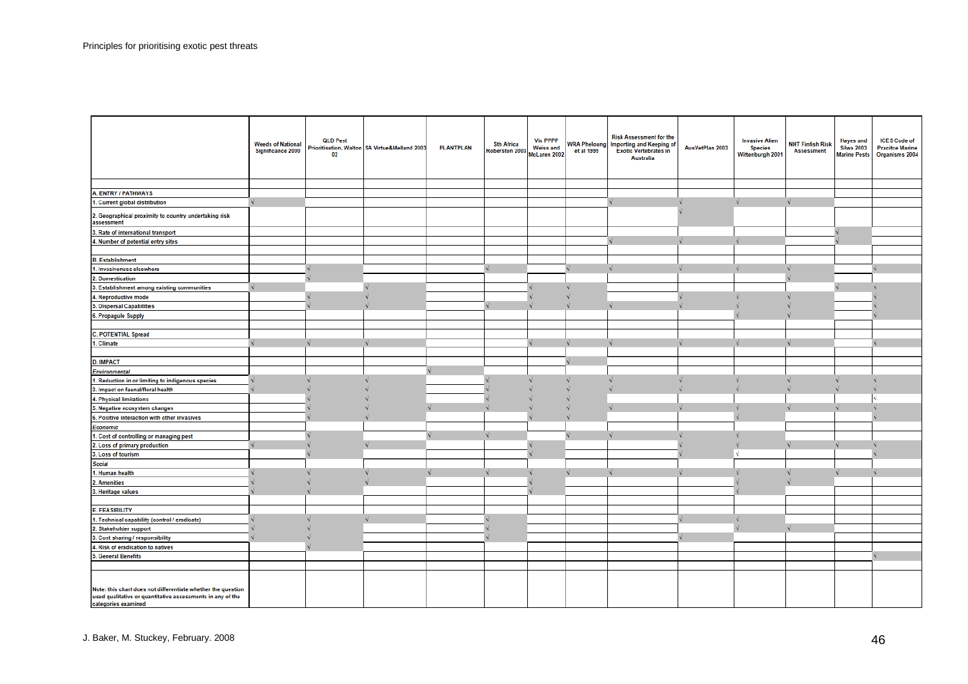|                                                                                                                                                   | <b>Weeds of National</b><br><b>Significance 2000</b> | <b>QLD Pest</b><br>02 | Prioritisation, Walton SA Virtue&Melland 2003 | <b>PLANTPLAN</b> | <b>Sth Africa</b><br>Roberston 2003 McLaren 2002 | <b>Vic PPPP</b> | <b>WRA Pheloung</b><br>et al 1999 | <b>Risk Assessment for the</b><br><b>Importing and Keeping of</b><br><b>Exotic Vertebrates in</b><br><b>Australia</b> | AusVetPlan 2003 | <b>Invasive Alien</b><br><b>Species</b><br>Wittenburgh 2001 | <b>NHT Finfish Risk</b><br>Assessment | <b>Hayes and</b><br><b>Silwa 2003</b><br><b>Marine Pests</b> | <b>ICES Code of</b><br><b>Pracitce Marine</b><br>Organisms 2004 |
|---------------------------------------------------------------------------------------------------------------------------------------------------|------------------------------------------------------|-----------------------|-----------------------------------------------|------------------|--------------------------------------------------|-----------------|-----------------------------------|-----------------------------------------------------------------------------------------------------------------------|-----------------|-------------------------------------------------------------|---------------------------------------|--------------------------------------------------------------|-----------------------------------------------------------------|
|                                                                                                                                                   |                                                      |                       |                                               |                  |                                                  |                 |                                   |                                                                                                                       |                 |                                                             |                                       |                                                              |                                                                 |
| A. ENTRY / PATHWAYS                                                                                                                               |                                                      |                       |                                               |                  |                                                  |                 |                                   |                                                                                                                       |                 |                                                             |                                       |                                                              |                                                                 |
| . Current global distribution                                                                                                                     |                                                      |                       |                                               |                  |                                                  |                 |                                   |                                                                                                                       |                 |                                                             |                                       |                                                              |                                                                 |
| 2. Geographical proximity to country undertaking risk<br>assessment                                                                               |                                                      |                       |                                               |                  |                                                  |                 |                                   |                                                                                                                       |                 |                                                             |                                       |                                                              |                                                                 |
| 3. Rate of international transport                                                                                                                |                                                      |                       |                                               |                  |                                                  |                 |                                   |                                                                                                                       |                 |                                                             |                                       |                                                              |                                                                 |
| 4. Number of potential entry sites                                                                                                                |                                                      |                       |                                               |                  |                                                  |                 |                                   |                                                                                                                       |                 |                                                             |                                       |                                                              |                                                                 |
|                                                                                                                                                   |                                                      |                       |                                               |                  |                                                  |                 |                                   |                                                                                                                       |                 |                                                             |                                       |                                                              |                                                                 |
| <b>B. Establishment</b>                                                                                                                           |                                                      |                       |                                               |                  |                                                  |                 |                                   |                                                                                                                       |                 |                                                             |                                       |                                                              |                                                                 |
| . Invasiveness elsewhere                                                                                                                          |                                                      |                       |                                               |                  |                                                  |                 |                                   |                                                                                                                       |                 |                                                             |                                       |                                                              |                                                                 |
| . Domestication                                                                                                                                   |                                                      |                       |                                               |                  |                                                  |                 |                                   |                                                                                                                       |                 |                                                             |                                       |                                                              |                                                                 |
| . Establishment among existing communities                                                                                                        |                                                      |                       |                                               |                  |                                                  |                 |                                   |                                                                                                                       |                 |                                                             |                                       |                                                              |                                                                 |
| Reproductive mode                                                                                                                                 |                                                      |                       |                                               |                  |                                                  |                 |                                   |                                                                                                                       |                 |                                                             |                                       |                                                              |                                                                 |
| Dispersal Capabilities                                                                                                                            |                                                      |                       |                                               |                  |                                                  |                 |                                   |                                                                                                                       |                 |                                                             |                                       |                                                              |                                                                 |
| . Propagule Supply                                                                                                                                |                                                      |                       |                                               |                  |                                                  |                 |                                   |                                                                                                                       |                 |                                                             |                                       |                                                              |                                                                 |
|                                                                                                                                                   |                                                      |                       |                                               |                  |                                                  |                 |                                   |                                                                                                                       |                 |                                                             |                                       |                                                              |                                                                 |
| . POTENTIAL Spread                                                                                                                                |                                                      |                       |                                               |                  |                                                  |                 |                                   |                                                                                                                       |                 |                                                             |                                       |                                                              |                                                                 |
| . Climate                                                                                                                                         |                                                      |                       |                                               |                  |                                                  |                 |                                   |                                                                                                                       |                 |                                                             |                                       |                                                              |                                                                 |
|                                                                                                                                                   |                                                      |                       |                                               |                  |                                                  |                 |                                   |                                                                                                                       |                 |                                                             |                                       |                                                              |                                                                 |
| <b>D. IMPACT</b>                                                                                                                                  |                                                      |                       |                                               |                  |                                                  |                 |                                   |                                                                                                                       |                 |                                                             |                                       |                                                              |                                                                 |
| Environmental                                                                                                                                     |                                                      |                       |                                               |                  |                                                  |                 |                                   |                                                                                                                       |                 |                                                             |                                       |                                                              |                                                                 |
| . Reduction in or limiting to indigenous species                                                                                                  |                                                      |                       |                                               |                  |                                                  |                 |                                   |                                                                                                                       |                 |                                                             |                                       |                                                              |                                                                 |
| 3. Impact on faunal/floral health                                                                                                                 |                                                      |                       |                                               |                  |                                                  |                 |                                   |                                                                                                                       |                 |                                                             |                                       |                                                              |                                                                 |
| 4. Physical limitations                                                                                                                           |                                                      |                       |                                               |                  |                                                  |                 |                                   |                                                                                                                       |                 |                                                             |                                       |                                                              |                                                                 |
| . Negative ecosystem changes                                                                                                                      |                                                      |                       |                                               |                  |                                                  |                 |                                   |                                                                                                                       |                 |                                                             |                                       |                                                              |                                                                 |
| 6. Positive interaction with other invasives                                                                                                      |                                                      |                       |                                               |                  |                                                  |                 |                                   |                                                                                                                       |                 |                                                             |                                       |                                                              |                                                                 |
| Economic                                                                                                                                          |                                                      |                       |                                               |                  |                                                  |                 |                                   |                                                                                                                       |                 |                                                             |                                       |                                                              |                                                                 |
| . Cost of controlling or managing pest                                                                                                            |                                                      |                       |                                               |                  |                                                  |                 |                                   |                                                                                                                       |                 |                                                             |                                       |                                                              |                                                                 |
| 2. Loss of primary production                                                                                                                     |                                                      |                       |                                               |                  |                                                  |                 |                                   |                                                                                                                       |                 |                                                             |                                       |                                                              |                                                                 |
| 3. Loss of tourism                                                                                                                                |                                                      |                       |                                               |                  |                                                  |                 |                                   |                                                                                                                       |                 |                                                             |                                       |                                                              |                                                                 |
| <b>Social</b>                                                                                                                                     |                                                      |                       |                                               |                  |                                                  |                 |                                   |                                                                                                                       |                 |                                                             |                                       |                                                              |                                                                 |
| . Human health                                                                                                                                    |                                                      |                       |                                               |                  |                                                  |                 |                                   |                                                                                                                       |                 |                                                             |                                       |                                                              |                                                                 |
| . Amenities                                                                                                                                       |                                                      |                       |                                               |                  |                                                  |                 |                                   |                                                                                                                       |                 |                                                             |                                       |                                                              |                                                                 |
| . Heritage values                                                                                                                                 |                                                      |                       |                                               |                  |                                                  |                 |                                   |                                                                                                                       |                 |                                                             |                                       |                                                              |                                                                 |
|                                                                                                                                                   |                                                      |                       |                                               |                  |                                                  |                 |                                   |                                                                                                                       |                 |                                                             |                                       |                                                              |                                                                 |
| <b>E. FEASIBILITY</b>                                                                                                                             |                                                      |                       |                                               |                  |                                                  |                 |                                   |                                                                                                                       |                 |                                                             |                                       |                                                              |                                                                 |
| . Technical capability (control / eradicate)                                                                                                      |                                                      |                       |                                               |                  |                                                  |                 |                                   |                                                                                                                       |                 |                                                             |                                       |                                                              |                                                                 |
| Stakeholder support                                                                                                                               |                                                      |                       |                                               |                  |                                                  |                 |                                   |                                                                                                                       |                 |                                                             |                                       |                                                              |                                                                 |
| Cost sharing / responsibility                                                                                                                     |                                                      |                       |                                               |                  |                                                  |                 |                                   |                                                                                                                       |                 |                                                             |                                       |                                                              |                                                                 |
| . Risk of eradication to natives                                                                                                                  |                                                      |                       |                                               |                  |                                                  |                 |                                   |                                                                                                                       |                 |                                                             |                                       |                                                              |                                                                 |
| <b>General Benefits</b>                                                                                                                           |                                                      |                       |                                               |                  |                                                  |                 |                                   |                                                                                                                       |                 |                                                             |                                       |                                                              |                                                                 |
|                                                                                                                                                   |                                                      |                       |                                               |                  |                                                  |                 |                                   |                                                                                                                       |                 |                                                             |                                       |                                                              |                                                                 |
| Note: this chart does not differentiate whether the question<br>used qualitative or quantitative assessments in any of the<br>categories examined |                                                      |                       |                                               |                  |                                                  |                 |                                   |                                                                                                                       |                 |                                                             |                                       |                                                              |                                                                 |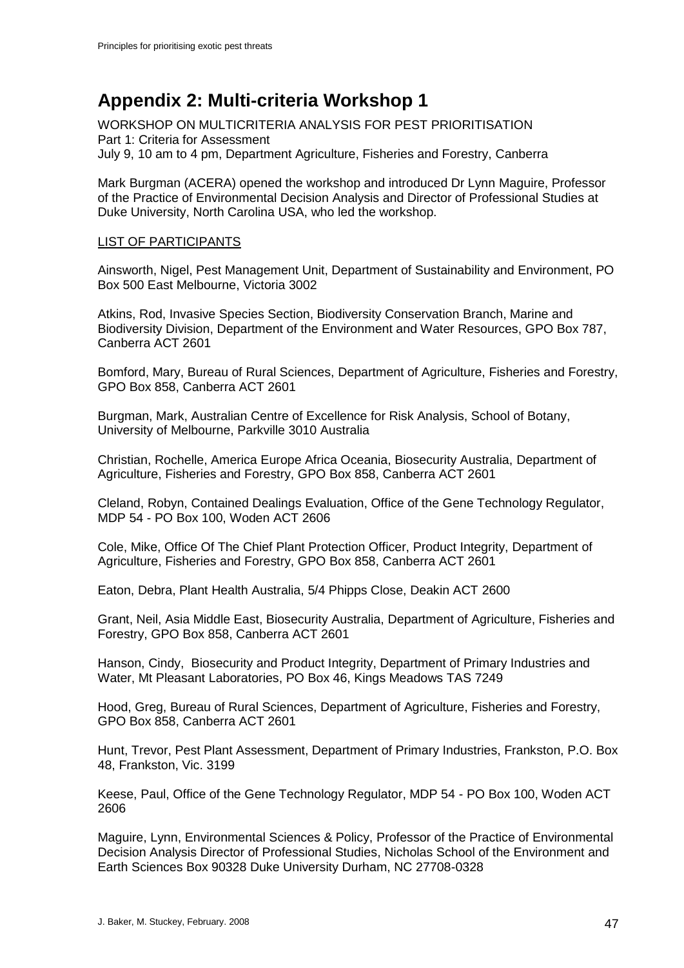# <span id="page-46-0"></span>**Appendix 2: Multi-criteria Workshop 1**

WORKSHOP ON MULTICRITERIA ANALYSIS FOR PEST PRIORITISATION Part 1: Criteria for Assessment July 9, 10 am to 4 pm, Department Agriculture, Fisheries and Forestry, Canberra

Mark Burgman (ACERA) opened the workshop and introduced Dr Lynn Maguire, Professor of the Practice of Environmental Decision Analysis and Director of Professional Studies at Duke University, North Carolina USA, who led the workshop.

#### LIST OF PARTICIPANTS

Ainsworth, Nigel, Pest Management Unit, Department of Sustainability and Environment, PO Box 500 East Melbourne, Victoria 3002

Atkins, Rod, Invasive Species Section, Biodiversity Conservation Branch, Marine and Biodiversity Division, Department of the Environment and Water Resources, GPO Box 787, Canberra ACT 2601

Bomford, Mary, Bureau of Rural Sciences, Department of Agriculture, Fisheries and Forestry, GPO Box 858, Canberra ACT 2601

Burgman, Mark, Australian Centre of Excellence for Risk Analysis, School of Botany, University of Melbourne, Parkville 3010 Australia

Christian, Rochelle, America Europe Africa Oceania, Biosecurity Australia, Department of Agriculture, Fisheries and Forestry, GPO Box 858, Canberra ACT 2601

Cleland, Robyn, Contained Dealings Evaluation, Office of the Gene Technology Regulator, MDP 54 - PO Box 100, Woden ACT 2606

Cole, Mike, Office Of The Chief Plant Protection Officer, Product Integrity, Department of Agriculture, Fisheries and Forestry, GPO Box 858, Canberra ACT 2601

Eaton, Debra, Plant Health Australia, 5/4 Phipps Close, Deakin ACT 2600

Grant, Neil, Asia Middle East, Biosecurity Australia, Department of Agriculture, Fisheries and Forestry, GPO Box 858, Canberra ACT 2601

Hanson, Cindy, Biosecurity and Product Integrity, Department of Primary Industries and Water, Mt Pleasant Laboratories, PO Box 46, Kings Meadows TAS 7249

Hood, Greg, Bureau of Rural Sciences, Department of Agriculture, Fisheries and Forestry, GPO Box 858, Canberra ACT 2601

Hunt, Trevor, Pest Plant Assessment, Department of Primary Industries, Frankston, P.O. Box 48, Frankston, Vic. 3199

Keese, Paul, Office of the Gene Technology Regulator, MDP 54 - PO Box 100, Woden ACT 2606

Maguire, Lynn, Environmental Sciences & Policy, Professor of the Practice of Environmental Decision Analysis Director of Professional Studies, Nicholas School of the Environment and Earth Sciences Box 90328 Duke University Durham, NC 27708-0328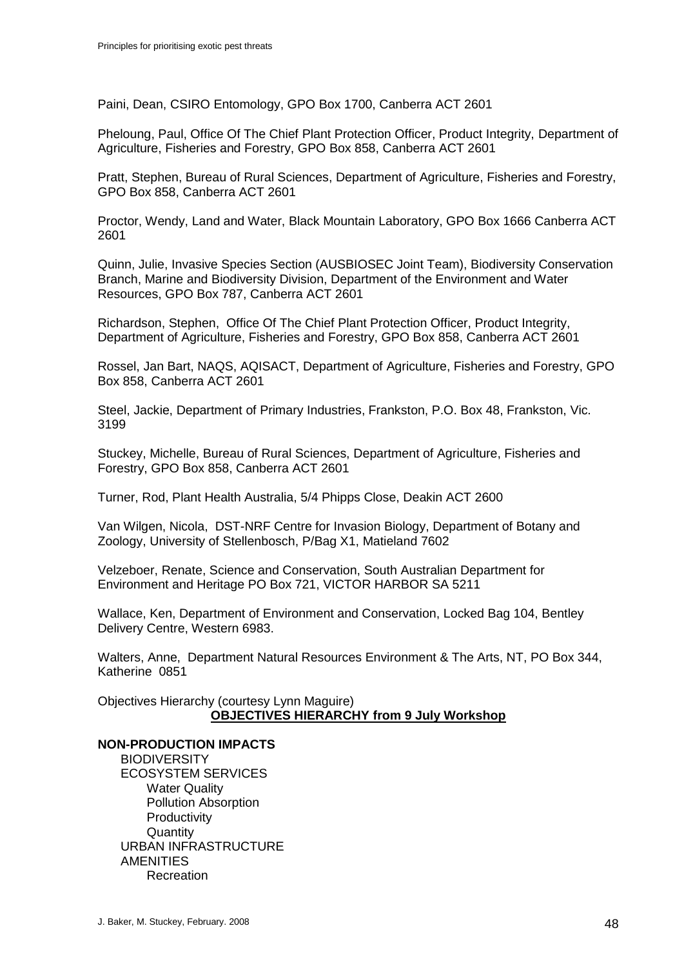Paini, Dean, CSIRO Entomology, GPO Box 1700, Canberra ACT 2601

Pheloung, Paul, Office Of The Chief Plant Protection Officer, Product Integrity, Department of Agriculture, Fisheries and Forestry, GPO Box 858, Canberra ACT 2601

Pratt, Stephen, Bureau of Rural Sciences, Department of Agriculture, Fisheries and Forestry, GPO Box 858, Canberra ACT 2601

Proctor, Wendy, Land and Water, Black Mountain Laboratory, GPO Box 1666 Canberra ACT 2601

Quinn, Julie, Invasive Species Section (AUSBIOSEC Joint Team), Biodiversity Conservation Branch, Marine and Biodiversity Division, Department of the Environment and Water Resources, GPO Box 787, Canberra ACT 2601

Richardson, Stephen, Office Of The Chief Plant Protection Officer, Product Integrity, Department of Agriculture, Fisheries and Forestry, GPO Box 858, Canberra ACT 2601

Rossel, Jan Bart, NAQS, AQISACT, Department of Agriculture, Fisheries and Forestry, GPO Box 858, Canberra ACT 2601

Steel, Jackie, Department of Primary Industries, Frankston, P.O. Box 48, Frankston, Vic. 3199

Stuckey, Michelle, Bureau of Rural Sciences, Department of Agriculture, Fisheries and Forestry, GPO Box 858, Canberra ACT 2601

Turner, Rod, Plant Health Australia, 5/4 Phipps Close, Deakin ACT 2600

Van Wilgen, Nicola, DST-NRF Centre for Invasion Biology, Department of Botany and Zoology, University of Stellenbosch, P/Bag X1, Matieland 7602

Velzeboer, Renate, Science and Conservation, South Australian Department for Environment and Heritage PO Box 721, VICTOR HARBOR SA 5211

Wallace, Ken, Department of Environment and Conservation, Locked Bag 104, Bentley Delivery Centre, Western 6983.

Walters, Anne, Department Natural Resources Environment & The Arts, NT, PO Box 344, Katherine 0851

Objectives Hierarchy (courtesy Lynn Maguire) **OBJECTIVES HIERARCHY from 9 July Workshop**

#### **NON-PRODUCTION IMPACTS**

**BIODIVERSITY** ECOSYSTEM SERVICES Water Quality Pollution Absorption **Productivity Quantity** URBAN INFRASTRUCTURE AMENITIES Recreation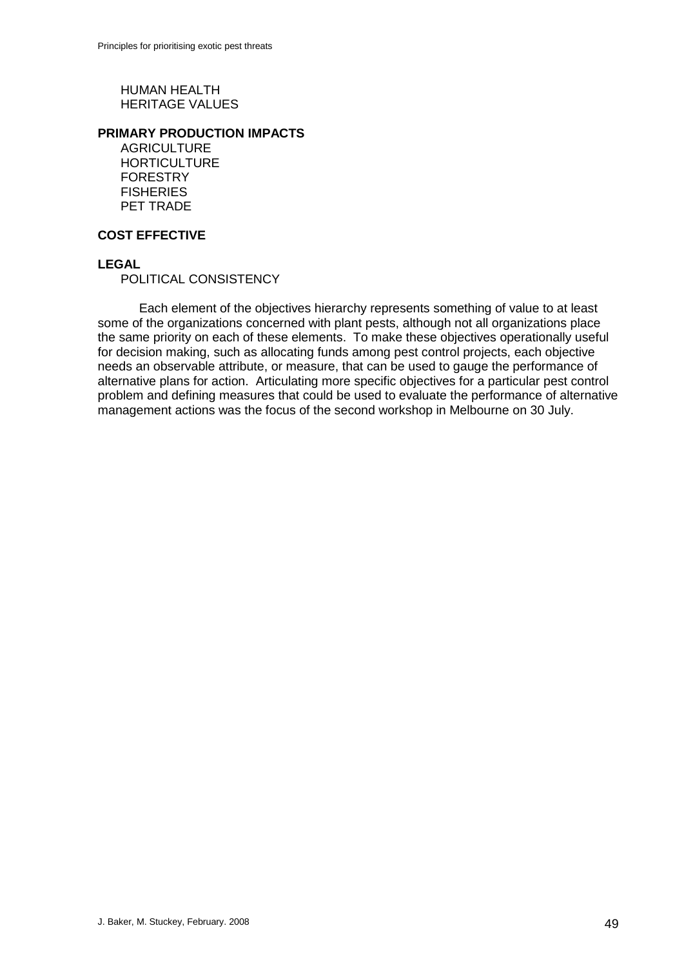HUMAN HEALTH HERITAGE VALUES

#### **PRIMARY PRODUCTION IMPACTS**

**AGRICULTURE HORTICULTURE** FORESTRY **FISHERIES** PET TRADE

#### **COST EFFECTIVE**

#### **LEGAL**

POLITICAL CONSISTENCY

Each element of the objectives hierarchy represents something of value to at least some of the organizations concerned with plant pests, although not all organizations place the same priority on each of these elements. To make these objectives operationally useful for decision making, such as allocating funds among pest control projects, each objective needs an observable attribute, or measure, that can be used to gauge the performance of alternative plans for action. Articulating more specific objectives for a particular pest control problem and defining measures that could be used to evaluate the performance of alternative management actions was the focus of the second workshop in Melbourne on 30 July.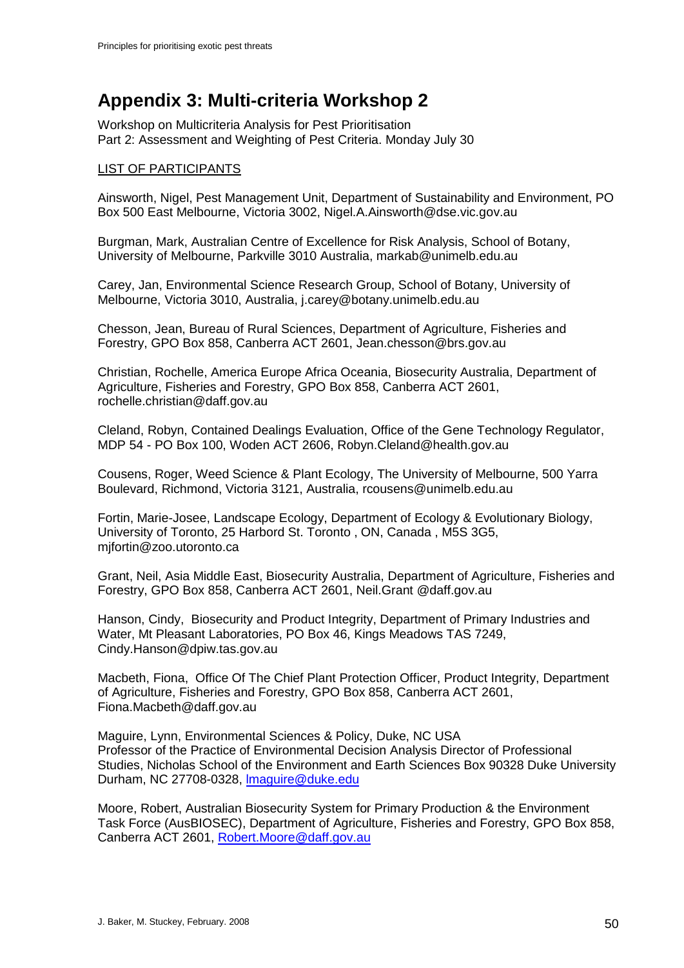# <span id="page-49-0"></span>**Appendix 3: Multi-criteria Workshop 2**

Workshop on Multicriteria Analysis for Pest Prioritisation Part 2: Assessment and Weighting of Pest Criteria. Monday July 30

#### LIST OF PARTICIPANTS

Ainsworth, Nigel, Pest Management Unit, Department of Sustainability and Environment, PO Box 500 East Melbourne, Victoria 3002, Nigel.A.Ainsworth@dse.vic.gov.au

Burgman, Mark, Australian Centre of Excellence for Risk Analysis, School of Botany, University of Melbourne, Parkville 3010 Australia, markab@unimelb.edu.au

Carey, Jan, Environmental Science Research Group, School of Botany, University of Melbourne, Victoria 3010, Australia, j.carey@botany.unimelb.edu.au

Chesson, Jean, Bureau of Rural Sciences, Department of Agriculture, Fisheries and Forestry, GPO Box 858, Canberra ACT 2601, Jean.chesson@brs.gov.au

Christian, Rochelle, America Europe Africa Oceania, Biosecurity Australia, Department of Agriculture, Fisheries and Forestry, GPO Box 858, Canberra ACT 2601, rochelle.christian@daff.gov.au

Cleland, Robyn, Contained Dealings Evaluation, Office of the Gene Technology Regulator, MDP 54 - PO Box 100, Woden ACT 2606, Robyn.Cleland@health.gov.au

Cousens, Roger, Weed Science & Plant Ecology, The University of Melbourne, 500 Yarra Boulevard, Richmond, Victoria 3121, Australia, rcousens@unimelb.edu.au

Fortin, Marie-Josee, Landscape Ecology, Department of Ecology & Evolutionary Biology, University of Toronto, 25 Harbord St. Toronto , ON, Canada , M5S 3G5, mjfortin@zoo.utoronto.ca

Grant, Neil, Asia Middle East, Biosecurity Australia, Department of Agriculture, Fisheries and Forestry, GPO Box 858, Canberra ACT 2601, Neil.Grant @daff.gov.au

Hanson, Cindy, Biosecurity and Product Integrity, Department of Primary Industries and Water, Mt Pleasant Laboratories, PO Box 46, Kings Meadows TAS 7249, Cindy.Hanson@dpiw.tas.gov.au

Macbeth, Fiona, Office Of The Chief Plant Protection Officer, Product Integrity, Department of Agriculture, Fisheries and Forestry, GPO Box 858, Canberra ACT 2601, Fiona.Macbeth@daff.gov.au

Maguire, Lynn, Environmental Sciences & Policy, Duke, NC USA Professor of the Practice of Environmental Decision Analysis Director of Professional Studies, Nicholas School of the Environment and Earth Sciences Box 90328 Duke University Durham, NC 27708-0328, [lmaguire@duke.edu](mailto:lmaguire@duke.edu)

Moore, Robert, Australian Biosecurity System for Primary Production & the Environment Task Force (AusBIOSEC), Department of Agriculture, Fisheries and Forestry, GPO Box 858, Canberra ACT 2601, [Robert.Moore@daff.gov.au](mailto:Robert.Moore@daff.gov.au)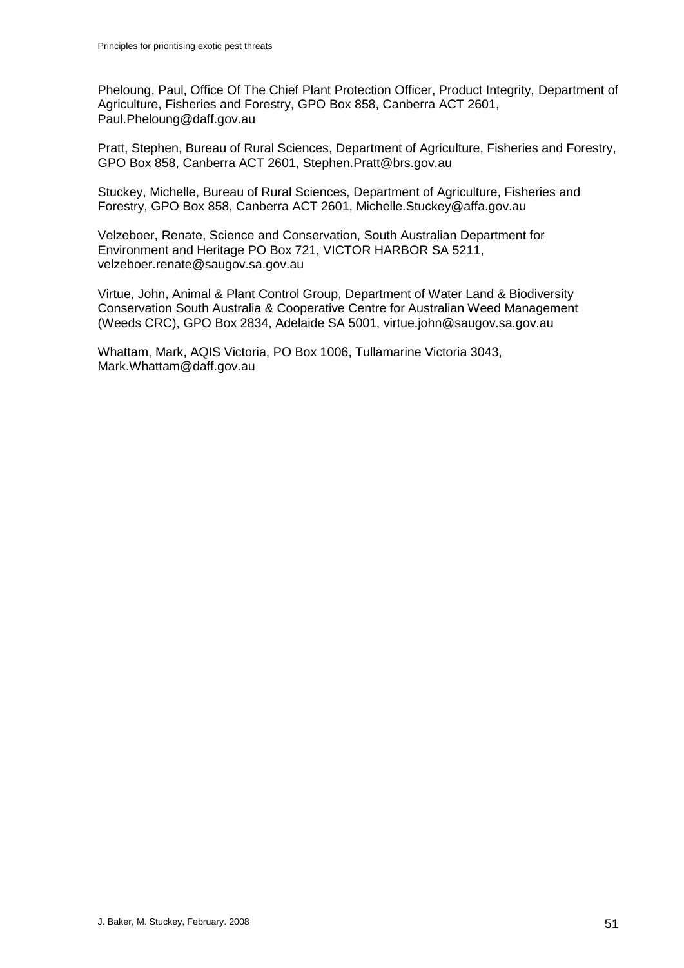Pheloung, Paul, Office Of The Chief Plant Protection Officer, Product Integrity, Department of Agriculture, Fisheries and Forestry, GPO Box 858, Canberra ACT 2601, Paul.Pheloung@daff.gov.au

Pratt, Stephen, Bureau of Rural Sciences, Department of Agriculture, Fisheries and Forestry, GPO Box 858, Canberra ACT 2601, Stephen.Pratt@brs.gov.au

Stuckey, Michelle, Bureau of Rural Sciences, Department of Agriculture, Fisheries and Forestry, GPO Box 858, Canberra ACT 2601, Michelle.Stuckey@affa.gov.au

Velzeboer, Renate, Science and Conservation, South Australian Department for Environment and Heritage PO Box 721, VICTOR HARBOR SA 5211, velzeboer.renate@saugov.sa.gov.au

Virtue, John, Animal & Plant Control Group, Department of Water Land & Biodiversity Conservation South Australia & Cooperative Centre for Australian Weed Management (Weeds CRC), GPO Box 2834, Adelaide SA 5001, virtue.john@saugov.sa.gov.au

Whattam, Mark, AQIS Victoria, PO Box 1006, Tullamarine Victoria 3043, Mark.Whattam@daff.gov.au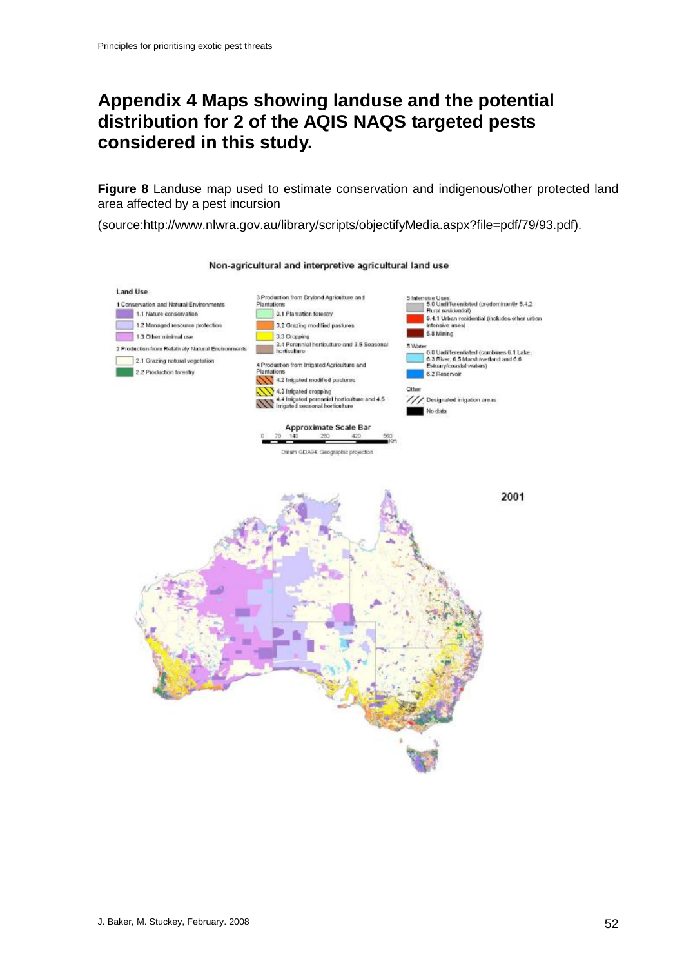## <span id="page-51-0"></span>**Appendix 4 Maps showing landuse and the potential distribution for 2 of the AQIS NAQS targeted pests considered in this study.**

<span id="page-51-1"></span>**Figure 8** Landuse map used to estimate conservation and indigenous/other protected land area affected by a pest incursion

(source:http://www.nlwra.gov.au/library/scripts/objectifyMedia.aspx?file=pdf/79/93.pdf).



#### Non-agricultural and interpretive agricultural land use